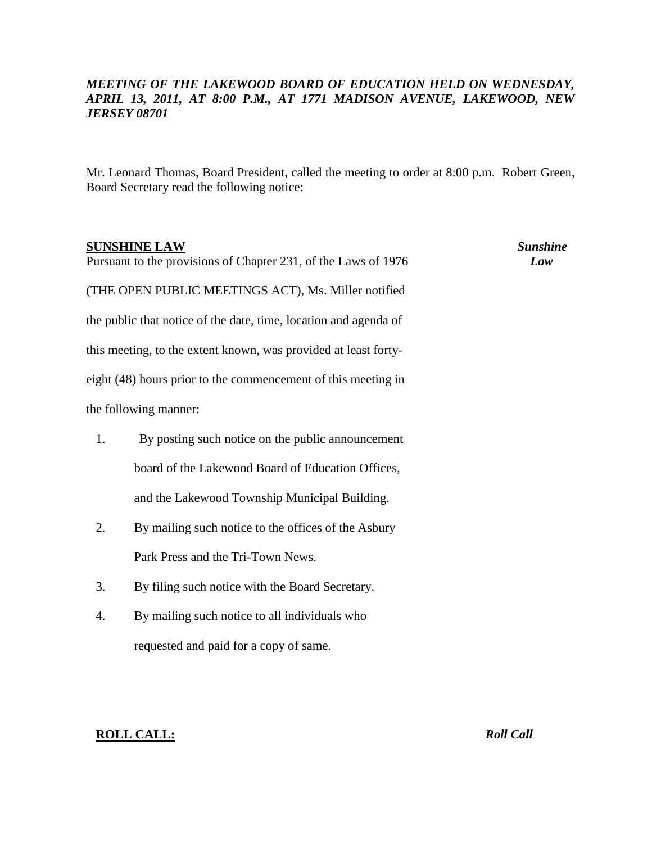# *MEETING OF THE LAKEWOOD BOARD OF EDUCATION HELD ON WEDNESDAY, APRIL 13, 2011, AT 8:00 P.M., AT 1771 MADISON AVENUE, LAKEWOOD, NEW JERSEY 08701*

Mr. Leonard Thomas, Board President, called the meeting to order at 8:00 p.m. Robert Green, Board Secretary read the following notice:

| <b>SUNSHINE LAW</b><br>Pursuant to the provisions of Chapter 231, of the Laws of 1976 |                                                                  | <b>Sunshine</b><br>Law |
|---------------------------------------------------------------------------------------|------------------------------------------------------------------|------------------------|
|                                                                                       | (THE OPEN PUBLIC MEETINGS ACT), Ms. Miller notified              |                        |
|                                                                                       | the public that notice of the date, time, location and agenda of |                        |
|                                                                                       | this meeting, to the extent known, was provided at least forty-  |                        |
|                                                                                       | eight (48) hours prior to the commencement of this meeting in    |                        |
|                                                                                       | the following manner:                                            |                        |
| 1.                                                                                    | By posting such notice on the public announcement                |                        |
|                                                                                       | board of the Lakewood Board of Education Offices,                |                        |
|                                                                                       | and the Lakewood Township Municipal Building.                    |                        |
| 2.                                                                                    | By mailing such notice to the offices of the Asbury              |                        |
|                                                                                       | Park Press and the Tri-Town News.                                |                        |
| 3.                                                                                    | By filing such notice with the Board Secretary.                  |                        |
| 4.                                                                                    | By mailing such notice to all individuals who                    |                        |
|                                                                                       | requested and paid for a copy of same.                           |                        |
|                                                                                       |                                                                  |                        |

# **ROLL CALL:** *Roll Call*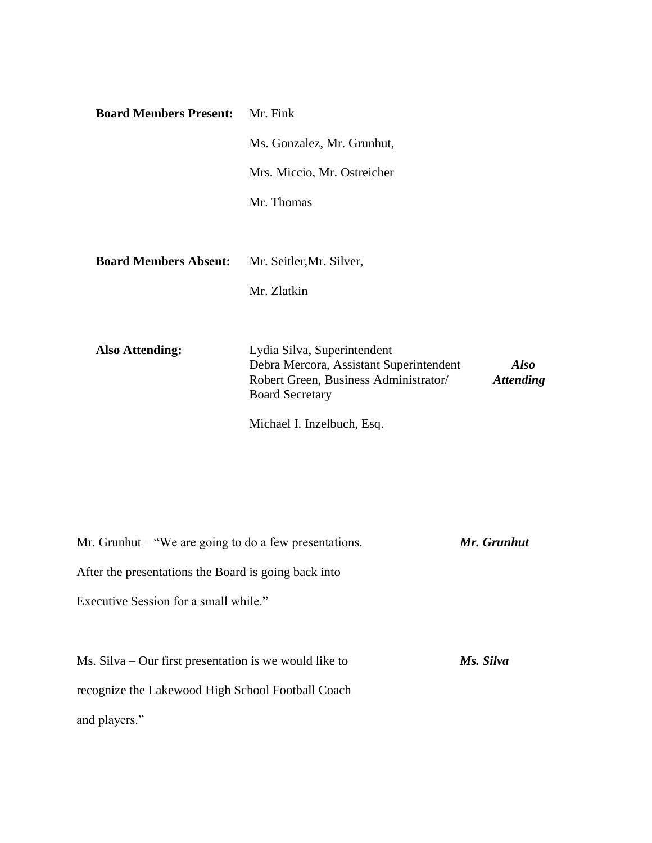| <b>Board Members Present:</b> | Mr. Fink                                                                                                                                                                     |
|-------------------------------|------------------------------------------------------------------------------------------------------------------------------------------------------------------------------|
|                               | Ms. Gonzalez, Mr. Grunhut,                                                                                                                                                   |
|                               | Mrs. Miccio, Mr. Ostreicher                                                                                                                                                  |
|                               | Mr. Thomas                                                                                                                                                                   |
|                               |                                                                                                                                                                              |
| <b>Board Members Absent:</b>  | Mr. Seitler, Mr. Silver,                                                                                                                                                     |
|                               | Mr. Zlatkin                                                                                                                                                                  |
|                               |                                                                                                                                                                              |
| <b>Also Attending:</b>        | Lydia Silva, Superintendent<br>Debra Mercora, Assistant Superintendent<br><b>Also</b><br>Robert Green, Business Administrator/<br><b>Attending</b><br><b>Board Secretary</b> |
|                               | Michael I. Inzelbuch, Esq.                                                                                                                                                   |
|                               |                                                                                                                                                                              |
|                               |                                                                                                                                                                              |

Mr. Grunhut – "We are going to do a few presentations. *Mr. Grunhut* After the presentations the Board is going back into Executive Session for a small while." Ms. Silva – Our first presentation is we would like to *Ms. Silva* recognize the Lakewood High School Football Coach and players."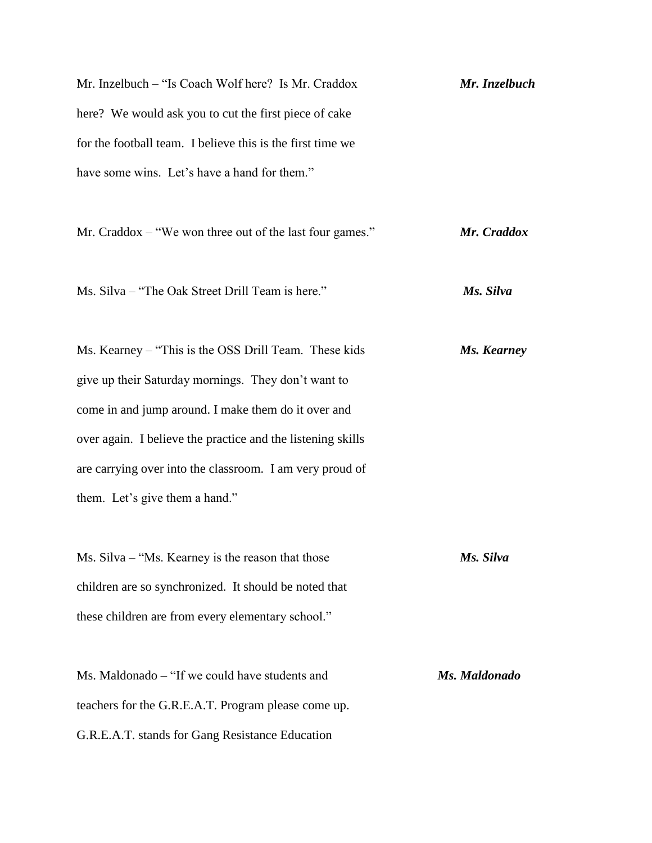Mr. Inzelbuch – "Is Coach Wolf here? Is Mr. Craddox *Mr. Inzelbuch* here? We would ask you to cut the first piece of cake for the football team. I believe this is the first time we have some wins. Let's have a hand for them."

Mr. Craddox – "We won three out of the last four games." *Mr. Craddox*

Ms. Silva – "The Oak Street Drill Team is here." *Ms. Silva*

Ms. Kearney – "This is the OSS Drill Team. These kids *Ms. Kearney* give up their Saturday mornings. They don't want to come in and jump around. I make them do it over and over again. I believe the practice and the listening skills are carrying over into the classroom. I am very proud of them. Let's give them a hand."

Ms. Silva – "Ms. Kearney is the reason that those *Ms. Silva* children are so synchronized. It should be noted that these children are from every elementary school."

Ms. Maldonado – "If we could have students and *Ms. Maldonado* teachers for the G.R.E.A.T. Program please come up. G.R.E.A.T. stands for Gang Resistance Education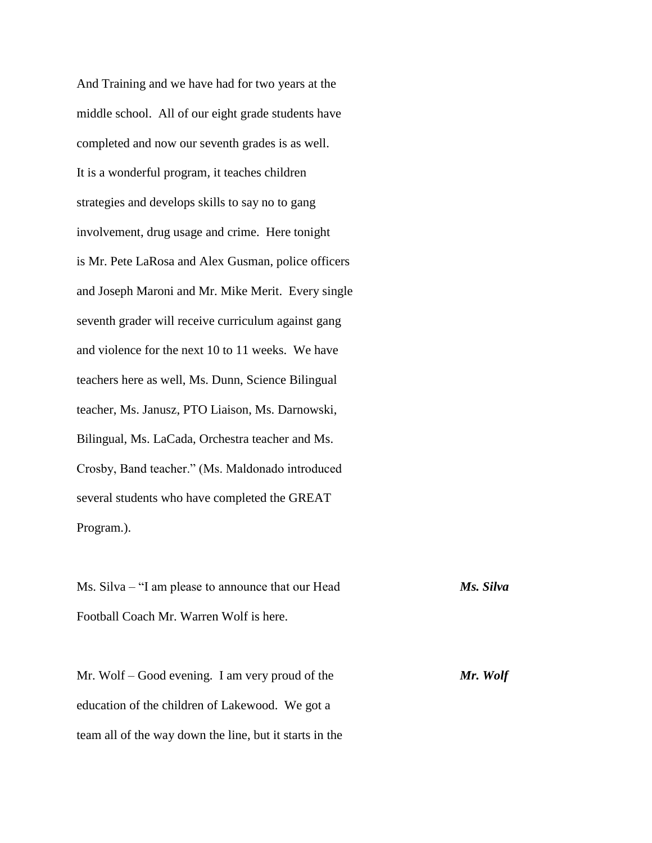And Training and we have had for two years at the middle school. All of our eight grade students have completed and now our seventh grades is as well. It is a wonderful program, it teaches children strategies and develops skills to say no to gang involvement, drug usage and crime. Here tonight is Mr. Pete LaRosa and Alex Gusman, police officers and Joseph Maroni and Mr. Mike Merit. Every single seventh grader will receive curriculum against gang and violence for the next 10 to 11 weeks. We have teachers here as well, Ms. Dunn, Science Bilingual teacher, Ms. Janusz, PTO Liaison, Ms. Darnowski, Bilingual, Ms. LaCada, Orchestra teacher and Ms. Crosby, Band teacher." (Ms. Maldonado introduced several students who have completed the GREAT Program.).

Ms. Silva – "I am please to announce that our Head *Ms. Silva* Football Coach Mr. Warren Wolf is here.

Mr. Wolf – Good evening. I am very proud of the *Mr. Wolf* education of the children of Lakewood. We got a team all of the way down the line, but it starts in the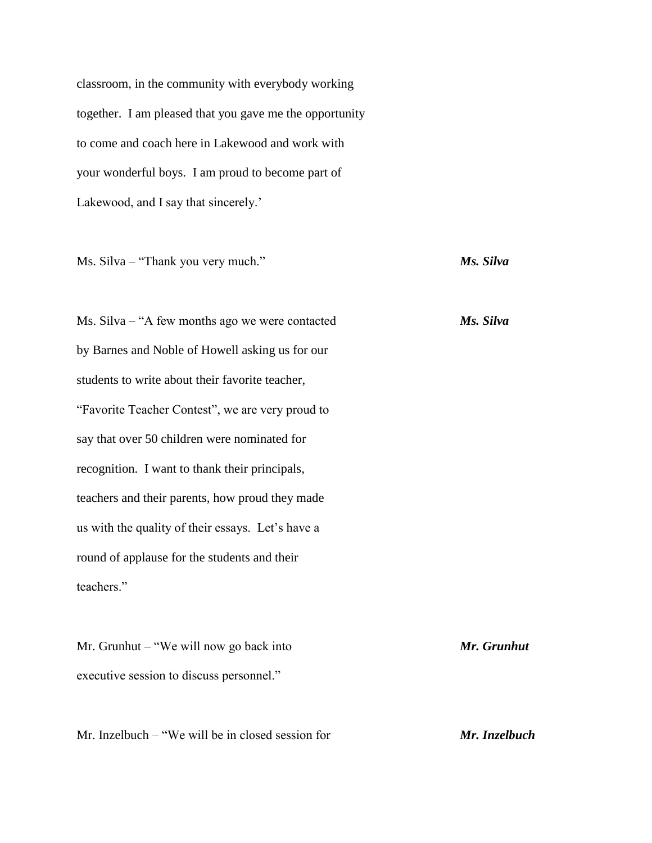classroom, in the community with everybody working together. I am pleased that you gave me the opportunity to come and coach here in Lakewood and work with your wonderful boys. I am proud to become part of Lakewood, and I say that sincerely.'

Ms. Silva – "Thank you very much." *Ms. Silva*

Ms. Silva – "A few months ago we were contacted *Ms. Silva* by Barnes and Noble of Howell asking us for our students to write about their favorite teacher, "Favorite Teacher Contest", we are very proud to say that over 50 children were nominated for recognition. I want to thank their principals, teachers and their parents, how proud they made us with the quality of their essays. Let's have a round of applause for the students and their teachers."

Mr. Grunhut – "We will now go back into *Mr. Grunhut* executive session to discuss personnel."

Mr. Inzelbuch – "We will be in closed session for *Mr. Inzelbuch*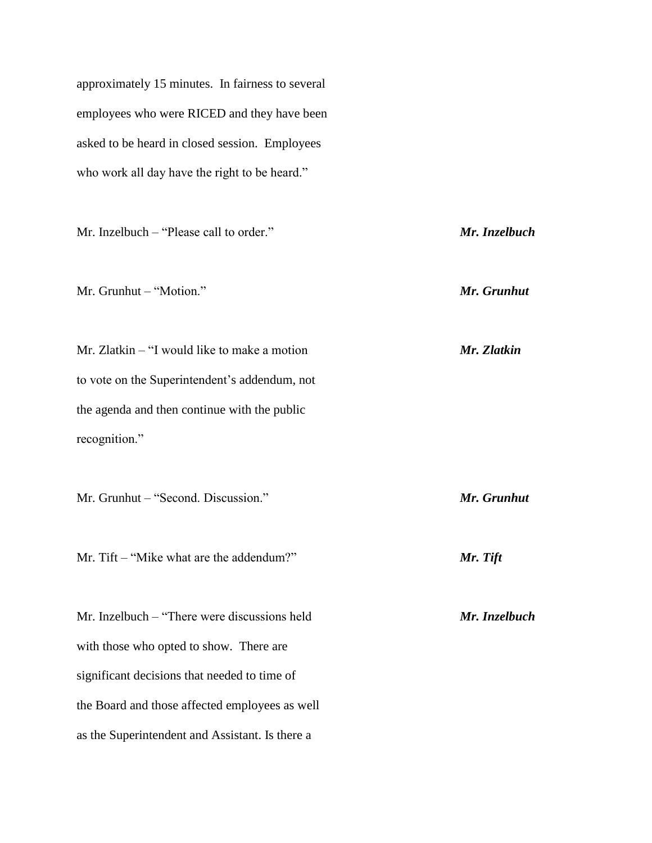approximately 15 minutes. In fairness to several employees who were RICED and they have been asked to be heard in closed session. Employees who work all day have the right to be heard."

Mr. Inzelbuch – "Please call to order." *Mr. Inzelbuch* Mr. Grunhut – "Motion." *Mr. Grunhut* Mr. Zlatkin – "I would like to make a motion *Mr. Zlatkin* to vote on the Superintendent's addendum, not the agenda and then continue with the public recognition." Mr. Grunhut – "Second. Discussion." *Mr. Grunhut* Mr. Tift – "Mike what are the addendum?" *Mr. Tift* Mr. Inzelbuch – "There were discussions held *Mr. Inzelbuch* with those who opted to show. There are significant decisions that needed to time of the Board and those affected employees as well as the Superintendent and Assistant. Is there a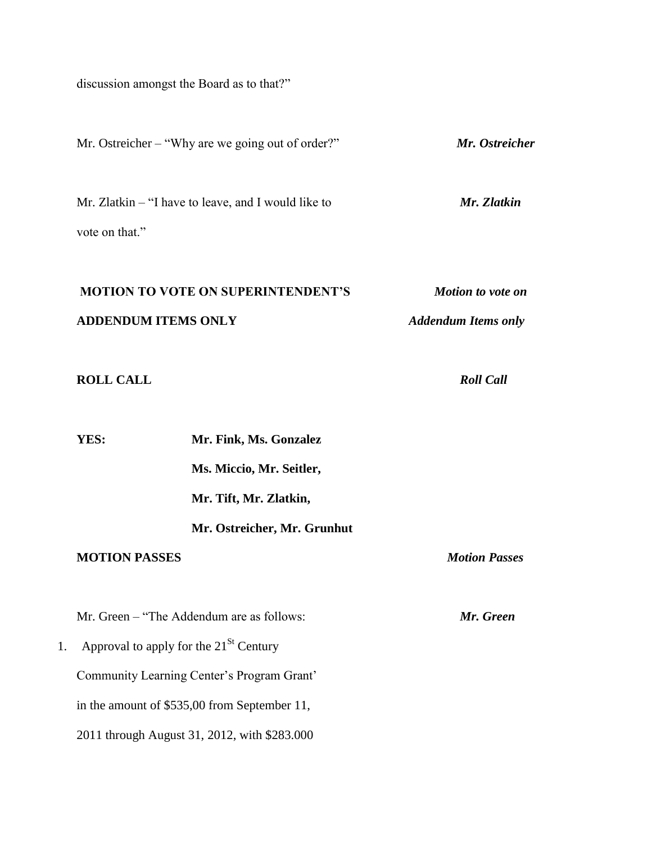discussion amongst the Board as to that?"

|    |                                             | Mr. Ostreicher – "Why are we going out of order?"     | Mr. Ostreicher             |
|----|---------------------------------------------|-------------------------------------------------------|----------------------------|
|    | vote on that."                              | Mr. Zlatkin $-$ "I have to leave, and I would like to | Mr. Zlatkin                |
|    |                                             | <b>MOTION TO VOTE ON SUPERINTENDENT'S</b>             | <b>Motion to vote on</b>   |
|    | <b>ADDENDUM ITEMS ONLY</b>                  |                                                       | <b>Addendum Items only</b> |
|    | <b>ROLL CALL</b>                            |                                                       | <b>Roll Call</b>           |
|    | YES:                                        | Mr. Fink, Ms. Gonzalez                                |                            |
|    |                                             | Ms. Miccio, Mr. Seitler,                              |                            |
|    |                                             | Mr. Tift, Mr. Zlatkin,                                |                            |
|    |                                             | Mr. Ostreicher, Mr. Grunhut                           |                            |
|    | <b>MOTION PASSES</b>                        |                                                       | <b>Motion Passes</b>       |
|    |                                             | Mr. Green - "The Addendum are as follows:             | Mr. Green                  |
| 1. | Approval to apply for the $21^{St}$ Century |                                                       |                            |
|    |                                             | Community Learning Center's Program Grant'            |                            |
|    |                                             | in the amount of \$535,00 from September 11,          |                            |
|    |                                             | 2011 through August 31, 2012, with \$283.000          |                            |
|    |                                             |                                                       |                            |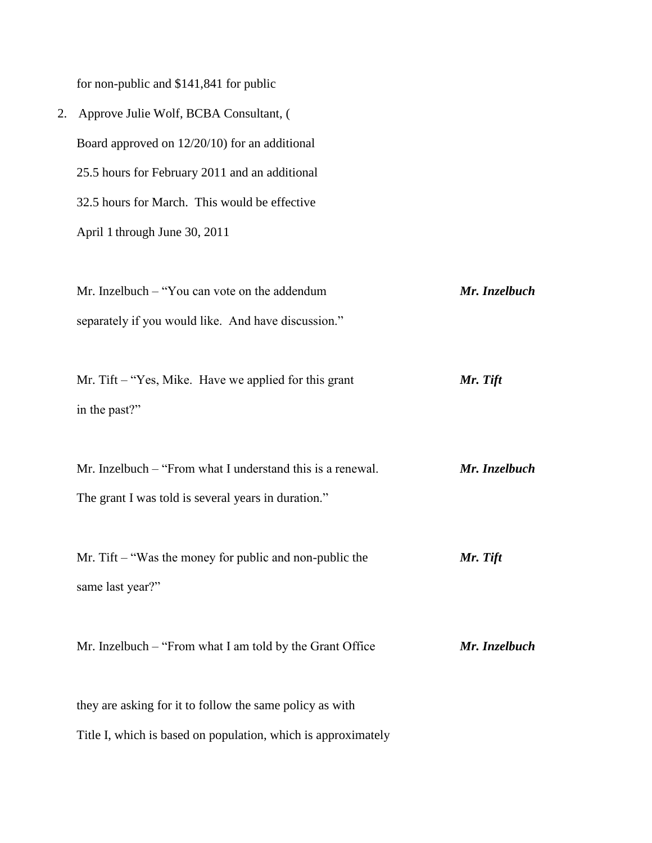for non-public and \$141,841 for public

| 2. Approve Julie Wolf, BCBA Consultant, (      |
|------------------------------------------------|
| Board approved on $12/20/10$ for an additional |
| 25.5 hours for February 2011 and an additional |
| 32.5 hours for March. This would be effective  |
| April 1 through June 30, 2011                  |
|                                                |

Mr. Inzelbuch – "You can vote on the addendum *Mr. Inzelbuch* separately if you would like. And have discussion."

Mr. Tift – "Yes, Mike. Have we applied for this grant *Mr. Tift* in the past?"

Mr. Inzelbuch – "From what I understand this is a renewal. *Mr. Inzelbuch* The grant I was told is several years in duration."

Mr. Tift – "Was the money for public and non-public the *Mr. Tift* same last year?"

Mr. Inzelbuch – "From what I am told by the Grant Office *Mr. Inzelbuch*

they are asking for it to follow the same policy as with Title I, which is based on population, which is approximately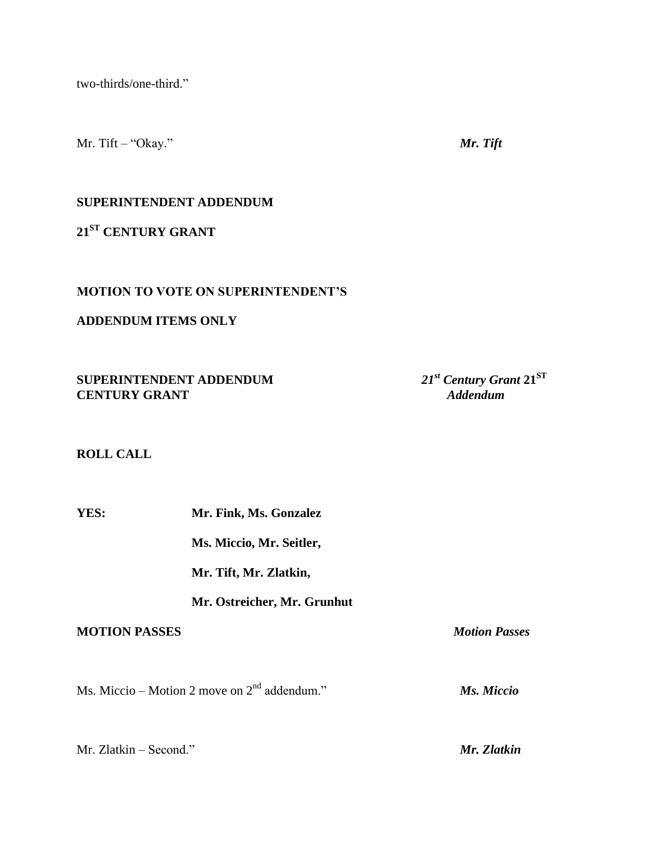two-thirds/one-third."

Mr. Tift – "Okay." *Mr. Tift*

# **SUPERINTENDENT ADDENDUM**

**21ST CENTURY GRANT**

## **MOTION TO VOTE ON SUPERINTENDENT'S**

## **ADDENDUM ITEMS ONLY**

**SUPERINTENDENT ADDENDUM**  $21^{st}$  *Century Gra*<br>*21<sup>st</sup> <i>Century Gramt 21<sup>st</sup> <i>Century Gram* **CENTURY GRANT** 

21<sup>st</sup> Century Grant 21<sup>ST</sup>

## **ROLL CALL**

| YES:                 | Mr. Fink, Ms. Gonzalez                         |                      |
|----------------------|------------------------------------------------|----------------------|
|                      | Ms. Miccio, Mr. Seitler,                       |                      |
|                      | Mr. Tift, Mr. Zlatkin,                         |                      |
|                      | Mr. Ostreicher, Mr. Grunhut                    |                      |
| <b>MOTION PASSES</b> |                                                | <b>Motion Passes</b> |
|                      | Ms. Miccio – Motion 2 move on $2nd$ addendum." | Ms. Miccio           |
|                      |                                                |                      |

Mr. Zlatkin – Second." *Mr. Zlatkin*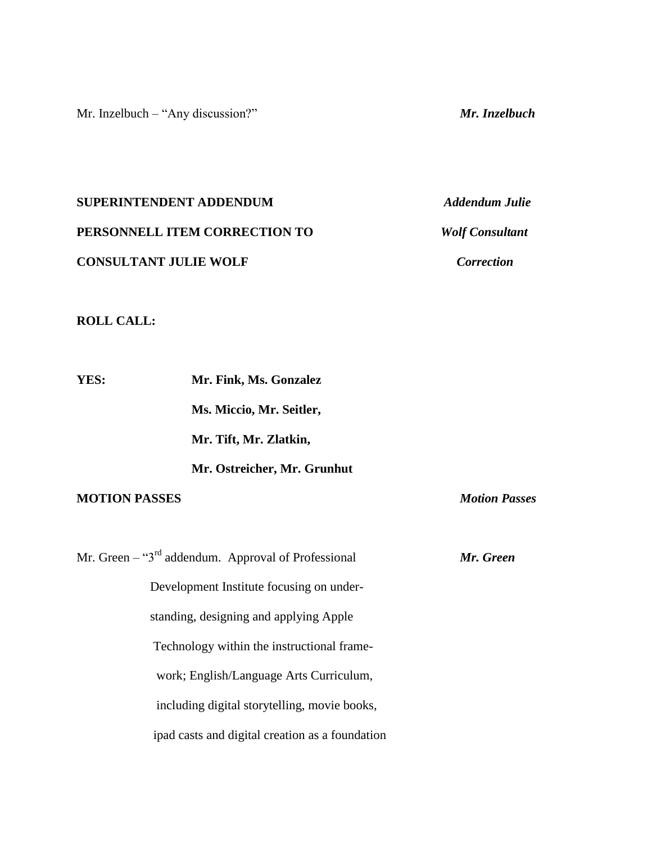Mr. Inzelbuch – "Any discussion?" *Mr. Inzelbuch*

**SUPERINTENDENT ADDENDUM** *Addendum Julie* **PERSONNELL ITEM CORRECTION TO** *Wolf Consultant* **CONSULTANT JULIE WOLF** *Correction*

### **ROLL CALL:**

**YES: Mr. Fink, Ms. Gonzalez Ms. Miccio, Mr. Seitler, Mr. Tift, Mr. Zlatkin, Mr. Ostreicher, Mr. Grunhut MOTION PASSES** *Motion Passes*

Mr. Green – "3rd addendum. Approval of Professional *Mr. Green* Development Institute focusing on under standing, designing and applying Apple Technology within the instructional framework; English/Language Arts Curriculum, including digital storytelling, movie books, ipad casts and digital creation as a foundation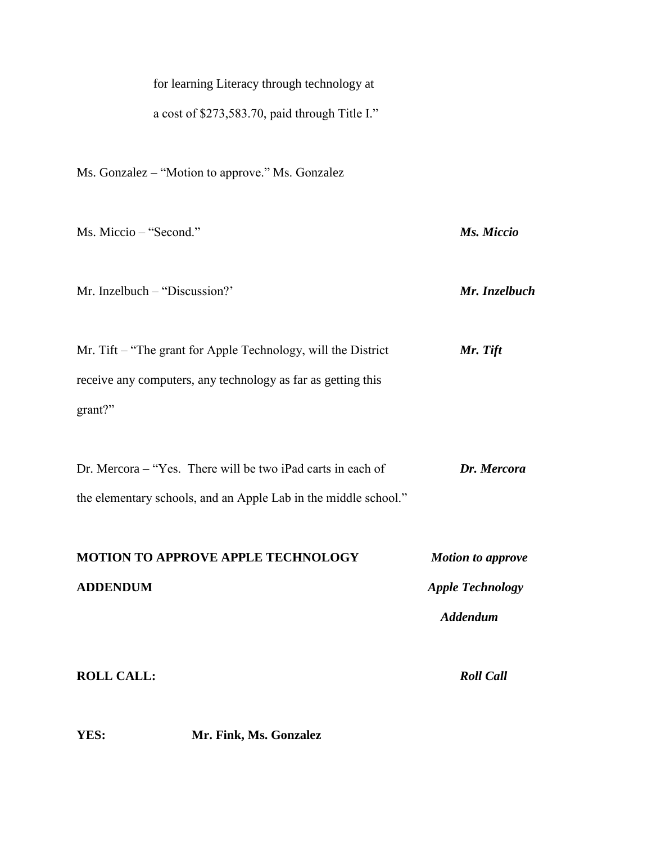| for learning Literacy through technology at |
|---------------------------------------------|
|---------------------------------------------|

a cost of \$273,583.70, paid through Title I."

Ms. Gonzalez – "Motion to approve." Ms. Gonzalez

| Ms. Miccio – "Second."                                                                                                                   | Ms. Miccio                                                             |
|------------------------------------------------------------------------------------------------------------------------------------------|------------------------------------------------------------------------|
| Mr. Inzelbuch – "Discussion?"                                                                                                            | Mr. Inzelbuch                                                          |
| Mr. Tift – "The grant for Apple Technology, will the District<br>receive any computers, any technology as far as getting this<br>grant?" | Mr. Tift                                                               |
| Dr. Mercora - "Yes. There will be two iPad carts in each of<br>the elementary schools, and an Apple Lab in the middle school."           | Dr. Mercora                                                            |
| MOTION TO APPROVE APPLE TECHNOLOGY<br><b>ADDENDUM</b>                                                                                    | <b>Motion to approve</b><br><b>Apple Technology</b><br><b>Addendum</b> |
| <b>ROLL CALL:</b>                                                                                                                        | <b>Roll Call</b>                                                       |

**YES: Mr. Fink, Ms. Gonzalez**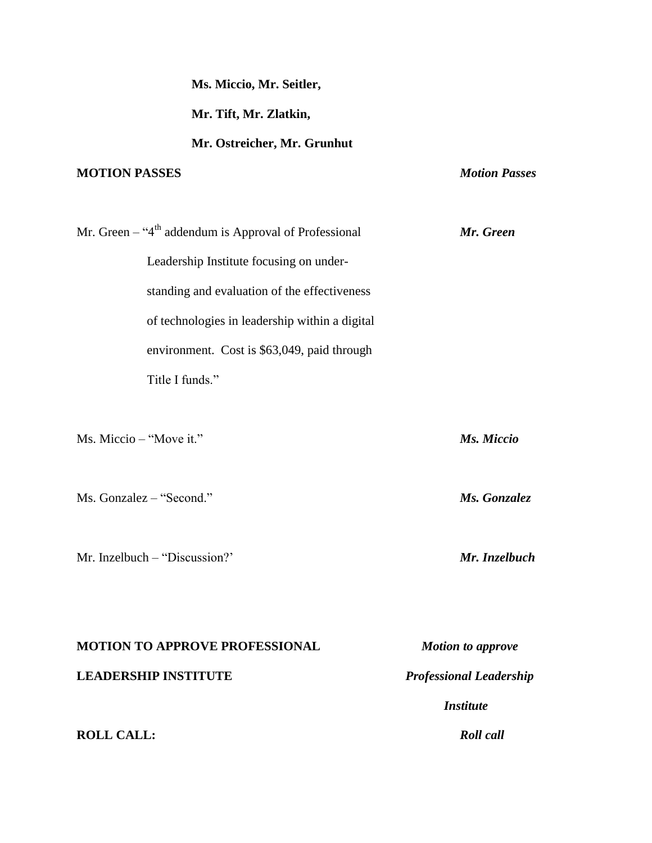| Ms. Miccio, Mr. Seitler,                                            |                                |
|---------------------------------------------------------------------|--------------------------------|
| Mr. Tift, Mr. Zlatkin,                                              |                                |
| Mr. Ostreicher, Mr. Grunhut                                         |                                |
| <b>MOTION PASSES</b>                                                | <b>Motion Passes</b>           |
|                                                                     |                                |
| Mr. Green $-$ "4 <sup>th</sup> addendum is Approval of Professional | Mr. Green                      |
| Leadership Institute focusing on under-                             |                                |
| standing and evaluation of the effectiveness                        |                                |
| of technologies in leadership within a digital                      |                                |
| environment. Cost is \$63,049, paid through                         |                                |
| Title I funds."                                                     |                                |
|                                                                     |                                |
| Ms. Miccio – "Move it."                                             | Ms. Miccio                     |
|                                                                     |                                |
| Ms. Gonzalez - "Second."                                            | Ms. Gonzalez                   |
|                                                                     |                                |
| Mr. Inzelbuch – "Discussion?"                                       | Mr. Inzelbuch                  |
|                                                                     |                                |
|                                                                     |                                |
| <b>MOTION TO APPROVE PROFESSIONAL</b>                               | <b>Motion to approve</b>       |
| <b>LEADERSHIP INSTITUTE</b>                                         | <b>Professional Leadership</b> |
|                                                                     | <b>Institute</b>               |
| <b>ROLL CALL:</b>                                                   | <b>Roll</b> call               |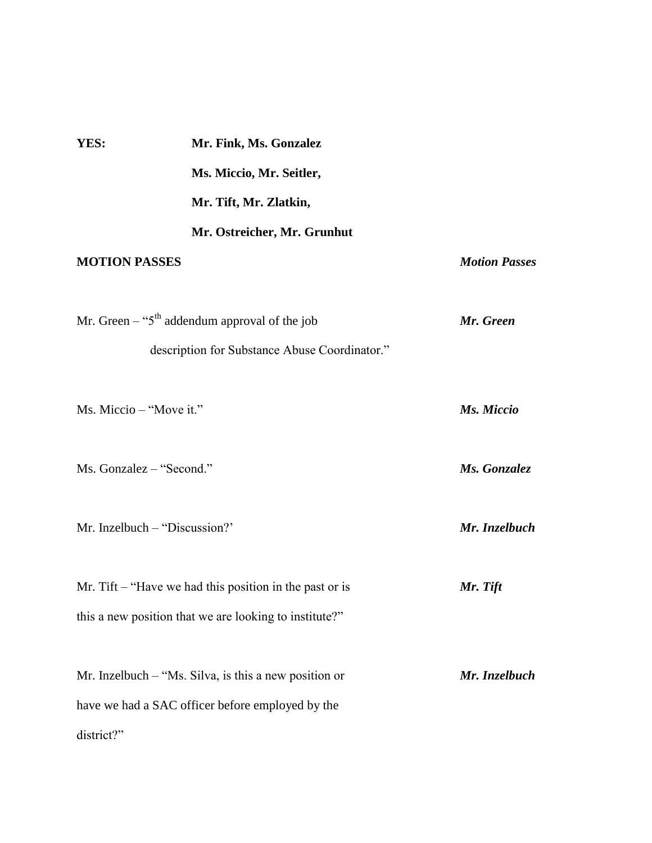| YES:                     | Mr. Fink, Ms. Gonzalez                                                                                              |                      |
|--------------------------|---------------------------------------------------------------------------------------------------------------------|----------------------|
|                          | Ms. Miccio, Mr. Seitler,                                                                                            |                      |
|                          | Mr. Tift, Mr. Zlatkin,                                                                                              |                      |
|                          | Mr. Ostreicher, Mr. Grunhut                                                                                         |                      |
| <b>MOTION PASSES</b>     |                                                                                                                     | <b>Motion Passes</b> |
|                          | Mr. Green – " $5th$ addendum approval of the job                                                                    | Mr. Green            |
|                          | description for Substance Abuse Coordinator."                                                                       |                      |
| Ms. Miccio - "Move it."  |                                                                                                                     | Ms. Miccio           |
| Ms. Gonzalez - "Second." |                                                                                                                     | Ms. Gonzalez         |
|                          | Mr. Inzelbuch – "Discussion?"                                                                                       | Mr. Inzelbuch        |
|                          | Mr. Tift $-$ "Have we had this position in the past or is<br>this a new position that we are looking to institute?" | Mr. Tift             |
|                          | Mr. Inzelbuch $-$ "Ms. Silva, is this a new position or                                                             | Mr. Inzelbuch        |
|                          | have we had a SAC officer before employed by the                                                                    |                      |
| district?"               |                                                                                                                     |                      |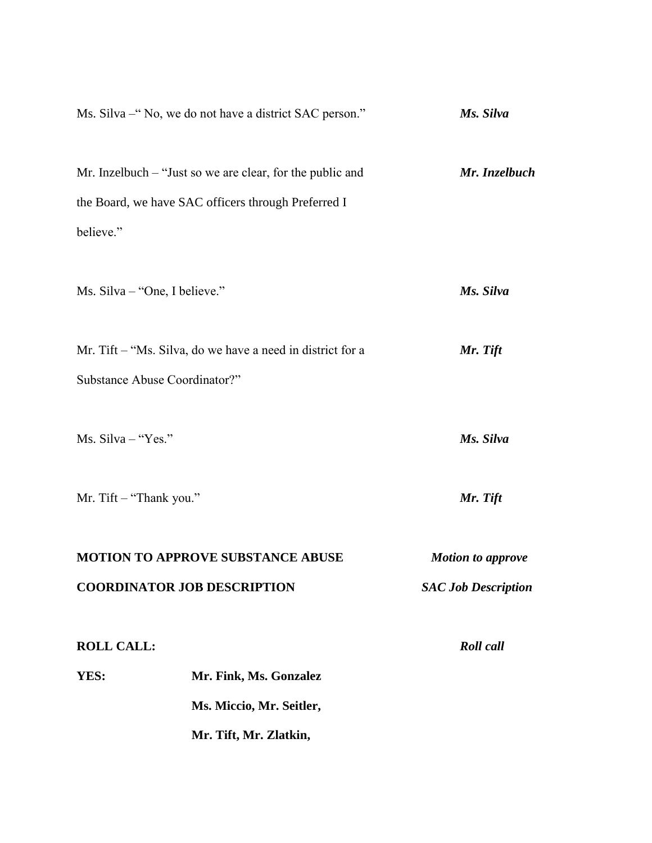| Ms. Silva – "No, we do not have a district SAC person."    | Ms. Silva                  |
|------------------------------------------------------------|----------------------------|
| Mr. Inzelbuch – "Just so we are clear, for the public and  | Mr. Inzelbuch              |
| the Board, we have SAC officers through Preferred I        |                            |
| believe."                                                  |                            |
| Ms. Silva – "One, I believe."                              | Ms. Silva                  |
| Mr. Tift – "Ms. Silva, do we have a need in district for a | Mr. Tift                   |
| Substance Abuse Coordinator?"                              |                            |
| Ms. Silva - "Yes."                                         | Ms. Silva                  |
| Mr. Tift – "Thank you."                                    | Mr. Tift                   |
| <b>MOTION TO APPROVE SUBSTANCE ABUSE</b>                   | <b>Motion to approve</b>   |
| <b>COORDINATOR JOB DESCRIPTION</b>                         | <b>SAC Job Description</b> |
| <b>ROLL CALL:</b>                                          | <b>Roll</b> call           |
| YES:<br>Mr. Fink, Ms. Gonzalez                             |                            |
| Ms. Miccio, Mr. Seitler,                                   |                            |
| Mr. Tift, Mr. Zlatkin,                                     |                            |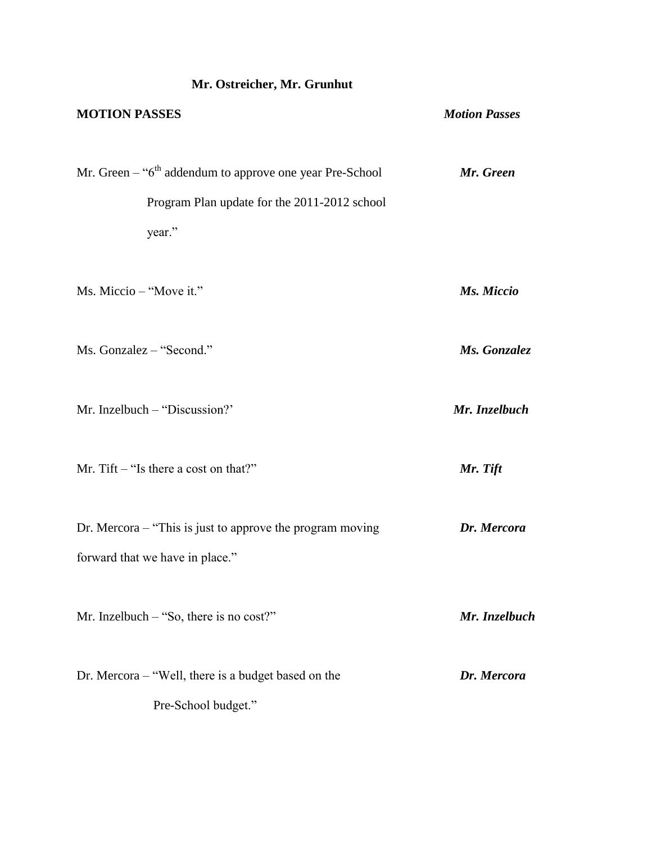# **MOTION PASSES** *Motion Passes* Mr. Green – "6<sup>th</sup> addendum to approve one year Pre-School *Mr. Green*  Program Plan update for the 2011-2012 school year." Ms. Miccio – "Move it." *Ms. Miccio* Ms. Gonzalez – "Second." *Ms. Gonzalez* Mr. Inzelbuch – "Discussion?' *Mr. Inzelbuch* Mr. Tift – "Is there a cost on that?" *Mr. Tift* Dr. Mercora – "This is just to approve the program moving *Dr. Mercora* forward that we have in place." Mr. Inzelbuch – "So, there is no cost?" *Mr. Inzelbuch* Dr. Mercora – "Well, there is a budget based on the *Dr. Mercora* Pre-School budget."

**Mr. Ostreicher, Mr. Grunhut**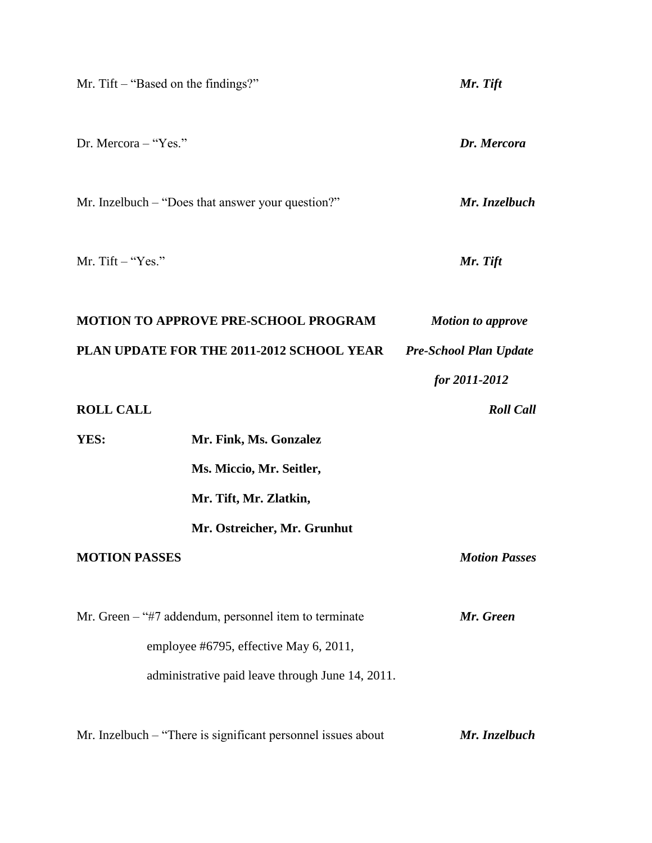|                      | Mr. Tift $-$ "Based on the findings?"                        | Mr. Tift                      |
|----------------------|--------------------------------------------------------------|-------------------------------|
| Dr. Mercora - "Yes." |                                                              | Dr. Mercora                   |
|                      | Mr. Inzelbuch – "Does that answer your question?"            | Mr. Inzelbuch                 |
| Mr. Tift $-$ "Yes."  |                                                              | Mr. Tift                      |
|                      | <b>MOTION TO APPROVE PRE-SCHOOL PROGRAM</b>                  | <b>Motion to approve</b>      |
|                      | PLAN UPDATE FOR THE 2011-2012 SCHOOL YEAR                    | <b>Pre-School Plan Update</b> |
|                      |                                                              | for 2011-2012                 |
| <b>ROLL CALL</b>     |                                                              | <b>Roll Call</b>              |
| YES:                 | Mr. Fink, Ms. Gonzalez                                       |                               |
|                      | Ms. Miccio, Mr. Seitler,                                     |                               |
|                      | Mr. Tift, Mr. Zlatkin,                                       |                               |
|                      | Mr. Ostreicher, Mr. Grunhut                                  |                               |
| <b>MOTION PASSES</b> |                                                              | <b>Motion Passes</b>          |
|                      | Mr. Green – "#7 addendum, personnel item to terminate        | Mr. Green                     |
|                      | employee #6795, effective May 6, 2011,                       |                               |
|                      | administrative paid leave through June 14, 2011.             |                               |
|                      | Mr. Inzelbuch – "There is significant personnel issues about | Mr. Inzelbuch                 |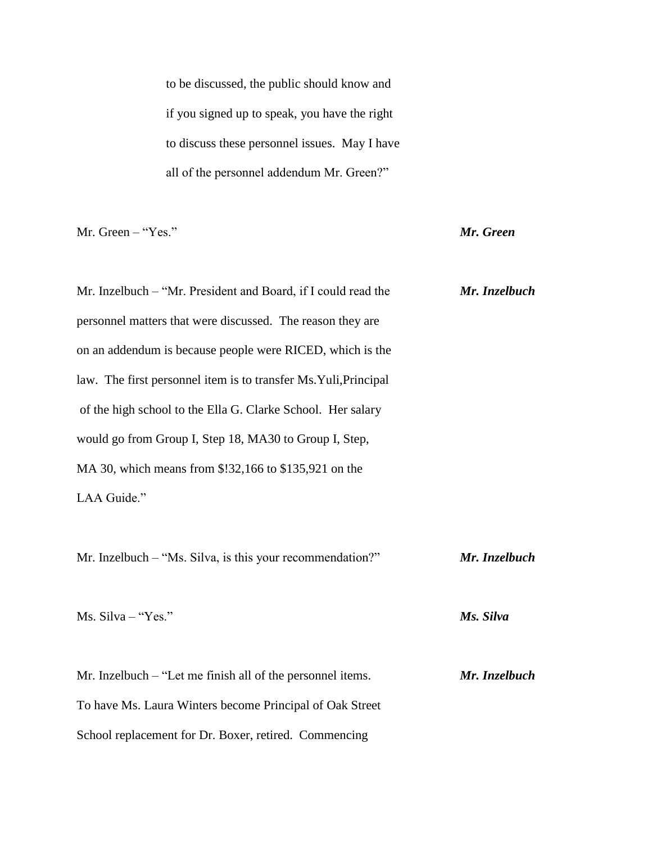to be discussed, the public should know and if you signed up to speak, you have the right to discuss these personnel issues. May I have all of the personnel addendum Mr. Green?"

Mr. Green – "Yes." *Mr. Green*

| Mr. Inzelbuch – "Mr. President and Board, if I could read the    | Mr. Inzelbuch |
|------------------------------------------------------------------|---------------|
| personnel matters that were discussed. The reason they are       |               |
| on an addendum is because people were RICED, which is the        |               |
| law. The first personnel item is to transfer Ms. Yuli, Principal |               |
| of the high school to the Ella G. Clarke School. Her salary      |               |
| would go from Group I, Step 18, MA30 to Group I, Step,           |               |
| MA 30, which means from \$!32,166 to \$135,921 on the            |               |
| LAA Guide."                                                      |               |
|                                                                  |               |
| Mr. Inzelbuch – "Ms. Silva, is this your recommendation?"        | Mr. Inzelbuch |
|                                                                  |               |
| Ms. Silva - "Yes."                                               | Ms. Silva     |
|                                                                  |               |
| Mr. Inzelbuch – "Let me finish all of the personnel items.       | Mr. Inzelbuch |
| To have Ms. Laura Winters become Principal of Oak Street         |               |
| School replacement for Dr. Boxer, retired. Commencing            |               |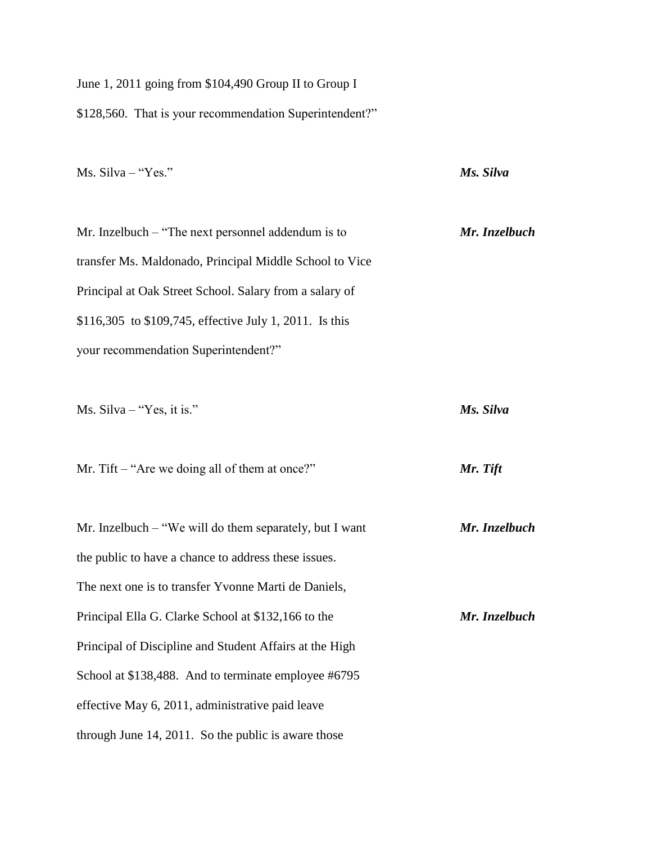June 1, 2011 going from \$104,490 Group II to Group I \$128,560. That is your recommendation Superintendent?"

Ms. Silva – "Yes." *Ms. Silva*

Mr. Inzelbuch – "The next personnel addendum is to *Mr. Inzelbuch* transfer Ms. Maldonado, Principal Middle School to Vice Principal at Oak Street School. Salary from a salary of \$116,305 to \$109,745, effective July 1, 2011. Is this your recommendation Superintendent?"

Ms. Silva – "Yes, it is." *Ms. Silva*

Mr. Tift – "Are we doing all of them at once?" *Mr. Tift*

| Mr. Inzelbuch $-$ "We will do them separately, but I want | Mr. Inzelbuch |
|-----------------------------------------------------------|---------------|
| the public to have a chance to address these issues.      |               |
| The next one is to transfer Yvonne Marti de Daniels,      |               |
| Principal Ella G. Clarke School at \$132,166 to the       | Mr. Inzelbuch |
| Principal of Discipline and Student Affairs at the High   |               |
| School at \$138,488. And to terminate employee #6795      |               |
| effective May 6, 2011, administrative paid leave          |               |
| through June 14, 2011. So the public is aware those       |               |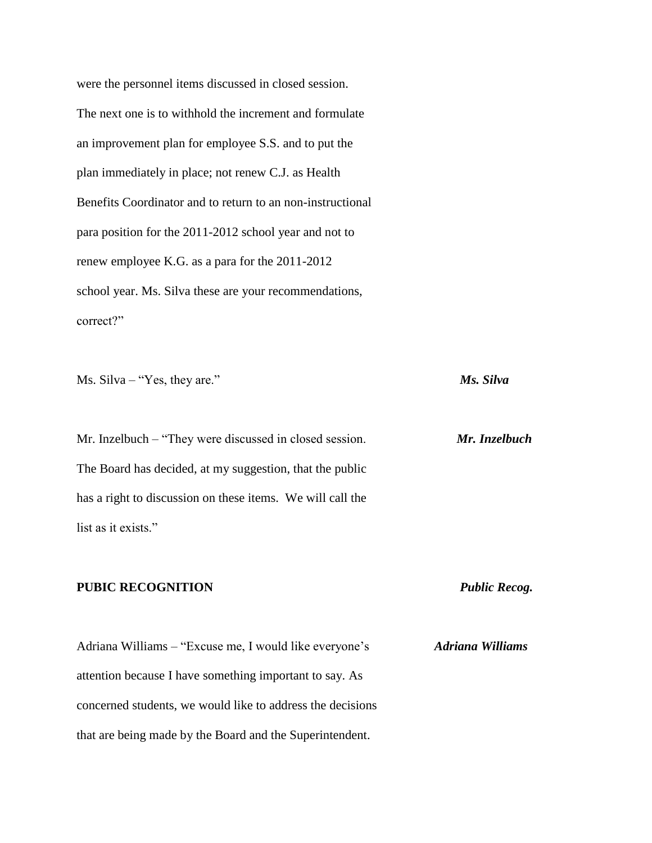were the personnel items discussed in closed session. The next one is to withhold the increment and formulate an improvement plan for employee S.S. and to put the plan immediately in place; not renew C.J. as Health Benefits Coordinator and to return to an non-instructional para position for the 2011-2012 school year and not to renew employee K.G. as a para for the 2011-2012 school year. Ms. Silva these are your recommendations, correct?"

Ms. Silva – "Yes, they are." *Ms. Silva*

Mr. Inzelbuch – "They were discussed in closed session. *Mr. Inzelbuch* The Board has decided, at my suggestion, that the public has a right to discussion on these items. We will call the list as it exists."

### **PUBIC RECOGNITION** *Public Recog.*

Adriana Williams – "Excuse me, I would like everyone's *Adriana Williams* attention because I have something important to say. As concerned students, we would like to address the decisions that are being made by the Board and the Superintendent.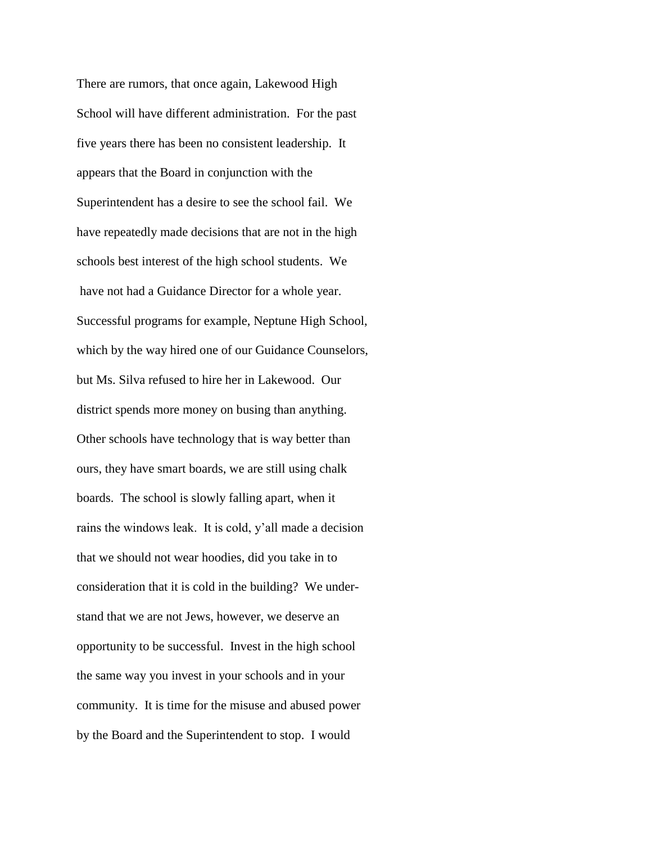There are rumors, that once again, Lakewood High School will have different administration. For the past five years there has been no consistent leadership. It appears that the Board in conjunction with the Superintendent has a desire to see the school fail. We have repeatedly made decisions that are not in the high schools best interest of the high school students. We have not had a Guidance Director for a whole year. Successful programs for example, Neptune High School, which by the way hired one of our Guidance Counselors, but Ms. Silva refused to hire her in Lakewood. Our district spends more money on busing than anything. Other schools have technology that is way better than ours, they have smart boards, we are still using chalk boards. The school is slowly falling apart, when it rains the windows leak. It is cold, y'all made a decision that we should not wear hoodies, did you take in to consideration that it is cold in the building? We understand that we are not Jews, however, we deserve an opportunity to be successful. Invest in the high school the same way you invest in your schools and in your community. It is time for the misuse and abused power by the Board and the Superintendent to stop. I would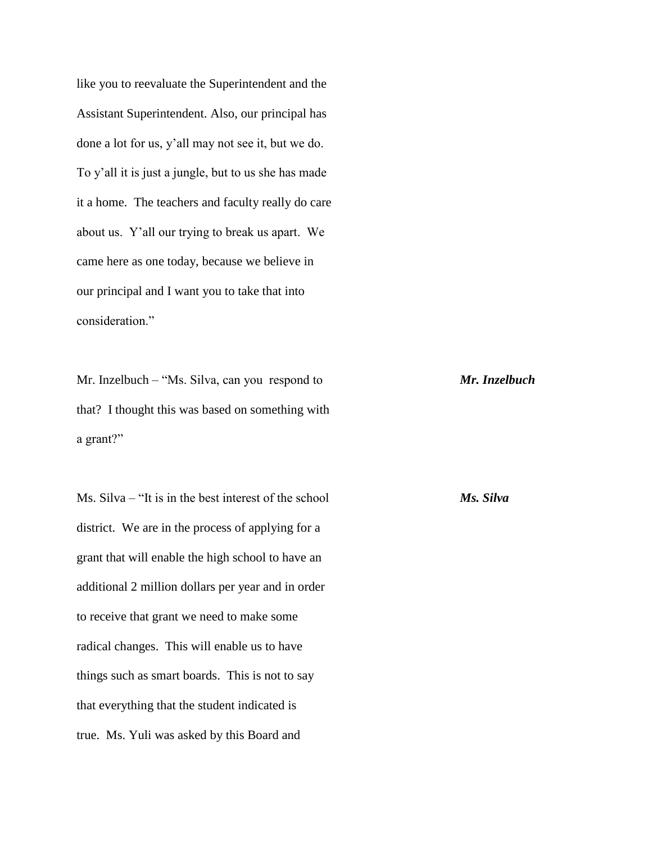like you to reevaluate the Superintendent and the Assistant Superintendent. Also, our principal has done a lot for us, y'all may not see it, but we do. To y'all it is just a jungle, but to us she has made it a home. The teachers and faculty really do care about us. Y'all our trying to break us apart. We came here as one today, because we believe in our principal and I want you to take that into consideration."

Mr. Inzelbuch – "Ms. Silva, can you respond to *Mr. Inzelbuch* that? I thought this was based on something with a grant?"

Ms. Silva – "It is in the best interest of the school *Ms. Silva* district. We are in the process of applying for a grant that will enable the high school to have an additional 2 million dollars per year and in order to receive that grant we need to make some radical changes. This will enable us to have things such as smart boards. This is not to say that everything that the student indicated is true. Ms. Yuli was asked by this Board and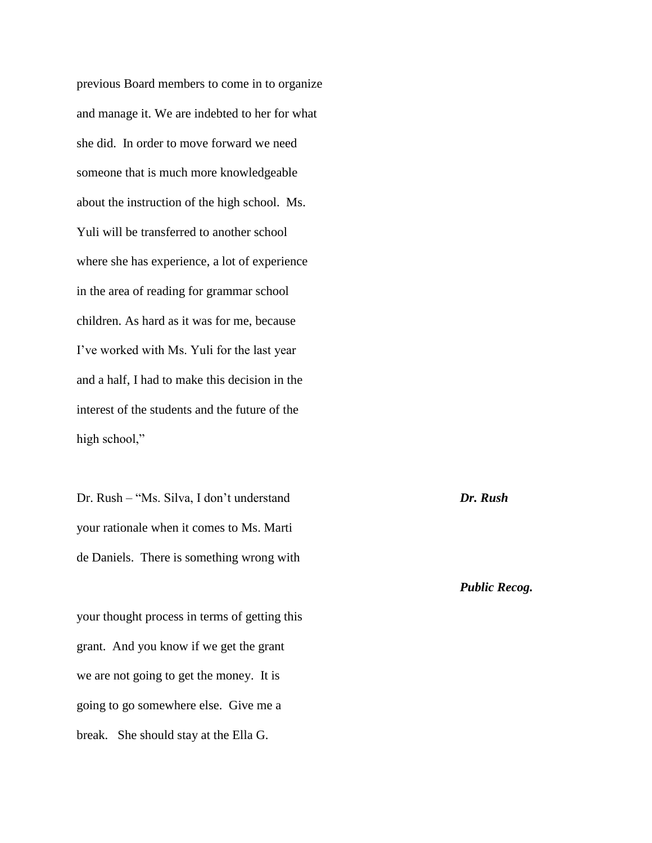previous Board members to come in to organize and manage it. We are indebted to her for what she did. In order to move forward we need someone that is much more knowledgeable about the instruction of the high school. Ms. Yuli will be transferred to another school where she has experience, a lot of experience in the area of reading for grammar school children. As hard as it was for me, because I've worked with Ms. Yuli for the last year and a half, I had to make this decision in the interest of the students and the future of the high school,"

Dr. Rush – "Ms. Silva, I don't understand *Dr. Rush* your rationale when it comes to Ms. Marti de Daniels. There is something wrong with

your thought process in terms of getting this grant. And you know if we get the grant we are not going to get the money. It is going to go somewhere else. Give me a break. She should stay at the Ella G.

*Public Recog.*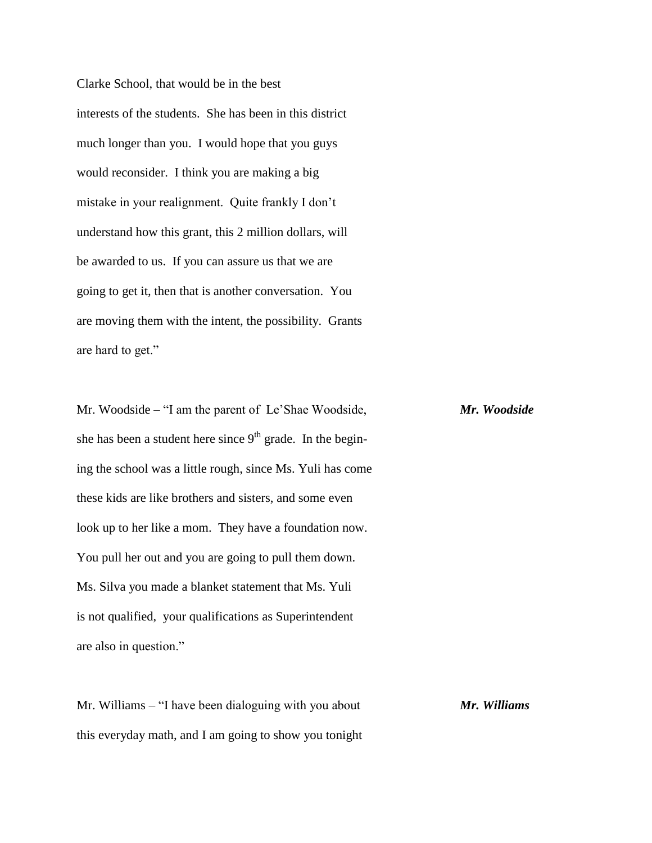Clarke School, that would be in the best interests of the students. She has been in this district much longer than you. I would hope that you guys would reconsider. I think you are making a big mistake in your realignment. Quite frankly I don't understand how this grant, this 2 million dollars, will be awarded to us. If you can assure us that we are going to get it, then that is another conversation. You are moving them with the intent, the possibility. Grants are hard to get."

Mr. Woodside – "I am the parent of Le'Shae Woodside, *Mr. Woodside* she has been a student here since  $9<sup>th</sup>$  grade. In the begining the school was a little rough, since Ms. Yuli has come these kids are like brothers and sisters, and some even look up to her like a mom. They have a foundation now. You pull her out and you are going to pull them down. Ms. Silva you made a blanket statement that Ms. Yuli is not qualified, your qualifications as Superintendent are also in question."

Mr. Williams – "I have been dialoguing with you about *Mr. Williams* this everyday math, and I am going to show you tonight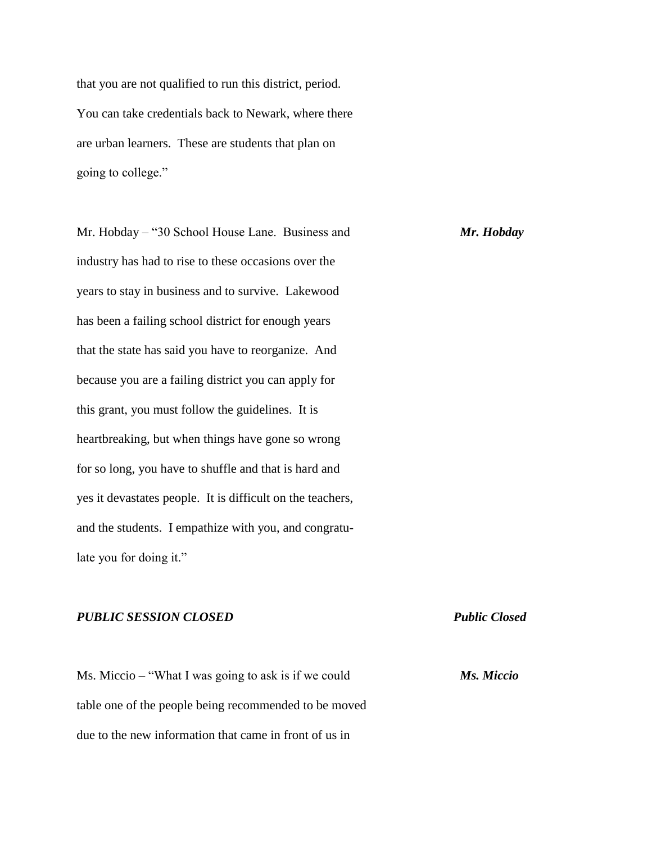that you are not qualified to run this district, period. You can take credentials back to Newark, where there are urban learners. These are students that plan on going to college."

Mr. Hobday – "30 School House Lane. Business and *Mr. Hobday* industry has had to rise to these occasions over the years to stay in business and to survive. Lakewood has been a failing school district for enough years that the state has said you have to reorganize. And because you are a failing district you can apply for this grant, you must follow the guidelines. It is heartbreaking, but when things have gone so wrong for so long, you have to shuffle and that is hard and yes it devastates people. It is difficult on the teachers, and the students. I empathize with you, and congratulate you for doing it."

### *PUBLIC SESSION CLOSED Public Closed*

Ms. Miccio – "What I was going to ask is if we could *Ms. Miccio* table one of the people being recommended to be moved due to the new information that came in front of us in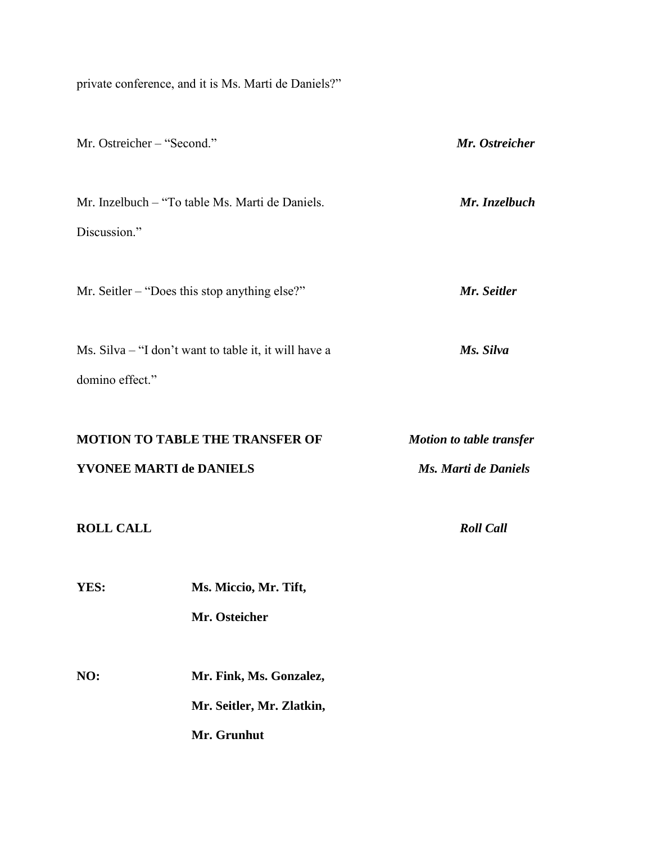private conference, and it is Ms. Marti de Daniels?"

| Mr. Ostreicher – "Second."     |                                                                     | Mr. Ostreicher                                          |
|--------------------------------|---------------------------------------------------------------------|---------------------------------------------------------|
| Discussion."                   | Mr. Inzelbuch – "To table Ms. Marti de Daniels.                     | Mr. Inzelbuch                                           |
|                                | Mr. Seitler – "Does this stop anything else?"                       | Mr. Seitler                                             |
| domino effect."                | Ms. Silva – "I don't want to table it, it will have a               | Ms. Silva                                               |
| <b>YVONEE MARTI de DANIELS</b> | <b>MOTION TO TABLE THE TRANSFER OF</b>                              | <b>Motion to table transfer</b><br>Ms. Marti de Daniels |
| <b>ROLL CALL</b>               |                                                                     | <b>Roll Call</b>                                        |
| YES:                           | Ms. Miccio, Mr. Tift,<br>Mr. Osteicher                              |                                                         |
| NO:                            | Mr. Fink, Ms. Gonzalez,<br>Mr. Seitler, Mr. Zlatkin,<br>Mr. Grunhut |                                                         |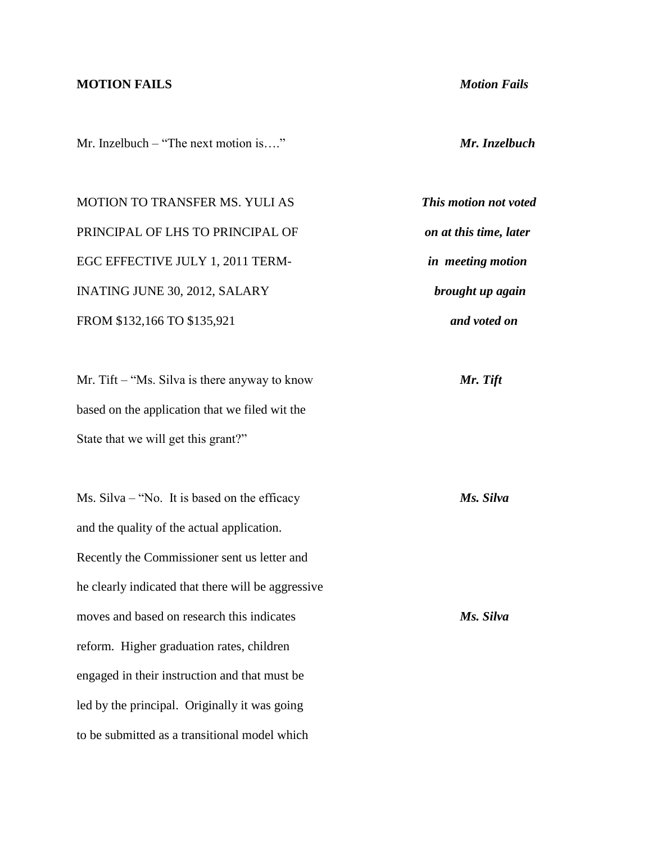### **MOTION FAILS** *Motion Fails*

Mr. Inzelbuch – "The next motion is…." *Mr. Inzelbuch*

MOTION TO TRANSFER MS. YULI AS *This motion not voted* PRINCIPAL OF LHS TO PRINCIPAL OF *on at this time, later*  EGC EFFECTIVE JULY 1, 2011 TERM- *in meeting motion* INATING JUNE 30, 2012, SALARY *brought up again* FROM \$132,166 TO \$135,921 *and voted on*

Mr. Tift – "Ms. Silva is there anyway to know *Mr. Tift* based on the application that we filed wit the State that we will get this grant?"

Ms. Silva – "No. It is based on the efficacy *Ms. Silva* and the quality of the actual application. Recently the Commissioner sent us letter and he clearly indicated that there will be aggressive moves and based on research this indicates *Ms. Silva* reform. Higher graduation rates, children engaged in their instruction and that must be led by the principal. Originally it was going to be submitted as a transitional model which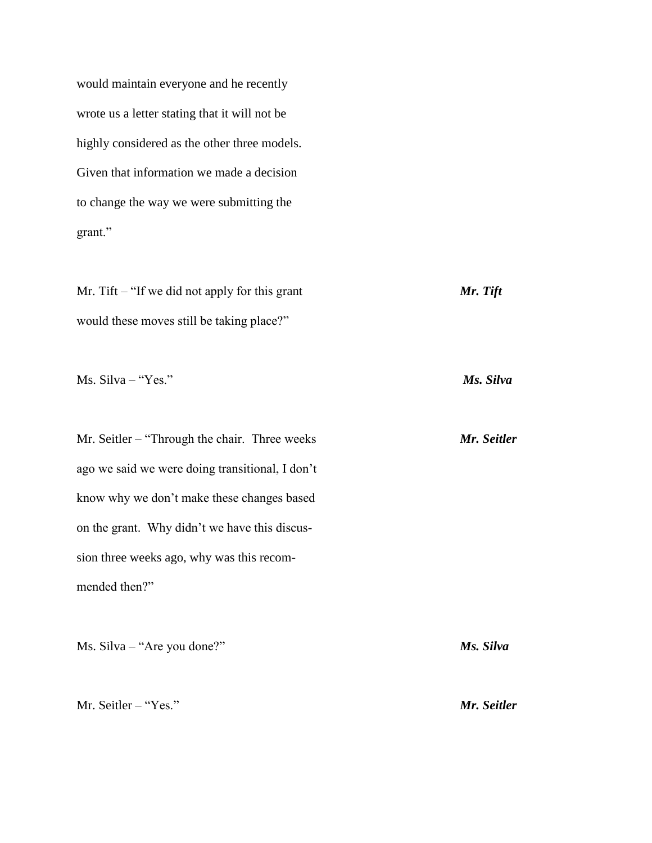would maintain everyone and he recently wrote us a letter stating that it will not be highly considered as the other three models. Given that information we made a decision to change the way we were submitting the grant."

Mr. Tift – "If we did not apply for this grant *Mr. Tift* would these moves still be taking place?"

Ms. Silva – "Yes." *Ms. Silva*

Mr. Seitler – "Through the chair. Three weeks *Mr. Seitler* ago we said we were doing transitional, I don't know why we don't make these changes based on the grant. Why didn't we have this discussion three weeks ago, why was this recommended then?"

Ms. Silva – "Are you done?" *Ms. Silva* Mr. Seitler – "Yes." *Mr. Seitler*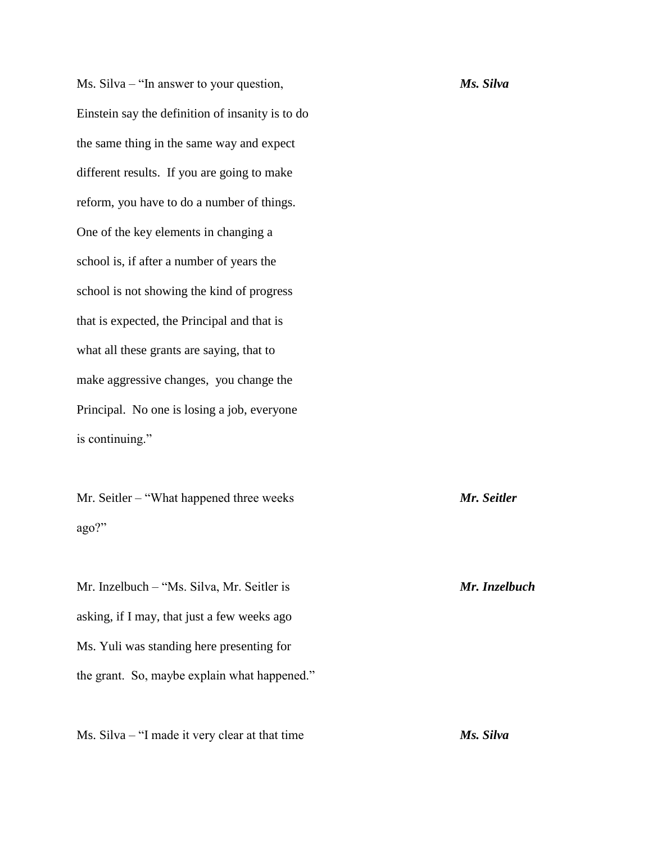Ms. Silva – "In answer to your question, *Ms. Silva* Einstein say the definition of insanity is to do the same thing in the same way and expect different results. If you are going to make reform, you have to do a number of things. One of the key elements in changing a school is, if after a number of years the school is not showing the kind of progress that is expected, the Principal and that is what all these grants are saying, that to make aggressive changes, you change the Principal. No one is losing a job, everyone is continuing."

Mr. Seitler – "What happened three weeks *Mr. Seitler* ago?"

Mr. Inzelbuch – "Ms. Silva, Mr. Seitler is *Mr. Inzelbuch* asking, if I may, that just a few weeks ago Ms. Yuli was standing here presenting for the grant. So, maybe explain what happened."

Ms. Silva – "I made it very clear at that time *Ms. Silva*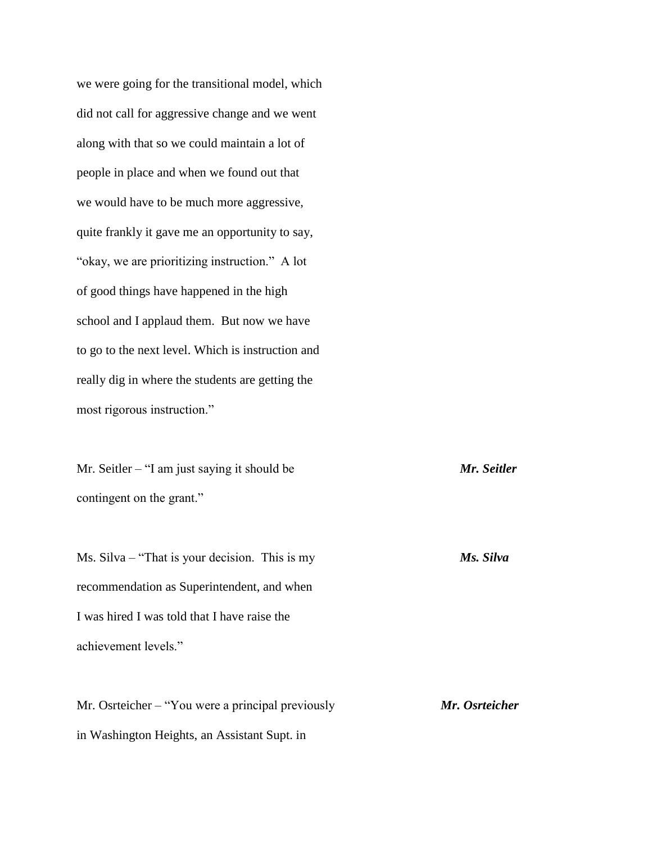we were going for the transitional model, which did not call for aggressive change and we went along with that so we could maintain a lot of people in place and when we found out that we would have to be much more aggressive, quite frankly it gave me an opportunity to say, "okay, we are prioritizing instruction." A lot of good things have happened in the high school and I applaud them. But now we have to go to the next level. Which is instruction and really dig in where the students are getting the most rigorous instruction."

Mr. Seitler – "I am just saying it should be *Mr. Seitler* contingent on the grant."

Ms. Silva – "That is your decision. This is my *Ms. Silva* recommendation as Superintendent, and when I was hired I was told that I have raise the achievement levels."

Mr. Osrteicher – "You were a principal previously *Mr. Osrteicher* in Washington Heights, an Assistant Supt. in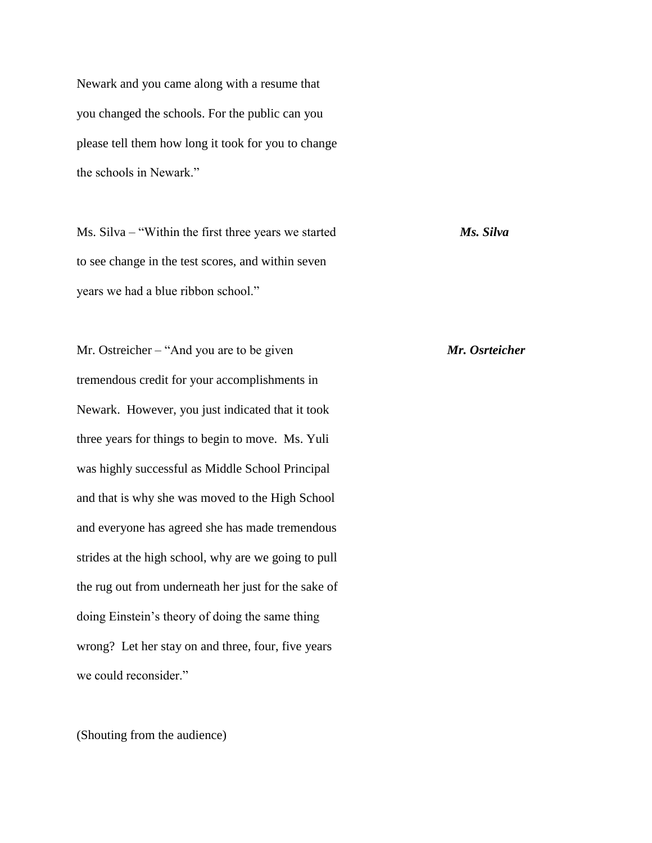Newark and you came along with a resume that you changed the schools. For the public can you please tell them how long it took for you to change the schools in Newark."

Ms. Silva – "Within the first three years we started *Ms. Silva* to see change in the test scores, and within seven years we had a blue ribbon school."

Mr. Ostreicher – "And you are to be given *Mr. Osrteicher* tremendous credit for your accomplishments in Newark. However, you just indicated that it took three years for things to begin to move. Ms. Yuli was highly successful as Middle School Principal and that is why she was moved to the High School and everyone has agreed she has made tremendous strides at the high school, why are we going to pull the rug out from underneath her just for the sake of doing Einstein's theory of doing the same thing wrong? Let her stay on and three, four, five years we could reconsider."

(Shouting from the audience)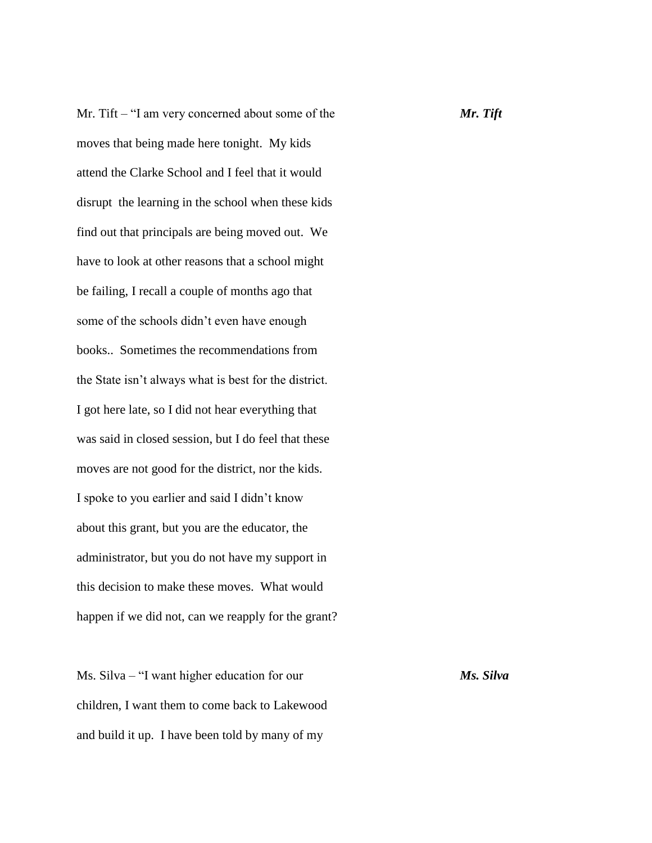Mr. Tift – "I am very concerned about some of the *Mr. Tift* moves that being made here tonight. My kids attend the Clarke School and I feel that it would disrupt the learning in the school when these kids find out that principals are being moved out. We have to look at other reasons that a school might be failing, I recall a couple of months ago that some of the schools didn't even have enough books.. Sometimes the recommendations from the State isn't always what is best for the district. I got here late, so I did not hear everything that was said in closed session, but I do feel that these moves are not good for the district, nor the kids. I spoke to you earlier and said I didn't know about this grant, but you are the educator, the administrator, but you do not have my support in this decision to make these moves. What would happen if we did not, can we reapply for the grant?

Ms. Silva – "I want higher education for our *Ms. Silva* children, I want them to come back to Lakewood and build it up. I have been told by many of my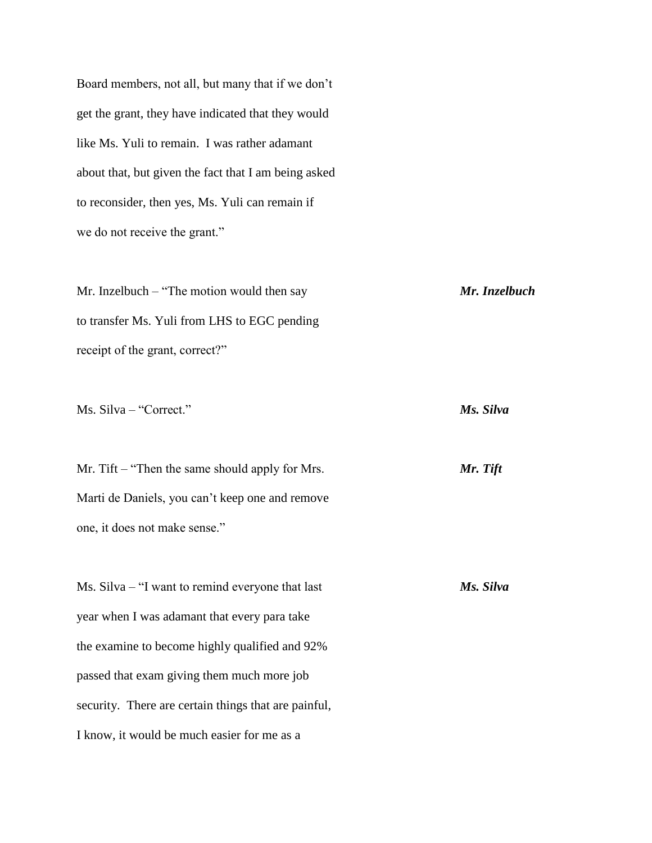Board members, not all, but many that if we don't get the grant, they have indicated that they would like Ms. Yuli to remain. I was rather adamant about that, but given the fact that I am being asked to reconsider, then yes, Ms. Yuli can remain if we do not receive the grant."

Mr. Inzelbuch – "The motion would then say *Mr. Inzelbuch* to transfer Ms. Yuli from LHS to EGC pending receipt of the grant, correct?"

Ms. Silva – "Correct." *Ms. Silva*

Mr. Tift – "Then the same should apply for Mrs. *Mr. Tift* Marti de Daniels, you can't keep one and remove one, it does not make sense."

Ms. Silva – "I want to remind everyone that last *Ms. Silva* year when I was adamant that every para take the examine to become highly qualified and 92% passed that exam giving them much more job security. There are certain things that are painful, I know, it would be much easier for me as a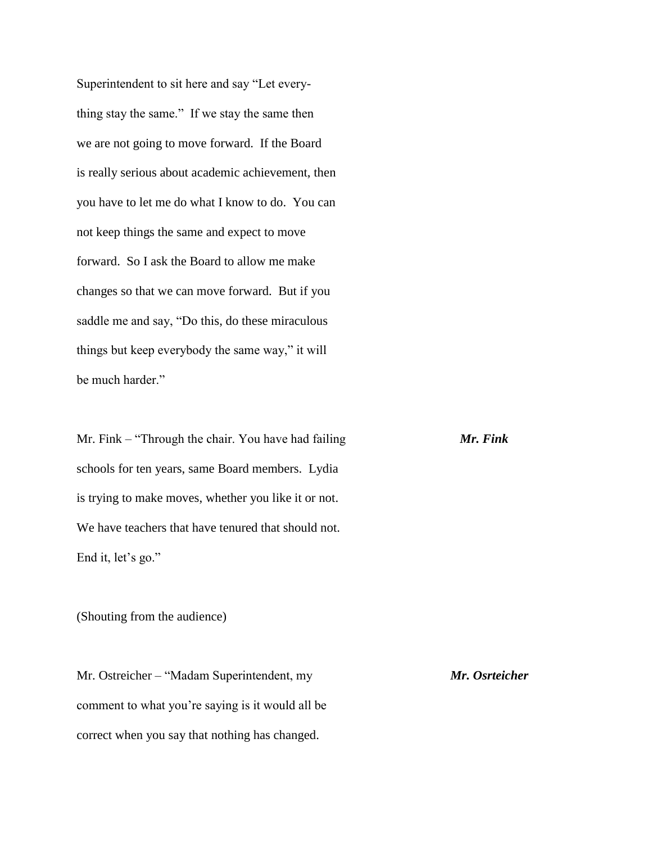Superintendent to sit here and say "Let everything stay the same." If we stay the same then we are not going to move forward. If the Board is really serious about academic achievement, then you have to let me do what I know to do. You can not keep things the same and expect to move forward. So I ask the Board to allow me make changes so that we can move forward. But if you saddle me and say, "Do this, do these miraculous things but keep everybody the same way," it will be much harder."

Mr. Fink – "Through the chair. You have had failing *Mr. Fink* schools for ten years, same Board members. Lydia is trying to make moves, whether you like it or not. We have teachers that have tenured that should not. End it, let's go."

(Shouting from the audience)

Mr. Ostreicher – "Madam Superintendent, my *Mr. Osrteicher* comment to what you're saying is it would all be correct when you say that nothing has changed.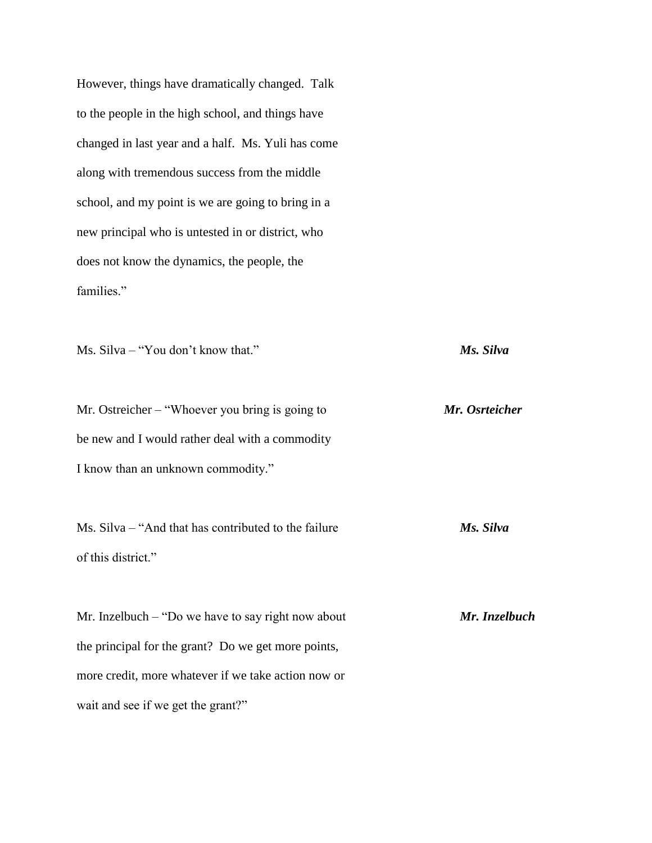However, things have dramatically changed. Talk to the people in the high school, and things have changed in last year and a half. Ms. Yuli has come along with tremendous success from the middle school, and my point is we are going to bring in a new principal who is untested in or district, who does not know the dynamics, the people, the families."

Ms. Silva – "You don't know that." *Ms. Silva*

Mr. Ostreicher – "Whoever you bring is going to *Mr. Osrteicher* be new and I would rather deal with a commodity I know than an unknown commodity."

Ms. Silva – "And that has contributed to the failure *Ms. Silva* of this district."

Mr. Inzelbuch – "Do we have to say right now about *Mr. Inzelbuch* the principal for the grant? Do we get more points, more credit, more whatever if we take action now or wait and see if we get the grant?"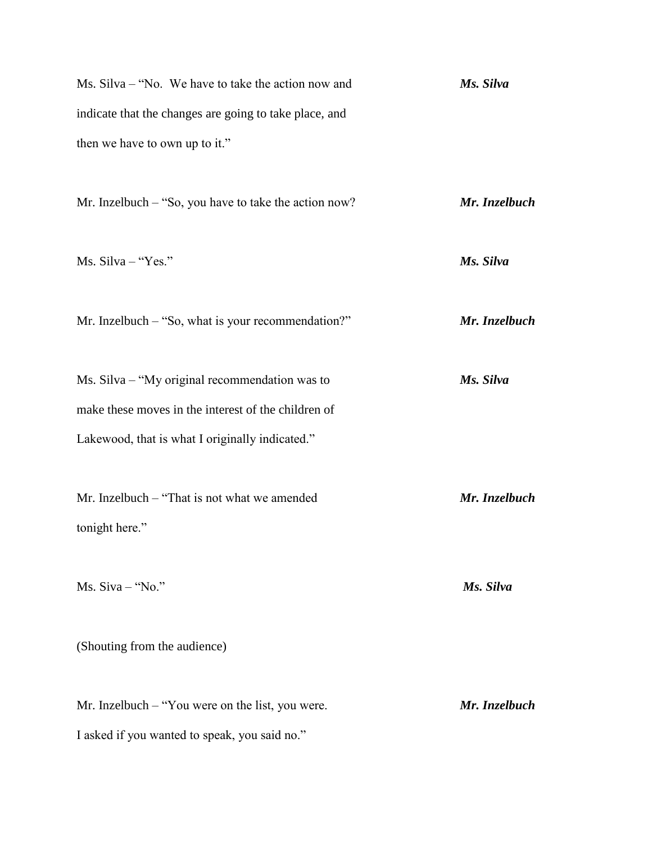| $Ms. Silva - "No. We have to take the action now and$  | Ms. Silva |
|--------------------------------------------------------|-----------|
| indicate that the changes are going to take place, and |           |
| then we have to own up to it."                         |           |

Mr. Inzelbuch – "So, you have to take the action now? *Mr. Inzelbuch*

Ms. Silva – "Yes." *Ms. Silva*

Mr. Inzelbuch – "So, what is your recommendation?" *Mr. Inzelbuch*

Ms. Silva – "My original recommendation was to *Ms. Silva* make these moves in the interest of the children of Lakewood, that is what I originally indicated."

Mr. Inzelbuch – "That is not what we amended *Mr. Inzelbuch* tonight here."

Ms. Siva – "No." *Ms. Silva*

(Shouting from the audience)

Mr. Inzelbuch – "You were on the list, you were. *Mr. Inzelbuch* I asked if you wanted to speak, you said no."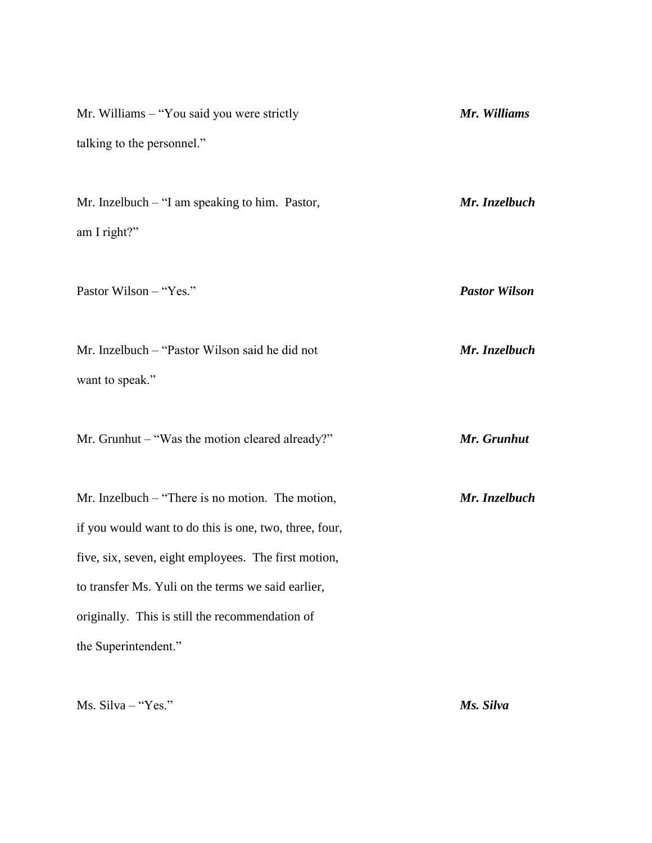| Mr. Williams - "You said you were strictly                                                                   | Mr. Williams         |
|--------------------------------------------------------------------------------------------------------------|----------------------|
| talking to the personnel."                                                                                   |                      |
| Mr. Inzelbuch – "I am speaking to him. Pastor,<br>am I right?"                                               | Mr. Inzelbuch        |
| Pastor Wilson - "Yes."                                                                                       | <b>Pastor Wilson</b> |
| Mr. Inzelbuch - "Pastor Wilson said he did not<br>want to speak."                                            | Mr. Inzelbuch        |
| Mr. Grunhut - "Was the motion cleared already?"                                                              | Mr. Grunhut          |
| Mr. Inzelbuch $-$ "There is no motion. The motion,<br>if you would want to do this is one, two, three, four, | Mr. Inzelbuch        |
| five, six, seven, eight employees. The first motion,                                                         |                      |
| to transfer Ms. Yuli on the terms we said earlier,                                                           |                      |
| originally. This is still the recommendation of                                                              |                      |
| the Superintendent."                                                                                         |                      |

Ms. Silva – "Yes." *Ms. Silva*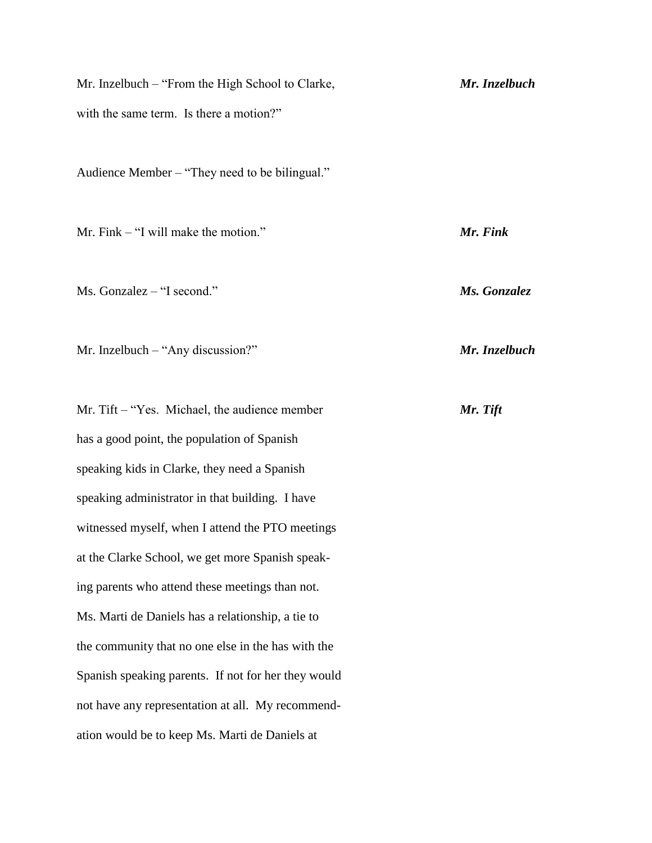| Mr. Inzelbuch – "From the High School to Clarke,    | Mr. Inzelbuch |
|-----------------------------------------------------|---------------|
| with the same term. Is there a motion?"             |               |
| Audience Member – "They need to be bilingual."      |               |
| Mr. Fink $-$ "I will make the motion."              | Mr. Fink      |
| Ms. Gonzalez – "I second."                          | Ms. Gonzalez  |
| Mr. Inzelbuch $-$ "Any discussion?"                 | Mr. Inzelbuch |
| Mr. Tift – "Yes. Michael, the audience member       | Mr. Tift      |
| has a good point, the population of Spanish         |               |
| speaking kids in Clarke, they need a Spanish        |               |
| speaking administrator in that building. I have     |               |
| witnessed myself, when I attend the PTO meetings    |               |
| at the Clarke School, we get more Spanish speak-    |               |
| ing parents who attend these meetings than not.     |               |
| Ms. Marti de Daniels has a relationship, a tie to   |               |
| the community that no one else in the has with the  |               |
| Spanish speaking parents. If not for her they would |               |
| not have any representation at all. My recommend-   |               |
| ation would be to keep Ms. Marti de Daniels at      |               |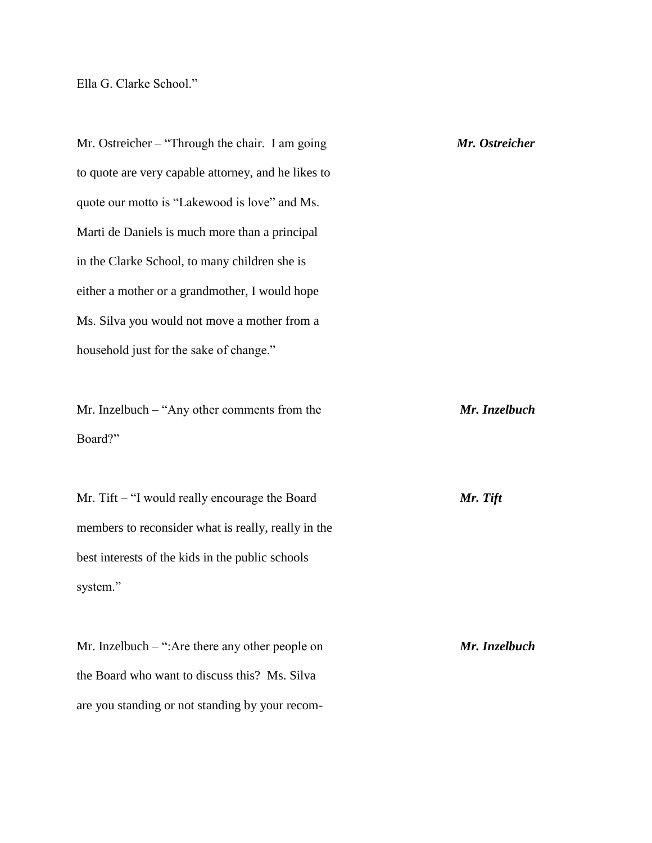Ella G. Clarke School."

Mr. Ostreicher – "Through the chair. I am going *Mr. Ostreicher* to quote are very capable attorney, and he likes to quote our motto is "Lakewood is love" and Ms. Marti de Daniels is much more than a principal in the Clarke School, to many children she is either a mother or a grandmother, I would hope Ms. Silva you would not move a mother from a household just for the sake of change."

Mr. Inzelbuch – "Any other comments from the *Mr. Inzelbuch* Board?"

Mr. Tift – "I would really encourage the Board *Mr. Tift* members to reconsider what is really, really in the best interests of the kids in the public schools system."

Mr. Inzelbuch – ":Are there any other people on *Mr. Inzelbuch* the Board who want to discuss this? Ms. Silva are you standing or not standing by your recom-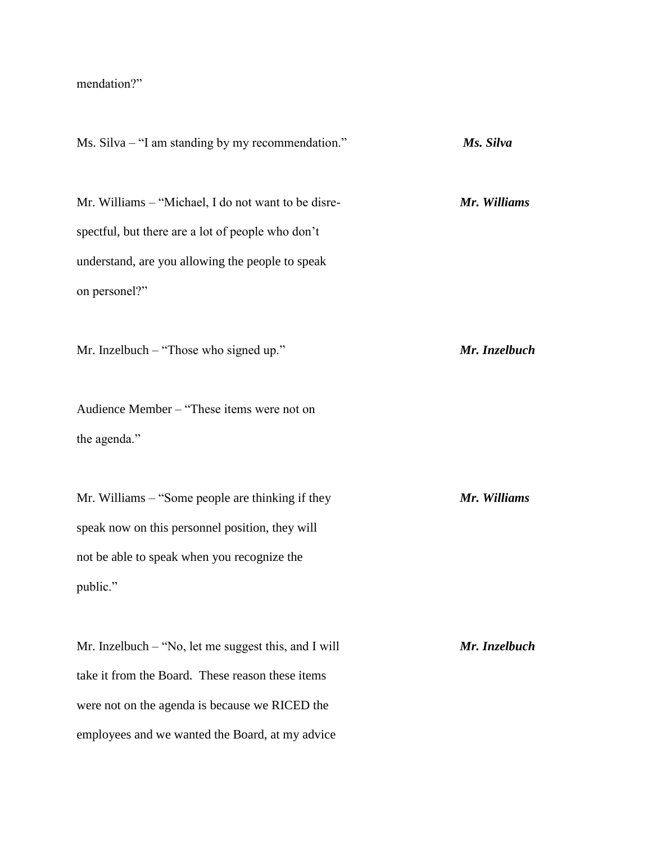## mendation?"

Ms. Silva – "I am standing by my recommendation." *Ms. Silva* Mr. Williams – "Michael, I do not want to be disre- *Mr. Williams* spectful, but there are a lot of people who don't understand, are you allowing the people to speak on personel?" Mr. Inzelbuch – "Those who signed up." *Mr. Inzelbuch* Audience Member – "These items were not on the agenda." Mr. Williams – "Some people are thinking if they *Mr. Williams* speak now on this personnel position, they will not be able to speak when you recognize the public." Mr. Inzelbuch – "No, let me suggest this, and I will *Mr. Inzelbuch* take it from the Board. These reason these items were not on the agenda is because we RICED the employees and we wanted the Board, at my advice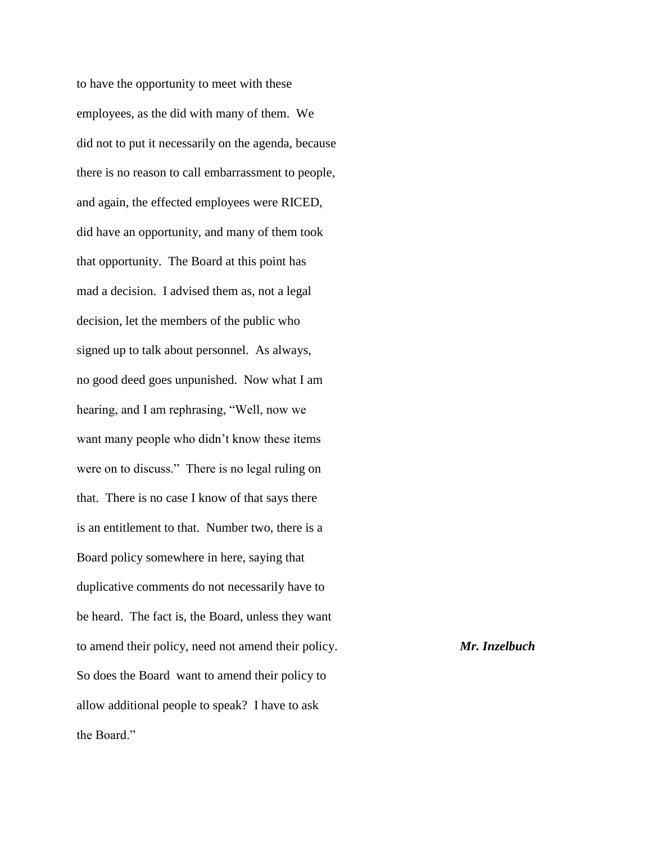to have the opportunity to meet with these employees, as the did with many of them. We did not to put it necessarily on the agenda, because there is no reason to call embarrassment to people, and again, the effected employees were RICED, did have an opportunity, and many of them took that opportunity. The Board at this point has mad a decision. I advised them as, not a legal decision, let the members of the public who signed up to talk about personnel. As always, no good deed goes unpunished. Now what I am hearing, and I am rephrasing, "Well, now we want many people who didn't know these items were on to discuss." There is no legal ruling on that. There is no case I know of that says there is an entitlement to that. Number two, there is a Board policy somewhere in here, saying that duplicative comments do not necessarily have to be heard. The fact is, the Board, unless they want to amend their policy, need not amend their policy. *Mr. Inzelbuch* So does the Board want to amend their policy to allow additional people to speak? I have to ask the Board."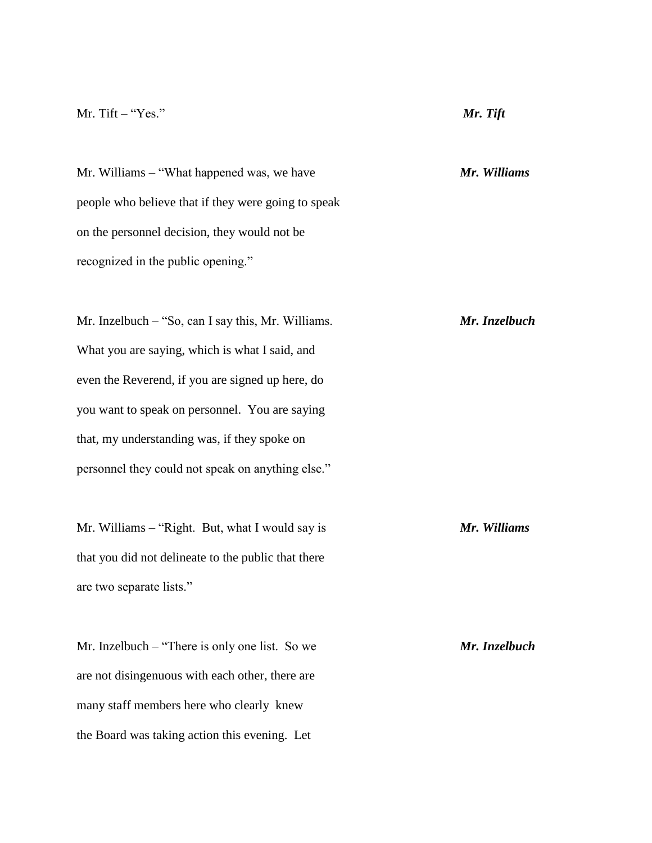### Mr. Tift – "Yes." *Mr. Tift*

Mr. Williams – "What happened was, we have *Mr. Williams* people who believe that if they were going to speak on the personnel decision, they would not be recognized in the public opening."

Mr. Inzelbuch – "So, can I say this, Mr. Williams. *Mr. Inzelbuch* What you are saying, which is what I said, and even the Reverend, if you are signed up here, do you want to speak on personnel. You are saying that, my understanding was, if they spoke on personnel they could not speak on anything else."

Mr. Williams – "Right. But, what I would say is *Mr. Williams* that you did not delineate to the public that there are two separate lists."

Mr. Inzelbuch – "There is only one list. So we *Mr. Inzelbuch* are not disingenuous with each other, there are many staff members here who clearly knew the Board was taking action this evening. Let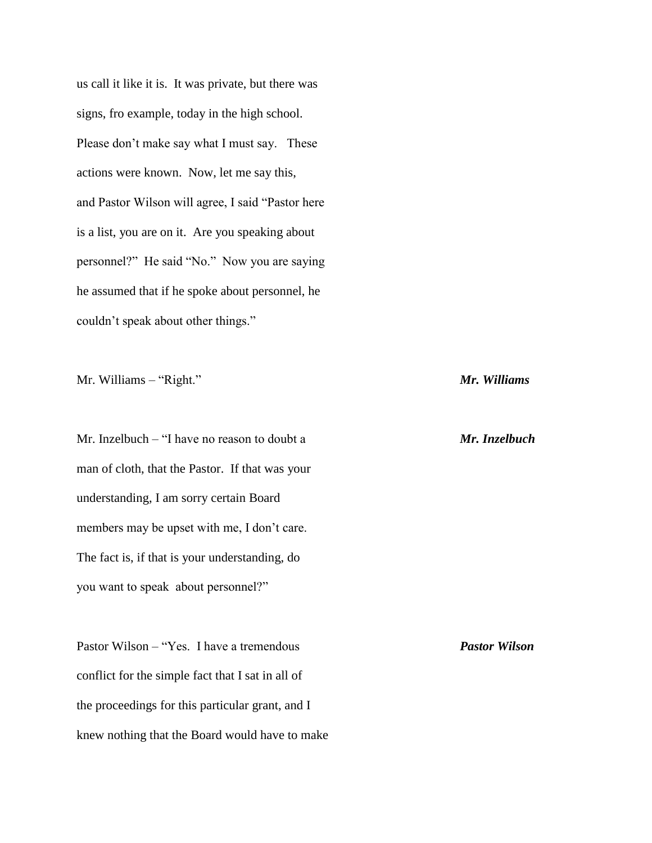us call it like it is. It was private, but there was signs, fro example, today in the high school. Please don't make say what I must say. These actions were known. Now, let me say this, and Pastor Wilson will agree, I said "Pastor here is a list, you are on it. Are you speaking about personnel?" He said "No." Now you are saying he assumed that if he spoke about personnel, he couldn't speak about other things."

Mr. Williams – "Right." *Mr. Williams*

Mr. Inzelbuch – "I have no reason to doubt a *Mr. Inzelbuch* man of cloth, that the Pastor. If that was your understanding, I am sorry certain Board members may be upset with me, I don't care. The fact is, if that is your understanding, do you want to speak about personnel?"

Pastor Wilson – "Yes. I have a tremendous *Pastor Wilson* conflict for the simple fact that I sat in all of the proceedings for this particular grant, and I knew nothing that the Board would have to make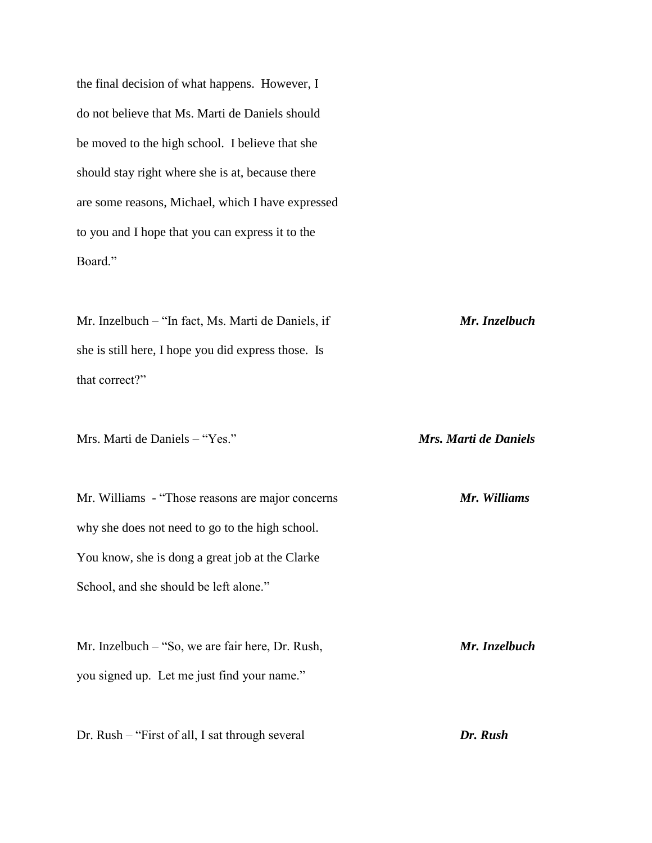the final decision of what happens. However, I do not believe that Ms. Marti de Daniels should be moved to the high school. I believe that she should stay right where she is at, because there are some reasons, Michael, which I have expressed to you and I hope that you can express it to the Board."

Mr. Inzelbuch – "In fact, Ms. Marti de Daniels, if *Mr. Inzelbuch* she is still here, I hope you did express those. Is that correct?"

Mrs. Marti de Daniels – "Yes." *Mrs. Marti de Daniels*

Mr. Williams - "Those reasons are major concerns *Mr. Williams* why she does not need to go to the high school. You know, she is dong a great job at the Clarke School, and she should be left alone."

Mr. Inzelbuch – "So, we are fair here, Dr. Rush, *Mr. Inzelbuch* you signed up. Let me just find your name."

Dr. Rush – "First of all, I sat through several *Dr. Rush*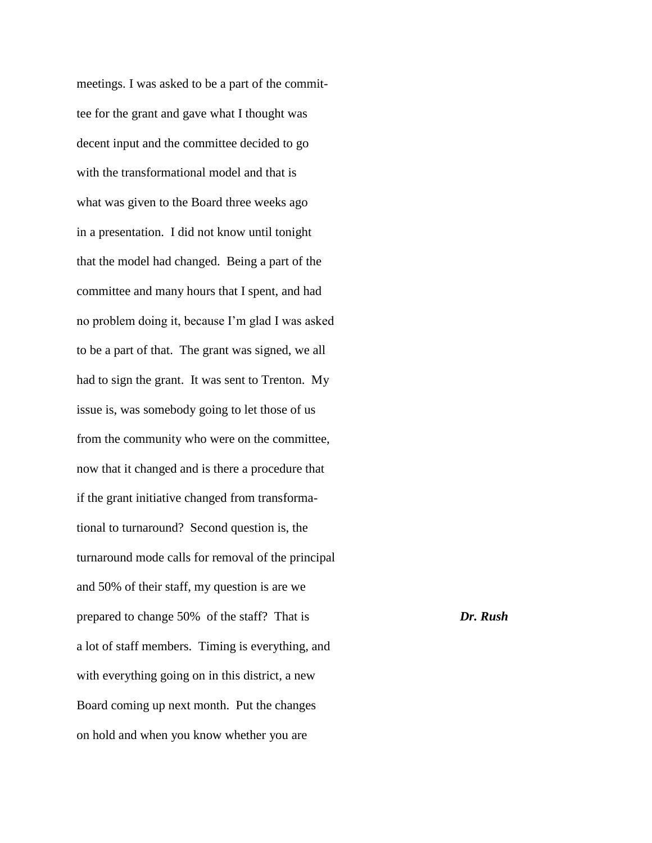meetings. I was asked to be a part of the committee for the grant and gave what I thought was decent input and the committee decided to go with the transformational model and that is what was given to the Board three weeks ago in a presentation. I did not know until tonight that the model had changed. Being a part of the committee and many hours that I spent, and had no problem doing it, because I'm glad I was asked to be a part of that. The grant was signed, we all had to sign the grant. It was sent to Trenton. My issue is, was somebody going to let those of us from the community who were on the committee, now that it changed and is there a procedure that if the grant initiative changed from transformational to turnaround? Second question is, the turnaround mode calls for removal of the principal and 50% of their staff, my question is are we prepared to change 50% of the staff? That is *Dr. Rush* a lot of staff members. Timing is everything, and with everything going on in this district, a new Board coming up next month. Put the changes on hold and when you know whether you are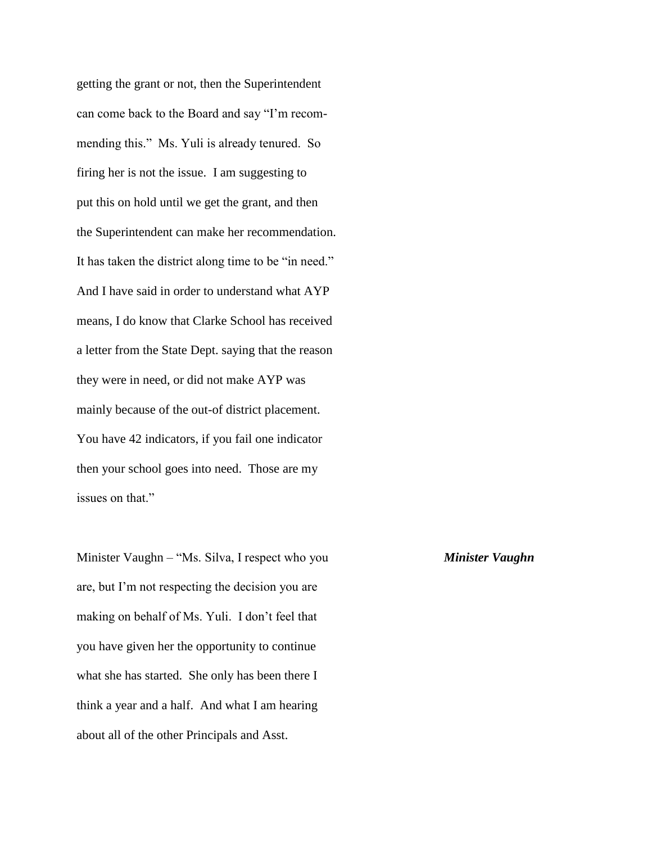getting the grant or not, then the Superintendent can come back to the Board and say "I'm recommending this." Ms. Yuli is already tenured. So firing her is not the issue. I am suggesting to put this on hold until we get the grant, and then the Superintendent can make her recommendation. It has taken the district along time to be "in need." And I have said in order to understand what AYP means, I do know that Clarke School has received a letter from the State Dept. saying that the reason they were in need, or did not make AYP was mainly because of the out-of district placement. You have 42 indicators, if you fail one indicator then your school goes into need. Those are my issues on that."

Minister Vaughn – "Ms. Silva, I respect who you *Minister Vaughn* are, but I'm not respecting the decision you are making on behalf of Ms. Yuli. I don't feel that you have given her the opportunity to continue what she has started. She only has been there I think a year and a half. And what I am hearing about all of the other Principals and Asst.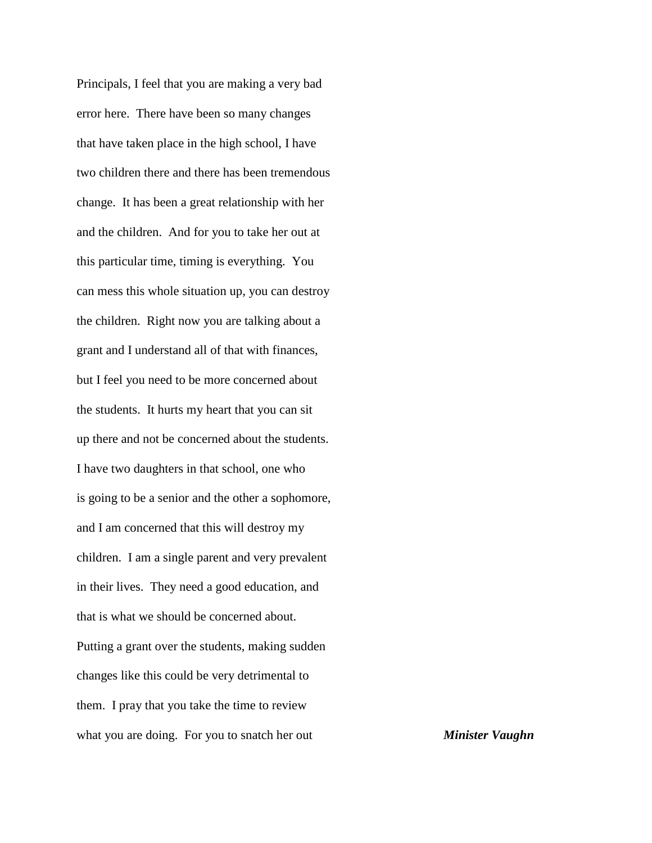Principals, I feel that you are making a very bad error here. There have been so many changes that have taken place in the high school, I have two children there and there has been tremendous change. It has been a great relationship with her and the children. And for you to take her out at this particular time, timing is everything. You can mess this whole situation up, you can destroy the children. Right now you are talking about a grant and I understand all of that with finances, but I feel you need to be more concerned about the students. It hurts my heart that you can sit up there and not be concerned about the students. I have two daughters in that school, one who is going to be a senior and the other a sophomore, and I am concerned that this will destroy my children. I am a single parent and very prevalent in their lives. They need a good education, and that is what we should be concerned about. Putting a grant over the students, making sudden changes like this could be very detrimental to them. I pray that you take the time to review what you are doing. For you to snatch her out **Minister Vaughn**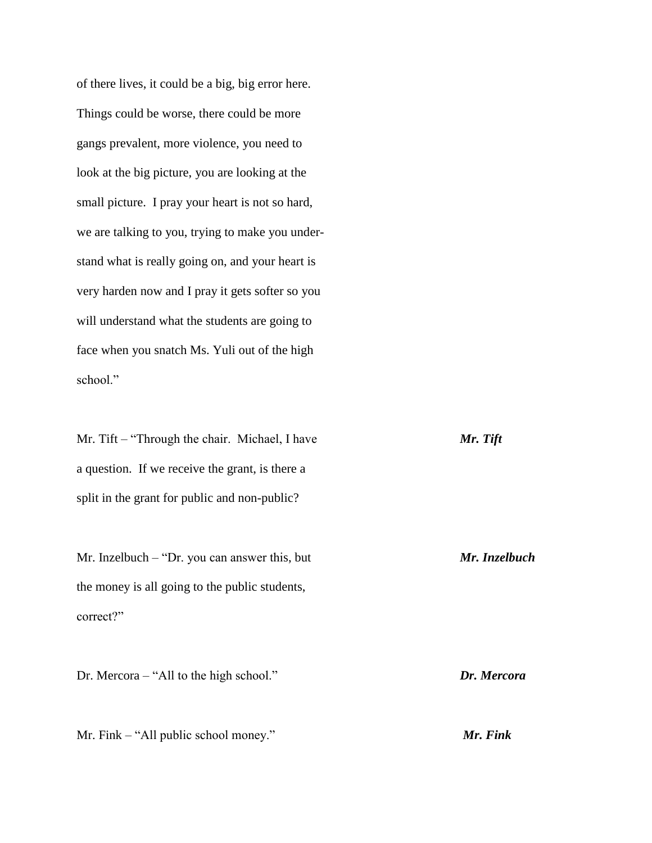of there lives, it could be a big, big error here. Things could be worse, there could be more gangs prevalent, more violence, you need to look at the big picture, you are looking at the small picture. I pray your heart is not so hard, we are talking to you, trying to make you understand what is really going on, and your heart is very harden now and I pray it gets softer so you will understand what the students are going to face when you snatch Ms. Yuli out of the high school."

Mr. Tift – "Through the chair. Michael, I have *Mr. Tift* a question. If we receive the grant, is there a split in the grant for public and non-public?

Mr. Inzelbuch – "Dr. you can answer this, but *Mr. Inzelbuch* the money is all going to the public students, correct?"

Dr. Mercora – "All to the high school." *Dr. Mercora*

Mr. Fink – "All public school money." *Mr. Fink*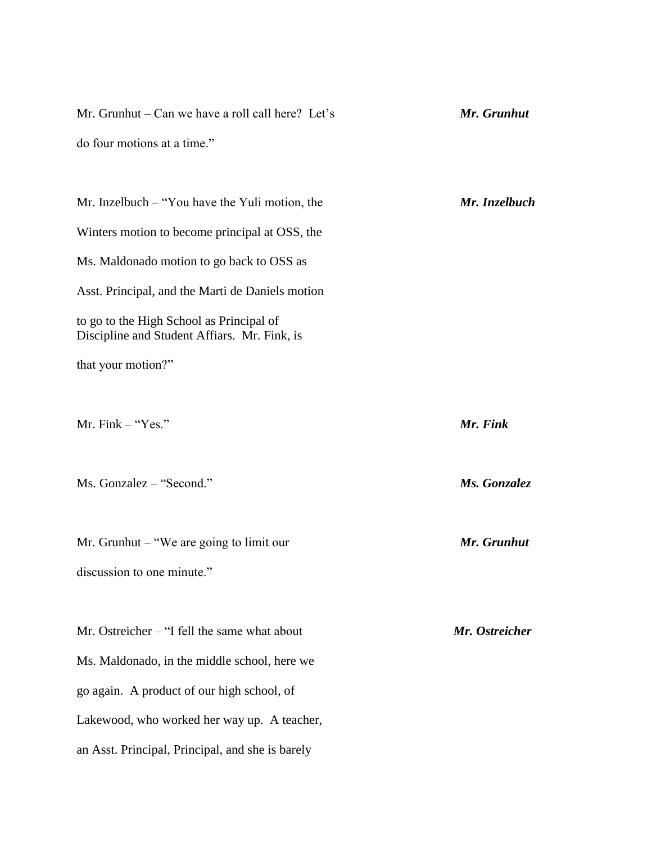| Mr. Grunhut – Can we have a roll call here? Let's                                        | Mr. Grunhut    |
|------------------------------------------------------------------------------------------|----------------|
| do four motions at a time."                                                              |                |
|                                                                                          |                |
| Mr. Inzelbuch $-$ "You have the Yuli motion, the                                         | Mr. Inzelbuch  |
| Winters motion to become principal at OSS, the                                           |                |
| Ms. Maldonado motion to go back to OSS as                                                |                |
| Asst. Principal, and the Marti de Daniels motion                                         |                |
| to go to the High School as Principal of<br>Discipline and Student Affiars. Mr. Fink, is |                |
| that your motion?"                                                                       |                |
|                                                                                          |                |
| Mr. Fink - "Yes."                                                                        | Mr. Fink       |
|                                                                                          |                |
| Ms. Gonzalez - "Second."                                                                 | Ms. Gonzalez   |
|                                                                                          |                |
| Mr. Grunhut – "We are going to limit our                                                 | Mr. Grunhut    |
| discussion to one minute."                                                               |                |
|                                                                                          |                |
| Mr. Ostreicher – "I fell the same what about                                             | Mr. Ostreicher |
| Ms. Maldonado, in the middle school, here we                                             |                |
| go again. A product of our high school, of                                               |                |
| Lakewood, who worked her way up. A teacher,                                              |                |
| an Asst. Principal, Principal, and she is barely                                         |                |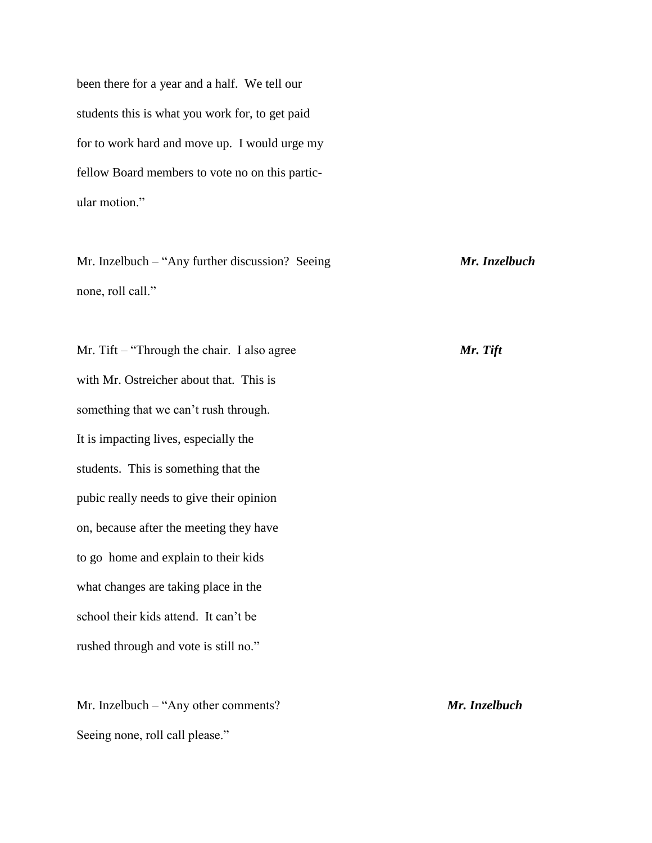been there for a year and a half. We tell our students this is what you work for, to get paid for to work hard and move up. I would urge my fellow Board members to vote no on this particular motion."

Mr. Inzelbuch – "Any further discussion? Seeing *Mr. Inzelbuch* none, roll call."

Mr. Tift – "Through the chair. I also agree *Mr. Tift* with Mr. Ostreicher about that. This is something that we can't rush through. It is impacting lives, especially the students. This is something that the pubic really needs to give their opinion on, because after the meeting they have to go home and explain to their kids what changes are taking place in the school their kids attend. It can't be rushed through and vote is still no."

Mr. Inzelbuch – "Any other comments? *Mr. Inzelbuch* Seeing none, roll call please."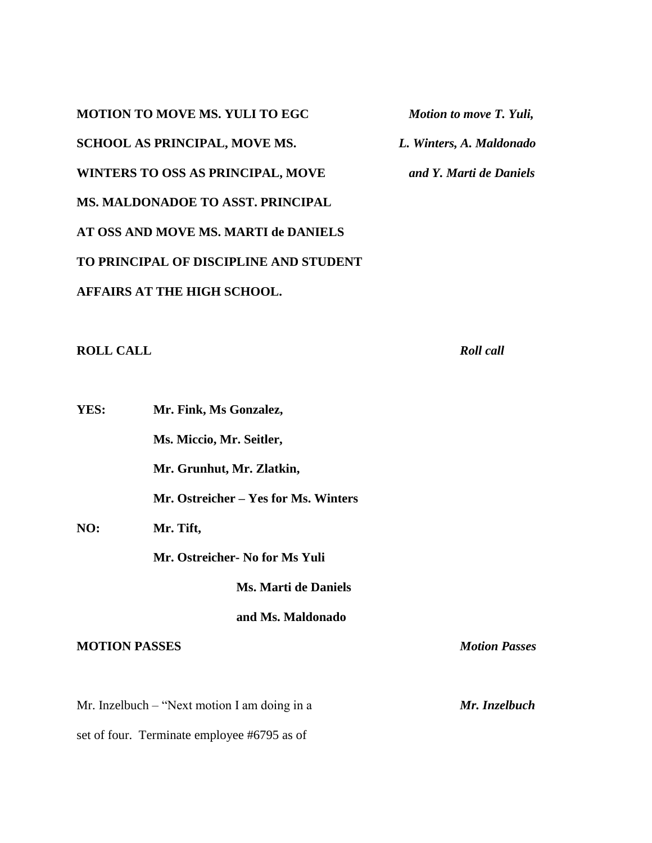**MOTION TO MOVE MS. YULI TO EGC** *Motion to move T. Yuli,*  **SCHOOL AS PRINCIPAL, MOVE MS.** *L. Winters, A. Maldonado* **WINTERS TO OSS AS PRINCIPAL, MOVE** *and Y. Marti de Daniels* **MS. MALDONADOE TO ASST. PRINCIPAL AT OSS AND MOVE MS. MARTI de DANIELS TO PRINCIPAL OF DISCIPLINE AND STUDENT AFFAIRS AT THE HIGH SCHOOL.**

**ROLL CALL** *Roll call*

**YES: Mr. Fink, Ms Gonzalez, Ms. Miccio, Mr. Seitler, Mr. Grunhut, Mr. Zlatkin, Mr. Ostreicher – Yes for Ms. Winters NO: Mr. Tift, Mr. Ostreicher- No for Ms Yuli Ms. Marti de Daniels and Ms. Maldonado MOTION PASSES** *Motion Passes*

Mr. Inzelbuch – "Next motion I am doing in a *Mr. Inzelbuch* set of four. Terminate employee #6795 as of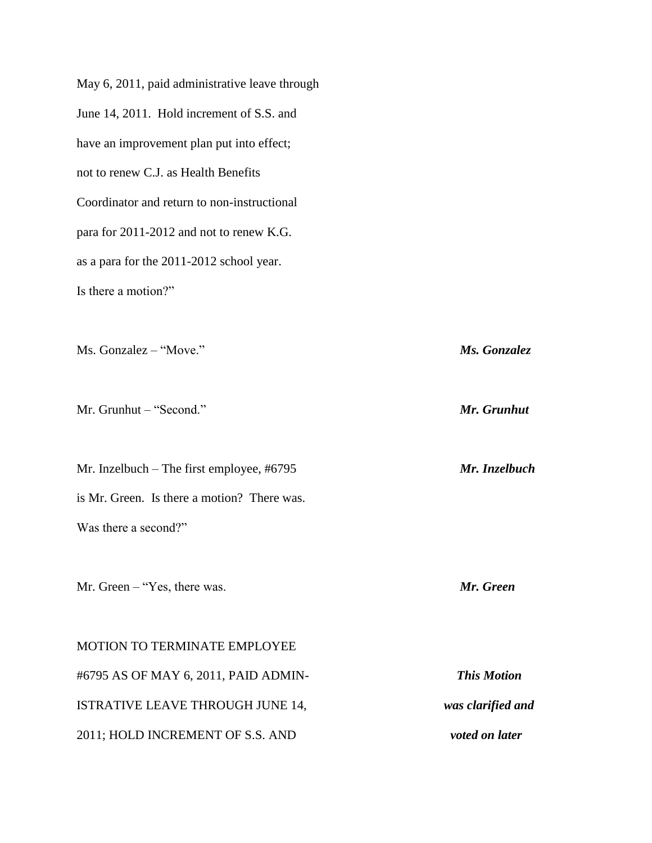May 6, 2011, paid administrative leave through June 14, 2011. Hold increment of S.S. and have an improvement plan put into effect; not to renew C.J. as Health Benefits Coordinator and return to non-instructional para for 2011-2012 and not to renew K.G. as a para for the 2011-2012 school year. Is there a motion?" Ms. Gonzalez – "Move." *Ms. Gonzalez* Mr. Grunhut – "Second." *Mr. Grunhut* Mr. Inzelbuch – The first employee, #6795 *Mr. Inzelbuch* is Mr. Green. Is there a motion? There was. Was there a second?" Mr. Green – "Yes, there was. *Mr. Green* MOTION TO TERMINATE EMPLOYEE #6795 AS OF MAY 6, 2011, PAID ADMIN- *This Motion* ISTRATIVE LEAVE THROUGH JUNE 14, *was clarified and* 2011; HOLD INCREMENT OF S.S. AND *voted on later*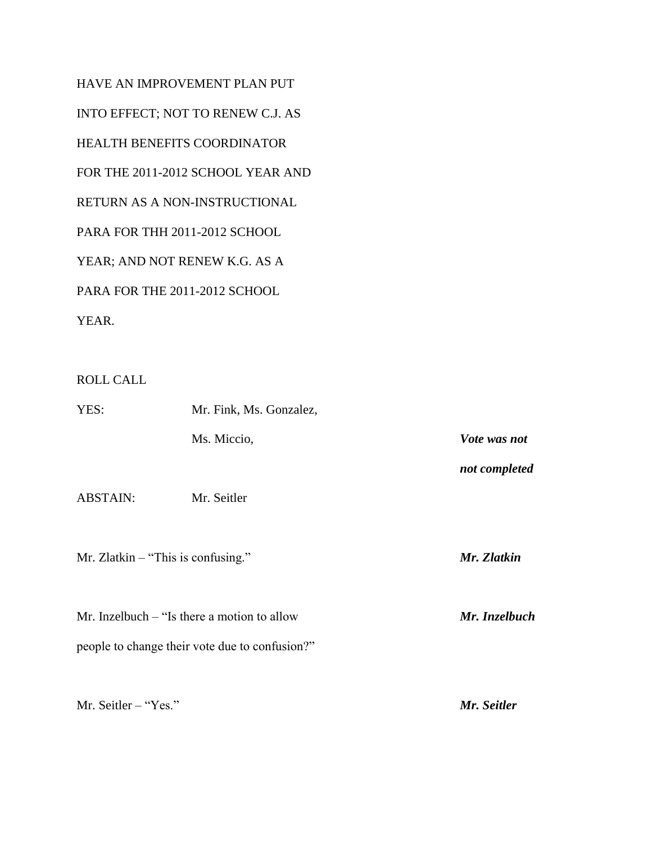HAVE AN IMPROVEMENT PLAN PUT INTO EFFECT; NOT TO RENEW C.J. AS HEALTH BENEFITS COORDINATOR FOR THE 2011-2012 SCHOOL YEAR AND RETURN AS A NON-INSTRUCTIONAL PARA FOR THH 2011-2012 SCHOOL YEAR; AND NOT RENEW K.G. AS A PARA FOR THE 2011-2012 SCHOOL YEAR.

# ROLL CALL

| YES:            | Mr. Fink, Ms. Gonzalez,                        |               |
|-----------------|------------------------------------------------|---------------|
|                 | Ms. Miccio,                                    | Vote was not  |
|                 |                                                | not completed |
| <b>ABSTAIN:</b> | Mr. Seitler                                    |               |
|                 |                                                |               |
|                 | Mr. Zlatkin $-$ "This is confusing."           | Mr. Zlatkin   |
|                 |                                                |               |
|                 | Mr. Inzelbuch $-$ "Is there a motion to allow  | Mr. Inzelbuch |
|                 | people to change their vote due to confusion?" |               |
|                 |                                                |               |
|                 |                                                |               |

Mr. Seitler – "Yes." *Mr. Seitler*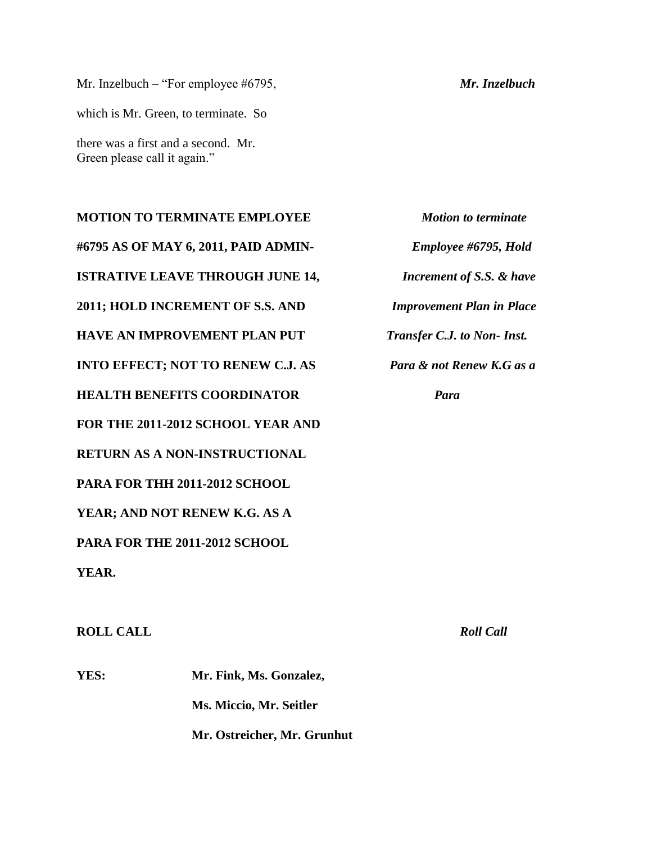Mr. Inzelbuch – "For employee #6795, *Mr. Inzelbuch* which is Mr. Green, to terminate. So there was a first and a second. Mr. Green please call it again."

**MOTION TO TERMINATE EMPLOYEE** *Motion to terminate* **#6795 AS OF MAY 6, 2011, PAID ADMIN-** *Employee #6795, Hold*  **ISTRATIVE LEAVE THROUGH JUNE 14,** *Increment of S.S. & have* **2011; HOLD INCREMENT OF S.S. AND** *Improvement Plan in Place* **HAVE AN IMPROVEMENT PLAN PUT** *Transfer C.J. to Non- Inst.* **INTO EFFECT; NOT TO RENEW C.J. AS** *Para & not Renew K.G as a*  **HEALTH BENEFITS COORDINATOR** *Para* **FOR THE 2011-2012 SCHOOL YEAR AND RETURN AS A NON-INSTRUCTIONAL PARA FOR THH 2011-2012 SCHOOL YEAR; AND NOT RENEW K.G. AS A PARA FOR THE 2011-2012 SCHOOL YEAR.**

**ROLL CALL** *Roll Call*

**YES: Mr. Fink, Ms. Gonzalez, Ms. Miccio, Mr. Seitler Mr. Ostreicher, Mr. Grunhut**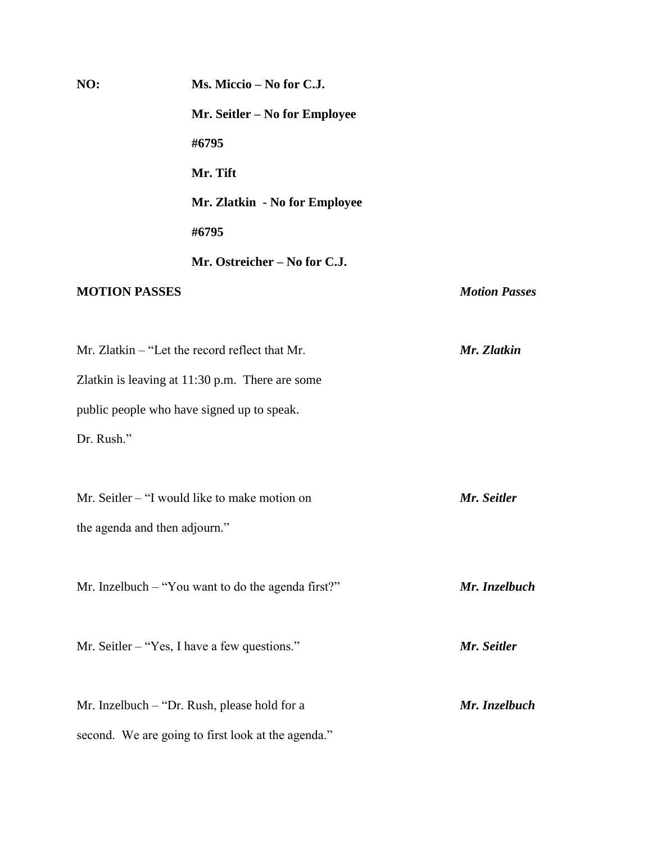| NO:                  | Ms. Miccio - No for C.J.                           |                      |
|----------------------|----------------------------------------------------|----------------------|
|                      | Mr. Seitler – No for Employee                      |                      |
|                      | #6795                                              |                      |
|                      | Mr. Tift                                           |                      |
|                      | Mr. Zlatkin - No for Employee                      |                      |
|                      | #6795                                              |                      |
|                      | Mr. Ostreicher - No for C.J.                       |                      |
| <b>MOTION PASSES</b> |                                                    | <b>Motion Passes</b> |
|                      | Mr. Zlatkin – "Let the record reflect that Mr.     | Mr. Zlatkin          |
|                      | Zlatkin is leaving at $11:30$ p.m. There are some  |                      |
|                      | public people who have signed up to speak.         |                      |
| Dr. Rush."           |                                                    |                      |
|                      | Mr. Seitler – "I would like to make motion on      | Mr. Seitler          |
|                      | the agenda and then adjourn."                      |                      |
|                      | Mr. Inzelbuch – "You want to do the agenda first?" | Mr. Inzelbuch        |
|                      | Mr. Seitler $-$ "Yes, I have a few questions."     | Mr. Seitler          |
|                      | Mr. Inzelbuch – "Dr. Rush, please hold for a       | Mr. Inzelbuch        |
|                      | second. We are going to first look at the agenda." |                      |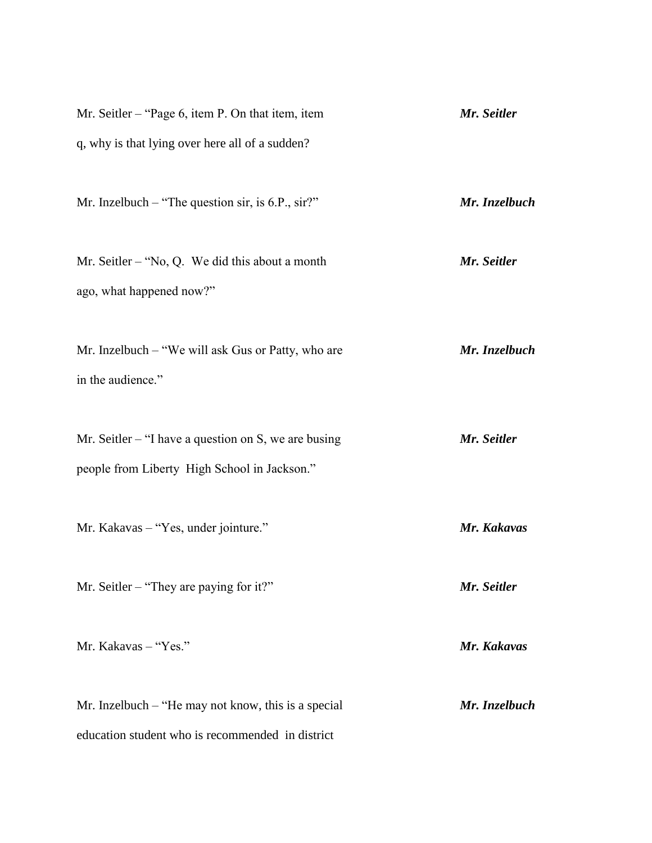| Mr. Seitler – "Page 6, item P. On that item, item                                                         | Mr. Seitler   |
|-----------------------------------------------------------------------------------------------------------|---------------|
| q, why is that lying over here all of a sudden?                                                           |               |
| Mr. Inzelbuch – "The question sir, is 6.P., sir?"                                                         | Mr. Inzelbuch |
| Mr. Seitler – "No, Q. We did this about a month<br>ago, what happened now?"                               | Mr. Seitler   |
| Mr. Inzelbuch – "We will ask Gus or Patty, who are<br>in the audience."                                   | Mr. Inzelbuch |
| Mr. Seitler $-$ "I have a question on S, we are busing<br>people from Liberty High School in Jackson."    | Mr. Seitler   |
| Mr. Kakavas – "Yes, under jointure."                                                                      | Mr. Kakavas   |
| Mr. Seitler – "They are paying for it?"                                                                   | Mr. Seitler   |
| Mr. Kakavas - "Yes."                                                                                      | Mr. Kakavas   |
| Mr. Inzelbuch $-$ "He may not know, this is a special<br>education student who is recommended in district | Mr. Inzelbuch |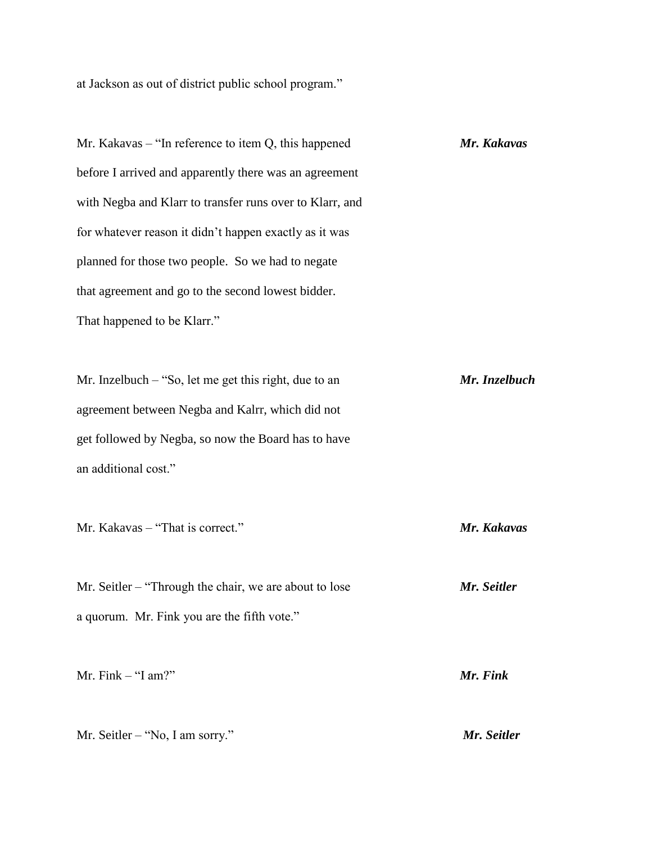at Jackson as out of district public school program."

Mr. Kakavas – "In reference to item Q, this happened *Mr. Kakavas* before I arrived and apparently there was an agreement with Negba and Klarr to transfer runs over to Klarr, and for whatever reason it didn't happen exactly as it was planned for those two people. So we had to negate that agreement and go to the second lowest bidder. That happened to be Klarr." Mr. Inzelbuch – "So, let me get this right, due to an *Mr. Inzelbuch* agreement between Negba and Kalrr, which did not get followed by Negba, so now the Board has to have an additional cost." Mr. Kakavas – "That is correct." *Mr. Kakavas* Mr. Seitler – "Through the chair, we are about to lose *Mr. Seitler* a quorum. Mr. Fink you are the fifth vote." Mr. Fink – "I am?" *Mr. Fink*

Mr. Seitler – "No, I am sorry." *Mr. Seitler*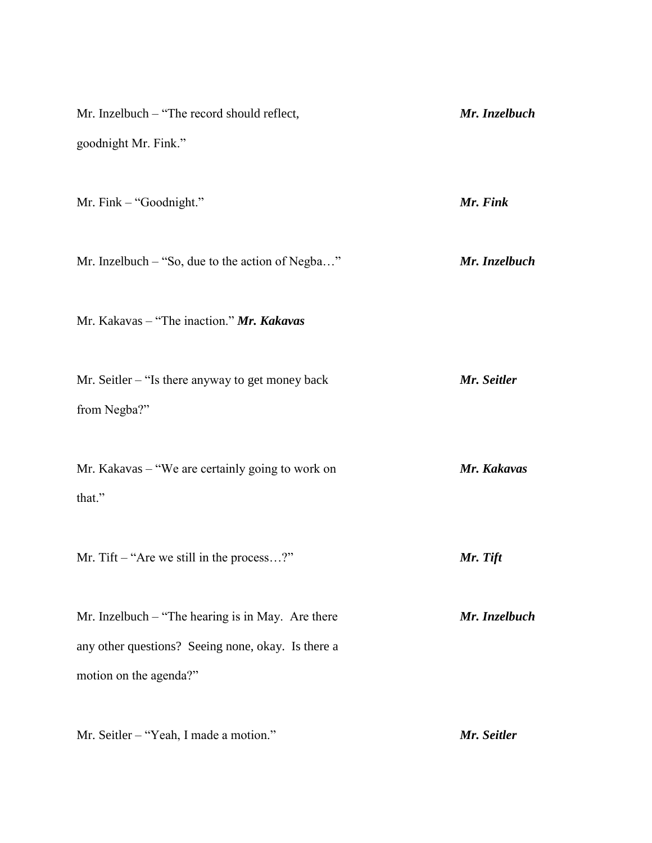| Mr. Inzelbuch – "The record should reflect,                                                                                         | Mr. Inzelbuch |
|-------------------------------------------------------------------------------------------------------------------------------------|---------------|
| goodnight Mr. Fink."                                                                                                                |               |
| Mr. Fink – "Goodnight."                                                                                                             | Mr. Fink      |
| Mr. Inzelbuch – "So, due to the action of Negba"                                                                                    | Mr. Inzelbuch |
| Mr. Kakavas – "The inaction." $Mr.$ Kakavas                                                                                         |               |
| Mr. Seitler $-$ "Is there anyway to get money back<br>from Negba?"                                                                  | Mr. Seitler   |
| Mr. Kakavas – "We are certainly going to work on<br>that."                                                                          | Mr. Kakavas   |
| Mr. Tift $-$ "Are we still in the process?"                                                                                         | Mr. Tift      |
| Mr. Inzelbuch $-$ "The hearing is in May. Are there<br>any other questions? Seeing none, okay. Is there a<br>motion on the agenda?" | Mr. Inzelbuch |
| Mr. Seitler - "Yeah, I made a motion."                                                                                              | Mr. Seitler   |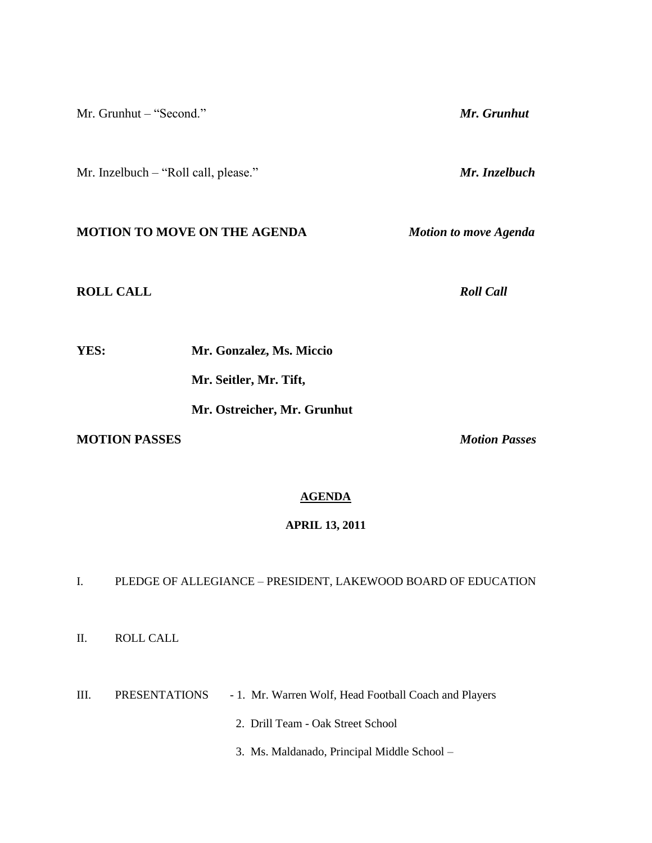Mr. Grunhut – "Second." *Mr. Grunhut*

Mr. Inzelbuch – "Roll call, please." *Mr. Inzelbuch*

# **MOTION TO MOVE ON THE AGENDA** *Motion to move Agenda*

## **ROLL CALL** *Roll Call*

**YES: Mr. Gonzalez, Ms. Miccio**

**Mr. Seitler, Mr. Tift,** 

**Mr. Ostreicher, Mr. Grunhut**

# **MOTION PASSES** *Motion Passes*

## **AGENDA**

### **APRIL 13, 2011**

# I. PLEDGE OF ALLEGIANCE – PRESIDENT, LAKEWOOD BOARD OF EDUCATION

II. ROLL CALL

III. PRESENTATIONS - 1. Mr. Warren Wolf, Head Football Coach and Players

2. Drill Team - Oak Street School

3. Ms. Maldanado, Principal Middle School –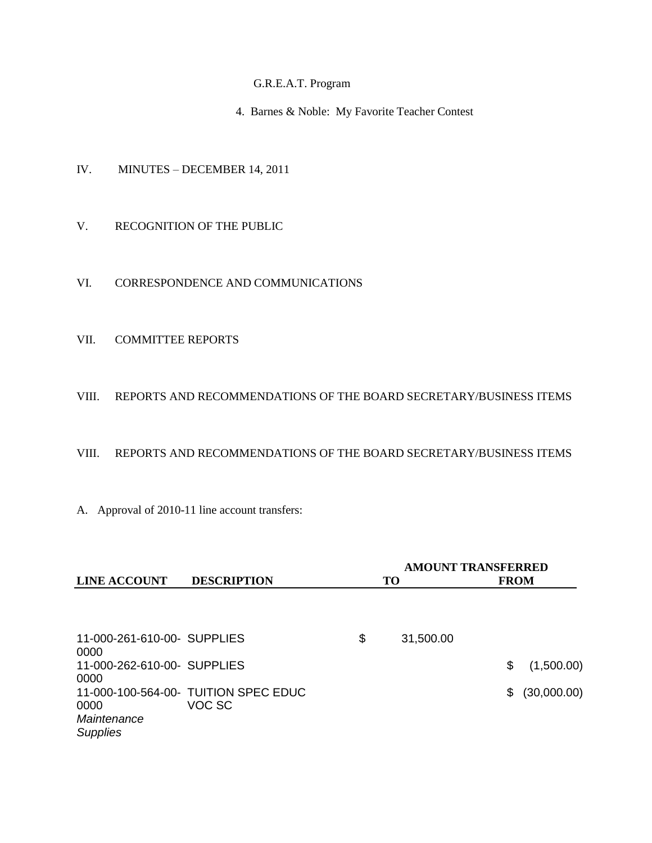## G.R.E.A.T. Program

4. Barnes & Noble: My Favorite Teacher Contest

- IV. MINUTES DECEMBER 14, 2011
- V. RECOGNITION OF THE PUBLIC
- VI. CORRESPONDENCE AND COMMUNICATIONS
- VII. COMMITTEE REPORTS

#### VIII. REPORTS AND RECOMMENDATIONS OF THE BOARD SECRETARY/BUSINESS ITEMS

### VIII. REPORTS AND RECOMMENDATIONS OF THE BOARD SECRETARY/BUSINESS ITEMS

A. Approval of 2010-11 line account transfers:

|                                        |                                                | <b>AMOUNT TRANSFERRED</b> |    |             |  |  |
|----------------------------------------|------------------------------------------------|---------------------------|----|-------------|--|--|
| <b>LINE ACCOUNT</b>                    | <b>DESCRIPTION</b>                             | TO                        |    | <b>FROM</b> |  |  |
|                                        |                                                |                           |    |             |  |  |
| 11-000-261-610-00- SUPPLIES<br>0000    |                                                | \$<br>31,500.00           |    |             |  |  |
| 11-000-262-610-00- SUPPLIES<br>0000    |                                                |                           | \$ | (1,500.00)  |  |  |
| 0000<br>Maintenance<br><b>Supplies</b> | 11-000-100-564-00- TUITION SPEC EDUC<br>VOC SC |                           | \$ | (30,000.00) |  |  |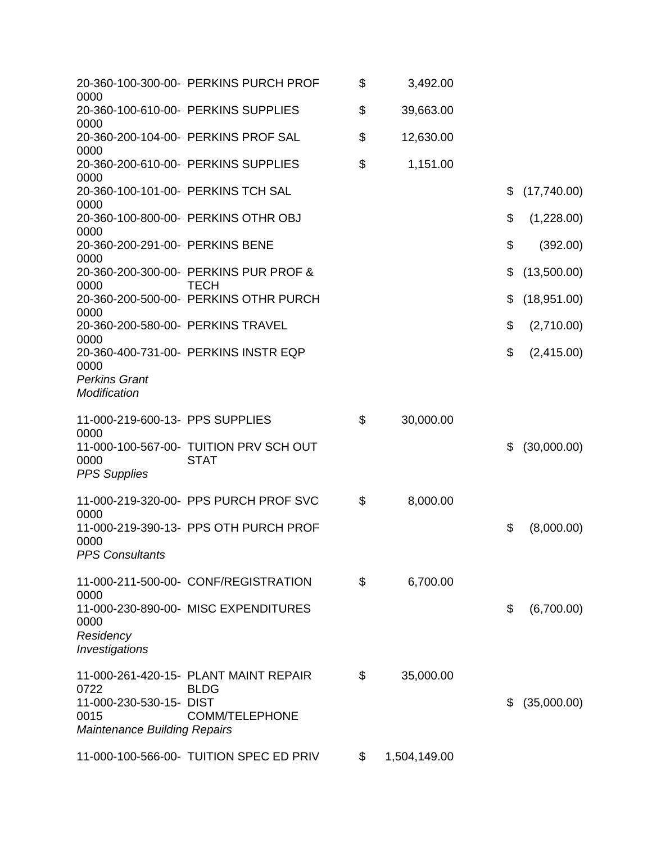|                                           | 20-360-100-300-00- PERKINS PURCH PROF                | \$<br>3,492.00     |                   |
|-------------------------------------------|------------------------------------------------------|--------------------|-------------------|
| 0000                                      |                                                      |                    |                   |
| 0000                                      | 20-360-100-610-00- PERKINS SUPPLIES                  | \$<br>39,663.00    |                   |
| 0000                                      | 20-360-200-104-00- PERKINS PROF SAL                  | \$<br>12,630.00    |                   |
|                                           | 20-360-200-610-00- PERKINS SUPPLIES                  | \$<br>1,151.00     |                   |
| 0000                                      | 20-360-100-101-00- PERKINS TCH SAL                   |                    | \$<br>(17,740.00) |
| 0000                                      |                                                      |                    |                   |
| 0000                                      | 20-360-100-800-00- PERKINS OTHR OBJ                  |                    | \$<br>(1,228.00)  |
| 20-360-200-291-00- PERKINS BENE<br>0000   |                                                      |                    | \$<br>(392.00)    |
|                                           | 20-360-200-300-00- PERKINS PUR PROF &                |                    | \$<br>(13,500.00) |
| 0000                                      | <b>TECH</b><br>20-360-200-500-00- PERKINS OTHR PURCH |                    | \$<br>(18,951.00) |
| 0000                                      |                                                      |                    |                   |
| 20-360-200-580-00- PERKINS TRAVEL<br>0000 |                                                      |                    | \$<br>(2,710.00)  |
|                                           | 20-360-400-731-00- PERKINS INSTR EQP                 |                    | \$<br>(2,415.00)  |
| 0000<br><b>Perkins Grant</b>              |                                                      |                    |                   |
| Modification                              |                                                      |                    |                   |
| 11-000-219-600-13- PPS SUPPLIES           |                                                      | \$<br>30,000.00    |                   |
| 0000                                      | 11-000-100-567-00- TUITION PRV SCH OUT               |                    | \$<br>(30,000.00) |
| 0000                                      | <b>STAT</b>                                          |                    |                   |
| <b>PPS Supplies</b>                       |                                                      |                    |                   |
|                                           | 11-000-219-320-00- PPS PURCH PROF SVC                | \$<br>8,000.00     |                   |
| 0000                                      | 11-000-219-390-13- PPS OTH PURCH PROF                |                    | \$<br>(8,000.00)  |
| 0000                                      |                                                      |                    |                   |
| <b>PPS Consultants</b>                    |                                                      |                    |                   |
|                                           | 11-000-211-500-00- CONF/REGISTRATION                 | \$<br>6,700.00     |                   |
| 0000                                      | 11-000-230-890-00- MISC EXPENDITURES                 |                    | \$<br>(6,700.00)  |
| 0000                                      |                                                      |                    |                   |
| Residency<br>Investigations               |                                                      |                    |                   |
|                                           |                                                      |                    |                   |
| 0722                                      | 11-000-261-420-15- PLANT MAINT REPAIR<br><b>BLDG</b> | \$<br>35,000.00    |                   |
| 11-000-230-530-15- DIST                   |                                                      |                    | \$<br>(35,000.00) |
| 0015                                      | <b>COMM/TELEPHONE</b>                                |                    |                   |
| <b>Maintenance Building Repairs</b>       |                                                      |                    |                   |
|                                           | 11-000-100-566-00- TUITION SPEC ED PRIV              | \$<br>1,504,149.00 |                   |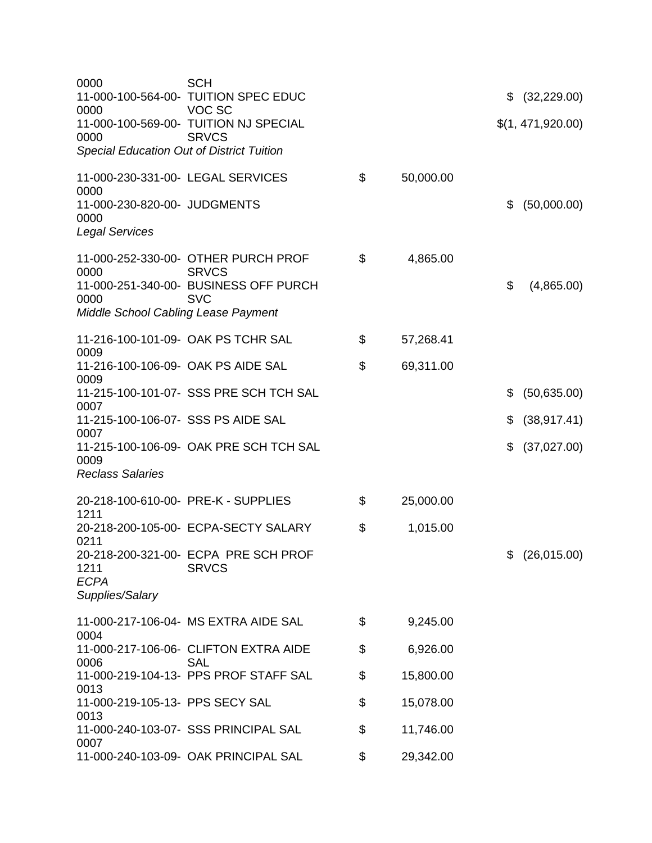| 0000<br>0000                                | <b>SCH</b><br>11-000-100-564-00- TUITION SPEC EDUC<br>VOC SC |                 | \$<br>(32, 229.00) |
|---------------------------------------------|--------------------------------------------------------------|-----------------|--------------------|
| 0000                                        | 11-000-100-569-00- TUITION NJ SPECIAL<br><b>SRVCS</b>        |                 | \$(1, 471, 920.00) |
| Special Education Out of District Tuition   |                                                              |                 |                    |
| 11-000-230-331-00- LEGAL SERVICES<br>0000   |                                                              | \$<br>50,000.00 |                    |
| 11-000-230-820-00- JUDGMENTS<br>0000        |                                                              |                 | \$<br>(50,000.00)  |
| <b>Legal Services</b>                       |                                                              |                 |                    |
| 0000                                        | 11-000-252-330-00- OTHER PURCH PROF<br><b>SRVCS</b>          | \$<br>4,865.00  |                    |
| 0000                                        | 11-000-251-340-00- BUSINESS OFF PURCH<br><b>SVC</b>          |                 | \$<br>(4,865.00)   |
| <b>Middle School Cabling Lease Payment</b>  |                                                              |                 |                    |
| 0009                                        | 11-216-100-101-09- OAK PS TCHR SAL                           | \$<br>57,268.41 |                    |
| 11-216-100-106-09- OAK PS AIDE SAL<br>0009  |                                                              | \$<br>69,311.00 |                    |
| 0007                                        | 11-215-100-101-07- SSS PRE SCH TCH SAL                       |                 | (50, 635.00)<br>\$ |
| 11-215-100-106-07- SSS PS AIDE SAL<br>0007  |                                                              |                 | \$<br>(38, 917.41) |
| 0009                                        | 11-215-100-106-09- OAK PRE SCH TCH SAL                       |                 | \$<br>(37,027.00)  |
| <b>Reclass Salaries</b>                     |                                                              |                 |                    |
| 20-218-100-610-00- PRE-K - SUPPLIES<br>1211 |                                                              | \$<br>25,000.00 |                    |
| 0211                                        | 20-218-200-105-00- ECPA-SECTY SALARY                         | \$<br>1,015.00  |                    |
| 1211<br><b>ECPA</b>                         | 20-218-200-321-00- ECPA PRE SCH PROF<br><b>SRVCS</b>         |                 | \$ (26,015.00)     |
| Supplies/Salary                             |                                                              |                 |                    |
| 0004                                        | 11-000-217-106-04- MS EXTRA AIDE SAL                         | \$<br>9,245.00  |                    |
| 0006                                        | 11-000-217-106-06- CLIFTON EXTRA AIDE<br><b>SAL</b>          | \$<br>6,926.00  |                    |
| 0013                                        | 11-000-219-104-13- PPS PROF STAFF SAL                        | \$<br>15,800.00 |                    |
| 11-000-219-105-13- PPS SECY SAL<br>0013     |                                                              | \$<br>15,078.00 |                    |
| 0007                                        | 11-000-240-103-07- SSS PRINCIPAL SAL                         | \$<br>11,746.00 |                    |
|                                             | 11-000-240-103-09- OAK PRINCIPAL SAL                         | \$<br>29,342.00 |                    |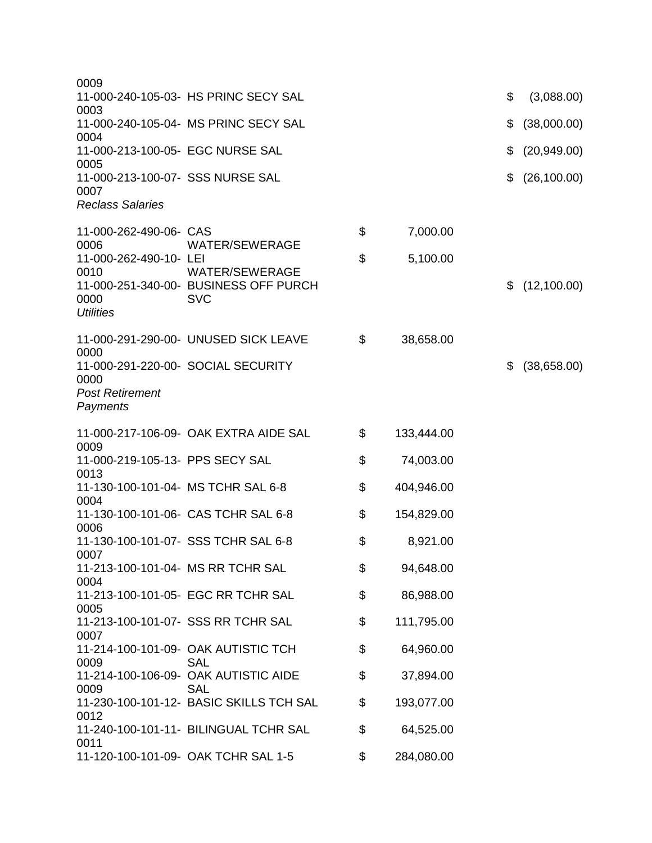| 0009                                       |                                                                              |                  |                    |
|--------------------------------------------|------------------------------------------------------------------------------|------------------|--------------------|
| 0003                                       | 11-000-240-105-03- HS PRINC SECY SAL                                         |                  | \$<br>(3,088.00)   |
| 0004                                       | 11-000-240-105-04- MS PRINC SECY SAL                                         |                  | \$<br>(38,000.00)  |
| 11-000-213-100-05- EGC NURSE SAL<br>0005   |                                                                              |                  | \$<br>(20, 949.00) |
| 11-000-213-100-07- SSS NURSE SAL<br>0007   |                                                                              |                  | \$<br>(26, 100.00) |
| <b>Reclass Salaries</b>                    |                                                                              |                  |                    |
| 11-000-262-490-06- CAS<br>0006             | <b>WATER/SEWERAGE</b>                                                        | \$<br>7,000.00   |                    |
| 11-000-262-490-10- LEI                     |                                                                              | \$<br>5,100.00   |                    |
| 0010<br>0000<br><b>Utilities</b>           | <b>WATER/SEWERAGE</b><br>11-000-251-340-00- BUSINESS OFF PURCH<br><b>SVC</b> |                  | \$<br>(12, 100.00) |
|                                            | 11-000-291-290-00- UNUSED SICK LEAVE                                         | \$<br>38,658.00  |                    |
| 0000<br>0000                               | 11-000-291-220-00- SOCIAL SECURITY                                           |                  | \$<br>(38,658.00)  |
| <b>Post Retirement</b><br>Payments         |                                                                              |                  |                    |
| 0009                                       | 11-000-217-106-09- OAK EXTRA AIDE SAL                                        | \$<br>133,444.00 |                    |
| 11-000-219-105-13- PPS SECY SAL<br>0013    |                                                                              | \$<br>74,003.00  |                    |
| 11-130-100-101-04- MS TCHR SAL 6-8<br>0004 |                                                                              | \$<br>404,946.00 |                    |
| 0006                                       | 11-130-100-101-06- CAS TCHR SAL 6-8                                          | \$<br>154,829.00 |                    |
| 0007                                       | 11-130-100-101-07- SSS TCHR SAL 6-8                                          | \$<br>8,921.00   |                    |
| 11-213-100-101-04- MS RR TCHR SAL<br>0004  |                                                                              | \$<br>94,648.00  |                    |
| 0005                                       | 11-213-100-101-05- EGC RR TCHR SAL                                           | \$<br>86,988.00  |                    |
| 0007                                       | 11-213-100-101-07- SSS RR TCHR SAL                                           | \$<br>111,795.00 |                    |
| 0009                                       | 11-214-100-101-09- OAK AUTISTIC TCH<br><b>SAL</b>                            | \$<br>64,960.00  |                    |
| 0009                                       | 11-214-100-106-09- OAK AUTISTIC AIDE<br><b>SAL</b>                           | \$<br>37,894.00  |                    |
| 0012                                       | 11-230-100-101-12- BASIC SKILLS TCH SAL                                      | \$<br>193,077.00 |                    |
| 0011                                       | 11-240-100-101-11- BILINGUAL TCHR SAL                                        | \$<br>64,525.00  |                    |
|                                            | 11-120-100-101-09- OAK TCHR SAL 1-5                                          | \$<br>284,080.00 |                    |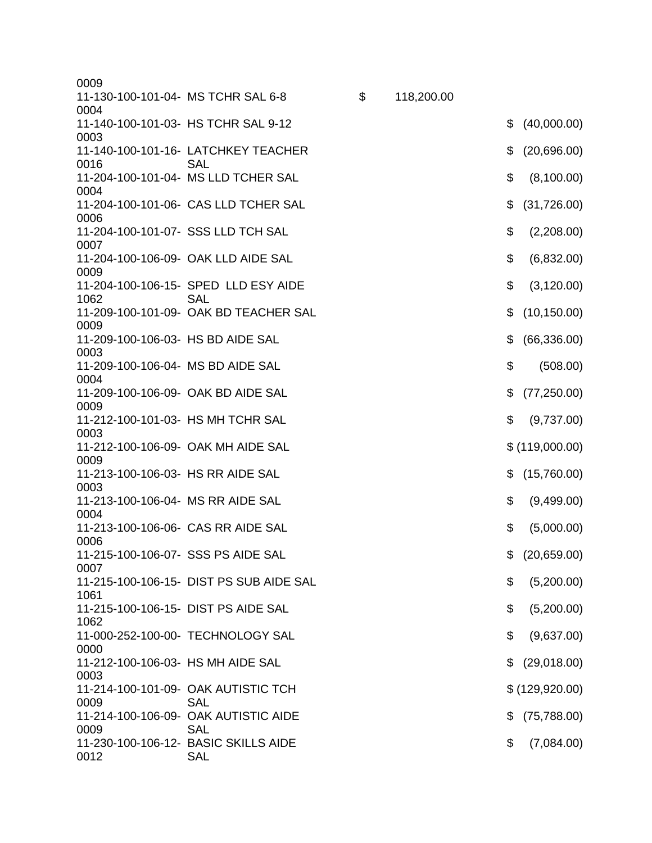| 0009                                        |                                                    |                  |                    |
|---------------------------------------------|----------------------------------------------------|------------------|--------------------|
| 11-130-100-101-04- MS TCHR SAL 6-8<br>0004  |                                                    | \$<br>118,200.00 |                    |
| 0003                                        | 11-140-100-101-03- HS TCHR SAL 9-12                |                  | \$<br>(40,000.00)  |
| 0016                                        | 11-140-100-101-16- LATCHKEY TEACHER<br><b>SAL</b>  |                  | \$<br>(20,696.00)  |
| 0004                                        | 11-204-100-101-04- MS LLD TCHER SAL                |                  | \$<br>(8,100.00)   |
| 0006                                        | 11-204-100-101-06- CAS LLD TCHER SAL               |                  | \$<br>(31,726.00)  |
| 11-204-100-101-07- SSS LLD TCH SAL<br>0007  |                                                    |                  | \$<br>(2,208.00)   |
| 0009                                        | 11-204-100-106-09- OAK LLD AIDE SAL                |                  | \$<br>(6,832.00)   |
| 1062                                        | 11-204-100-106-15- SPED LLD ESY AIDE<br><b>SAL</b> |                  | \$<br>(3, 120.00)  |
| 0009                                        | 11-209-100-101-09- OAK BD TEACHER SAL              |                  | \$<br>(10, 150.00) |
| 11-209-100-106-03- HS BD AIDE SAL<br>0003   |                                                    |                  | \$<br>(66, 336.00) |
| 11-209-100-106-04- MS BD AIDE SAL<br>0004   |                                                    |                  | \$<br>(508.00)     |
| 11-209-100-106-09- OAK BD AIDE SAL<br>0009  |                                                    |                  | \$<br>(77, 250.00) |
| 11-212-100-101-03- HS MH TCHR SAL<br>0003   |                                                    |                  | \$<br>(9,737.00)   |
| 11-212-100-106-09- OAK MH AIDE SAL<br>0009  |                                                    |                  | \$(119,000.00)     |
| 11-213-100-106-03- HS RR AIDE SAL<br>0003   |                                                    |                  | \$<br>(15,760.00)  |
| 11-213-100-106-04- MS RR AIDE SAL<br>0004   |                                                    |                  | \$<br>(9,499.00)   |
| 11-213-100-106-06- CAS RR AIDE SAL<br>0006  |                                                    |                  | \$<br>(5,000.00)   |
| 11-215-100-106-07- SSS PS AIDE SAL<br>0007  |                                                    |                  | \$ (20,659.00)     |
| 1061                                        | 11-215-100-106-15- DIST PS SUB AIDE SAL            |                  | \$<br>(5,200.00)   |
| 11-215-100-106-15- DIST PS AIDE SAL<br>1062 |                                                    |                  | \$<br>(5,200.00)   |
| 0000                                        | 11-000-252-100-00- TECHNOLOGY SAL                  |                  | \$<br>(9,637.00)   |
| 11-212-100-106-03- HS MH AIDE SAL<br>0003   |                                                    |                  | \$<br>(29,018.00)  |
| 0009                                        | 11-214-100-101-09- OAK AUTISTIC TCH<br><b>SAL</b>  |                  | \$ (129, 920.00)   |
| 0009                                        | 11-214-100-106-09- OAK AUTISTIC AIDE<br><b>SAL</b> |                  | \$<br>(75, 788.00) |
| 0012                                        | 11-230-100-106-12- BASIC SKILLS AIDE<br><b>SAL</b> |                  | \$<br>(7,084.00)   |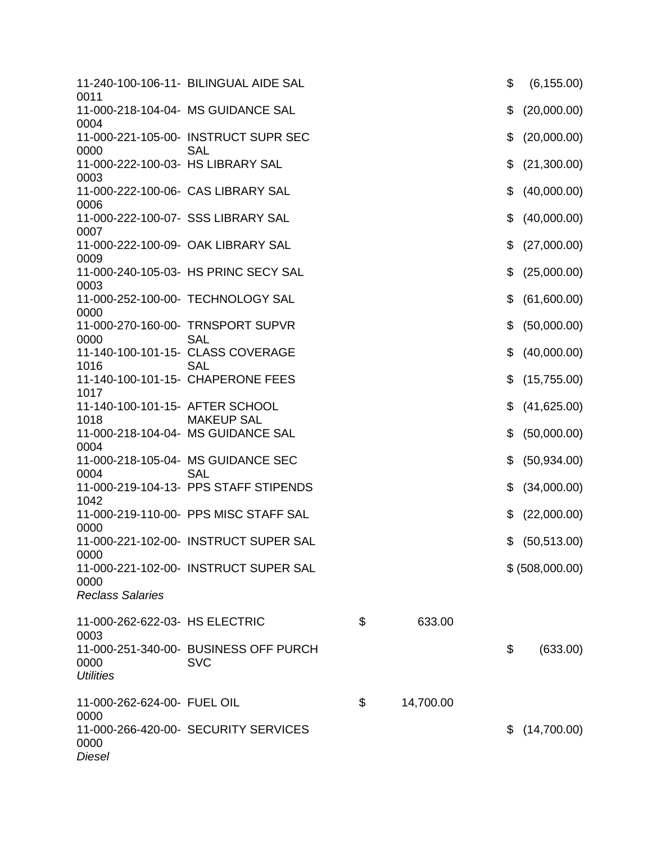| 0011                                       | 11-240-100-106-11- BILINGUAL AIDE SAL                   |    |           | \$ | (6, 155.00)     |
|--------------------------------------------|---------------------------------------------------------|----|-----------|----|-----------------|
| 0004                                       | 11-000-218-104-04- MS GUIDANCE SAL                      |    |           | \$ | (20,000.00)     |
|                                            | 11-000-221-105-00- INSTRUCT SUPR SEC                    |    |           | \$ | (20,000.00)     |
| 0000<br>11-000-222-100-03- HS LIBRARY SAL  | <b>SAL</b>                                              |    |           | \$ | (21,300.00)     |
| 0003<br>11-000-222-100-06- CAS LIBRARY SAL |                                                         |    |           | \$ | (40,000.00)     |
| 0006<br>11-000-222-100-07- SSS LIBRARY SAL |                                                         |    |           | \$ | (40,000.00)     |
| 0007                                       | 11-000-222-100-09- OAK LIBRARY SAL                      |    |           | \$ | (27,000.00)     |
| 0009                                       | 11-000-240-105-03- HS PRINC SECY SAL                    |    |           | \$ | (25,000.00)     |
| 0003                                       | 11-000-252-100-00- TECHNOLOGY SAL                       |    |           | \$ | (61,600.00)     |
| 0000                                       |                                                         |    |           |    |                 |
| 0000                                       | 11-000-270-160-00- TRNSPORT SUPVR<br><b>SAL</b>         |    |           | \$ | (50,000.00)     |
|                                            | 11-140-100-101-15- CLASS COVERAGE                       |    |           | \$ | (40,000.00)     |
| 1016                                       | <b>SAL</b>                                              |    |           |    |                 |
| 1017                                       | 11-140-100-101-15- CHAPERONE FEES                       |    |           | S  | (15,755.00)     |
| 11-140-100-101-15- AFTER SCHOOL            |                                                         |    |           | \$ | (41,625.00)     |
| 1018                                       | <b>MAKEUP SAL</b><br>11-000-218-104-04- MS GUIDANCE SAL |    |           | \$ | (50,000.00)     |
| 0004                                       |                                                         |    |           |    |                 |
| 0004                                       | 11-000-218-105-04- MS GUIDANCE SEC<br><b>SAL</b>        |    |           | \$ | (50, 934.00)    |
| 1042                                       | 11-000-219-104-13- PPS STAFF STIPENDS                   |    |           | \$ | (34,000.00)     |
| 0000                                       | 11-000-219-110-00- PPS MISC STAFF SAL                   |    |           | \$ | (22,000.00)     |
| 0000                                       | 11-000-221-102-00- INSTRUCT SUPER SAL                   |    |           | \$ | (50, 513.00)    |
| 0000                                       | 11-000-221-102-00- INSTRUCT SUPER SAL                   |    |           |    | \$ (508,000.00) |
| <b>Reclass Salaries</b>                    |                                                         |    |           |    |                 |
| 11-000-262-622-03- HS ELECTRIC<br>0003     |                                                         | \$ | 633.00    |    |                 |
| 0000<br><b>Utilities</b>                   | 11-000-251-340-00- BUSINESS OFF PURCH<br><b>SVC</b>     |    |           | \$ | (633.00)        |
| 11-000-262-624-00- FUEL OIL<br>0000        |                                                         | \$ | 14,700.00 |    |                 |
| 0000<br><b>Diesel</b>                      | 11-000-266-420-00- SECURITY SERVICES                    |    |           | \$ | (14,700.00)     |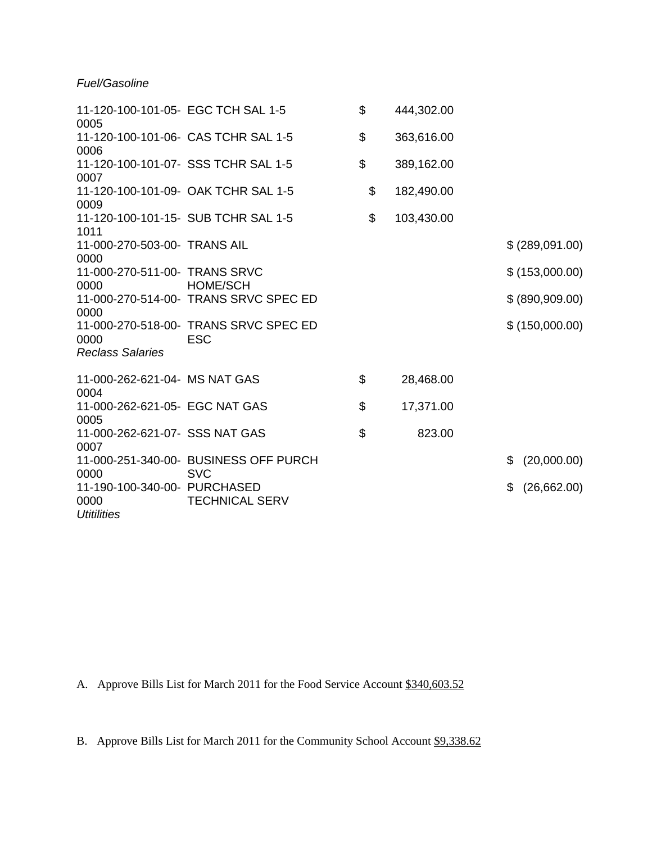# *Fuel/Gasoline*

| 11-120-100-101-05- EGC TCH SAL 1-5<br>0005                 |                                                          | \$            | 444,302.00 |                    |
|------------------------------------------------------------|----------------------------------------------------------|---------------|------------|--------------------|
| 11-120-100-101-06- CAS TCHR SAL 1-5<br>0006                |                                                          | \$            | 363,616.00 |                    |
| 11-120-100-101-07- SSS TCHR SAL 1-5<br>0007                |                                                          | \$            | 389,162.00 |                    |
| 0009                                                       | 11-120-100-101-09- OAK TCHR SAL 1-5                      | \$            | 182,490.00 |                    |
| 1011                                                       | 11-120-100-101-15- SUB TCHR SAL 1-5                      | \$            | 103,430.00 |                    |
| 11-000-270-503-00- TRANS AIL<br>0000                       |                                                          |               |            | \$ (289,091.00)    |
| 11-000-270-511-00- TRANS SRVC                              |                                                          |               |            | \$(153,000.00)     |
| 0000<br>0000                                               | <b>HOME/SCH</b><br>11-000-270-514-00- TRANS SRVC SPEC ED |               |            | \$ (890,909.00)    |
| 0000<br><b>Reclass Salaries</b>                            | 11-000-270-518-00- TRANS SRVC SPEC ED<br><b>ESC</b>      |               |            | \$ (150,000.00)    |
| 11-000-262-621-04- MS NAT GAS                              |                                                          | \$            |            |                    |
| 0004                                                       |                                                          |               | 28,468.00  |                    |
| 11-000-262-621-05- EGC NAT GAS<br>0005                     |                                                          | \$            | 17,371.00  |                    |
| 11-000-262-621-07- SSS NAT GAS<br>0007                     |                                                          | $\mathcal{L}$ | 823.00     |                    |
| 0000                                                       | 11-000-251-340-00- BUSINESS OFF PURCH<br><b>SVC</b>      |               |            | (20,000.00)<br>\$. |
| 11-190-100-340-00- PURCHASED<br>0000<br><b>Utitilities</b> | <b>TECHNICAL SERV</b>                                    |               |            | \$<br>(26,662.00)  |

A. Approve Bills List for March 2011 for the Food Service Account \$340,603.52

B. Approve Bills List for March 2011 for the Community School Account \$9,338.62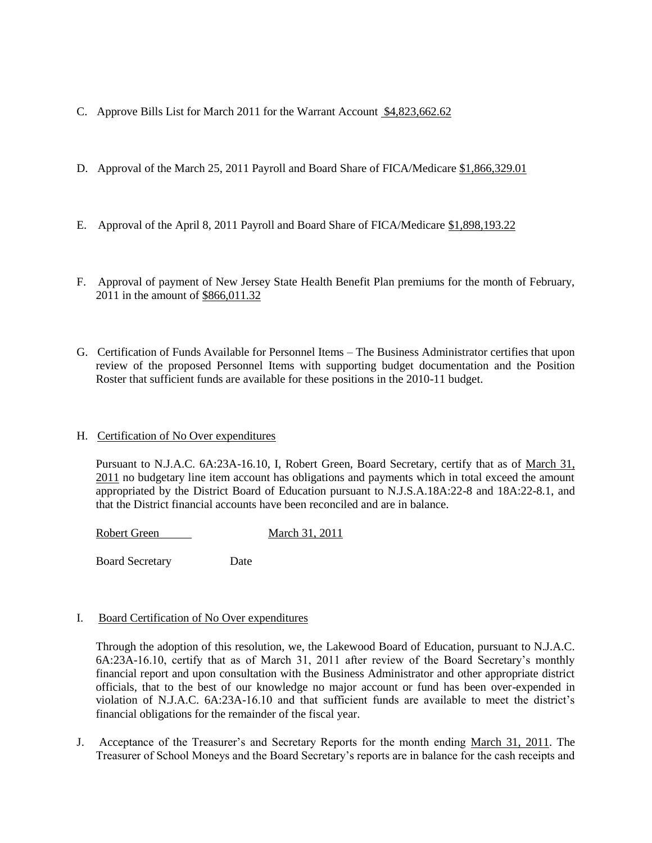- C. Approve Bills List for March 2011 for the Warrant Account \$4,823,662.62
- D. Approval of the March 25, 2011 Payroll and Board Share of FICA/Medicare \$1,866,329.01
- E. Approval of the April 8, 2011 Payroll and Board Share of FICA/Medicare \$1,898,193.22
- F. Approval of payment of New Jersey State Health Benefit Plan premiums for the month of February, 2011 in the amount of \$866,011.32
- G. Certification of Funds Available for Personnel Items The Business Administrator certifies that upon review of the proposed Personnel Items with supporting budget documentation and the Position Roster that sufficient funds are available for these positions in the 2010-11 budget.
- H. Certification of No Over expenditures

Pursuant to N.J.A.C. 6A:23A-16.10, I, Robert Green, Board Secretary, certify that as of March 31, 2011 no budgetary line item account has obligations and payments which in total exceed the amount appropriated by the District Board of Education pursuant to N.J.S.A.18A:22-8 and 18A:22-8.1, and that the District financial accounts have been reconciled and are in balance.

Robert Green March 31, 2011

Board Secretary Date

### I. Board Certification of No Over expenditures

Through the adoption of this resolution, we, the Lakewood Board of Education, pursuant to N.J.A.C. 6A:23A-16.10, certify that as of March 31, 2011 after review of the Board Secretary's monthly financial report and upon consultation with the Business Administrator and other appropriate district officials, that to the best of our knowledge no major account or fund has been over-expended in violation of N.J.A.C. 6A:23A-16.10 and that sufficient funds are available to meet the district's financial obligations for the remainder of the fiscal year.

J. Acceptance of the Treasurer's and Secretary Reports for the month ending March 31, 2011. The Treasurer of School Moneys and the Board Secretary's reports are in balance for the cash receipts and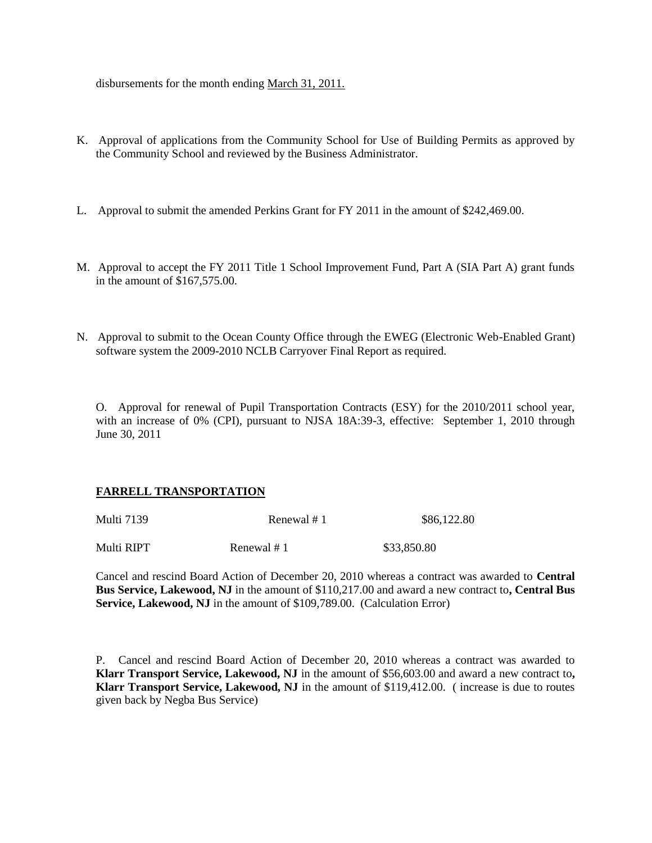disbursements for the month ending March 31, 2011.

- K. Approval of applications from the Community School for Use of Building Permits as approved by the Community School and reviewed by the Business Administrator.
- L. Approval to submit the amended Perkins Grant for FY 2011 in the amount of \$242,469.00.
- M. Approval to accept the FY 2011 Title 1 School Improvement Fund, Part A (SIA Part A) grant funds in the amount of \$167,575.00.
- N. Approval to submit to the Ocean County Office through the EWEG (Electronic Web-Enabled Grant) software system the 2009-2010 NCLB Carryover Final Report as required.

O. Approval for renewal of Pupil Transportation Contracts (ESY) for the 2010/2011 school year, with an increase of 0% (CPI), pursuant to NJSA 18A:39-3, effective: September 1, 2010 through June 30, 2011

### **FARRELL TRANSPORTATION**

| <b>Multi</b> 7139 | Renewal # 1 | \$86,122.80 |  |
|-------------------|-------------|-------------|--|
| Multi RIPT        | Renewal #1  | \$33,850.80 |  |

Cancel and rescind Board Action of December 20, 2010 whereas a contract was awarded to **Central Bus Service, Lakewood, NJ** in the amount of \$110,217.00 and award a new contract to**, Central Bus Service, Lakewood, NJ** in the amount of \$109,789.00. (Calculation Error)

P. Cancel and rescind Board Action of December 20, 2010 whereas a contract was awarded to **Klarr Transport Service, Lakewood, NJ** in the amount of \$56,603.00 and award a new contract to**, Klarr Transport Service, Lakewood, NJ** in the amount of \$119,412.00. ( increase is due to routes given back by Negba Bus Service)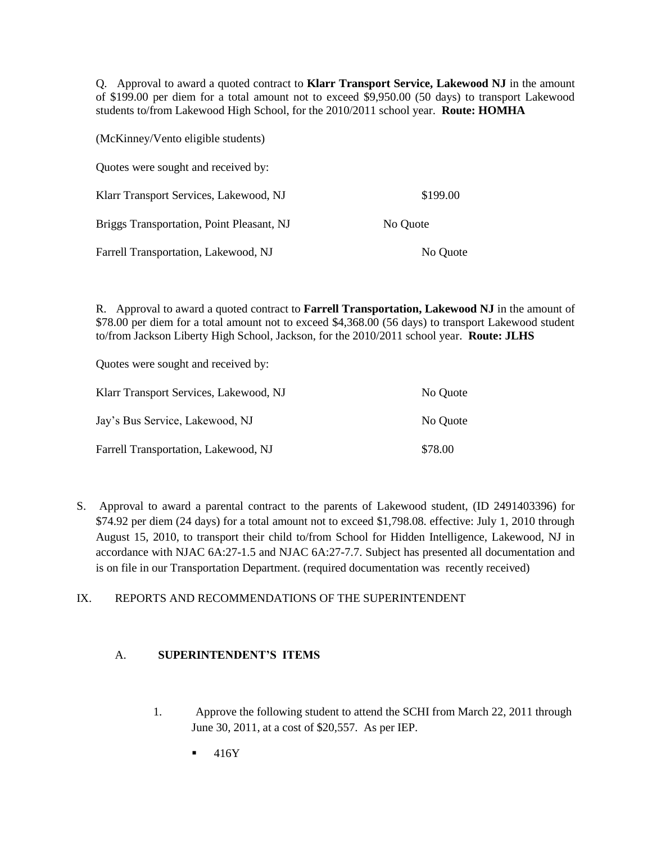Q. Approval to award a quoted contract to **Klarr Transport Service, Lakewood NJ** in the amount of \$199.00 per diem for a total amount not to exceed \$9,950.00 (50 days) to transport Lakewood students to/from Lakewood High School, for the 2010/2011 school year. **Route: HOMHA**

| (McKinney/Vento eligible students)        |          |  |
|-------------------------------------------|----------|--|
| Quotes were sought and received by:       |          |  |
| Klarr Transport Services, Lakewood, NJ    | \$199.00 |  |
| Briggs Transportation, Point Pleasant, NJ | No Quote |  |
| Farrell Transportation, Lakewood, NJ      | No Quote |  |

R. Approval to award a quoted contract to **Farrell Transportation, Lakewood NJ** in the amount of \$78.00 per diem for a total amount not to exceed \$4,368.00 (56 days) to transport Lakewood student to/from Jackson Liberty High School, Jackson, for the 2010/2011 school year. **Route: JLHS**

Quotes were sought and received by:

| Klarr Transport Services, Lakewood, NJ | No Quote |
|----------------------------------------|----------|
| Jay's Bus Service, Lakewood, NJ        | No Quote |
| Farrell Transportation, Lakewood, NJ   | \$78.00  |

S. Approval to award a parental contract to the parents of Lakewood student, (ID 2491403396) for \$74.92 per diem (24 days) for a total amount not to exceed \$1,798.08. effective: July 1, 2010 through August 15, 2010, to transport their child to/from School for Hidden Intelligence, Lakewood, NJ in accordance with NJAC 6A:27-1.5 and NJAC 6A:27-7.7. Subject has presented all documentation and is on file in our Transportation Department. (required documentation was recently received)

# IX. REPORTS AND RECOMMENDATIONS OF THE SUPERINTENDENT

## A. **SUPERINTENDENT'S ITEMS**

- 1. Approve the following student to attend the SCHI from March 22, 2011 through June 30, 2011, at a cost of \$20,557. As per IEP.
	- 416Y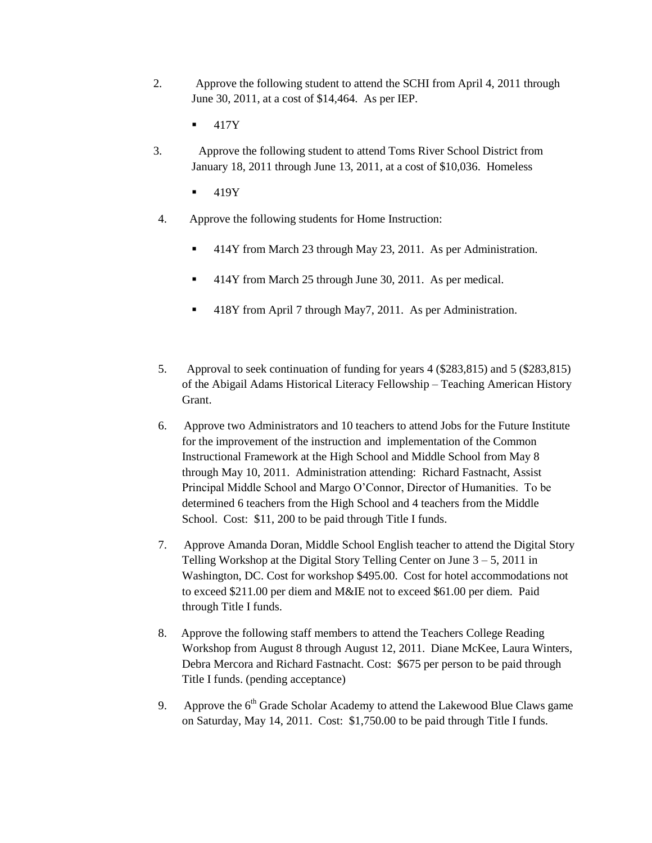- 2. Approve the following student to attend the SCHI from April 4, 2011 through June 30, 2011, at a cost of \$14,464. As per IEP.
	- 417Y
- 3. Approve the following student to attend Toms River School District from January 18, 2011 through June 13, 2011, at a cost of \$10,036. Homeless
	- 419Y
- 4. Approve the following students for Home Instruction:
	- 414Y from March 23 through May 23, 2011. As per Administration.
	- 414Y from March 25 through June 30, 2011. As per medical.
	- 418Y from April 7 through May7, 2011. As per Administration.
- 5. Approval to seek continuation of funding for years 4 (\$283,815) and 5 (\$283,815) of the Abigail Adams Historical Literacy Fellowship – Teaching American History Grant.
- 6. Approve two Administrators and 10 teachers to attend Jobs for the Future Institute for the improvement of the instruction and implementation of the Common Instructional Framework at the High School and Middle School from May 8 through May 10, 2011. Administration attending: Richard Fastnacht, Assist Principal Middle School and Margo O'Connor, Director of Humanities. To be determined 6 teachers from the High School and 4 teachers from the Middle School. Cost: \$11, 200 to be paid through Title I funds.
- 7. Approve Amanda Doran, Middle School English teacher to attend the Digital Story Telling Workshop at the Digital Story Telling Center on June  $3 - 5$ , 2011 in Washington, DC. Cost for workshop \$495.00. Cost for hotel accommodations not to exceed \$211.00 per diem and M&IE not to exceed \$61.00 per diem. Paid through Title I funds.
- 8. Approve the following staff members to attend the Teachers College Reading Workshop from August 8 through August 12, 2011. Diane McKee, Laura Winters, Debra Mercora and Richard Fastnacht. Cost: \$675 per person to be paid through Title I funds. (pending acceptance)
- 9. Approve the  $6<sup>th</sup>$  Grade Scholar Academy to attend the Lakewood Blue Claws game on Saturday, May 14, 2011. Cost: \$1,750.00 to be paid through Title I funds.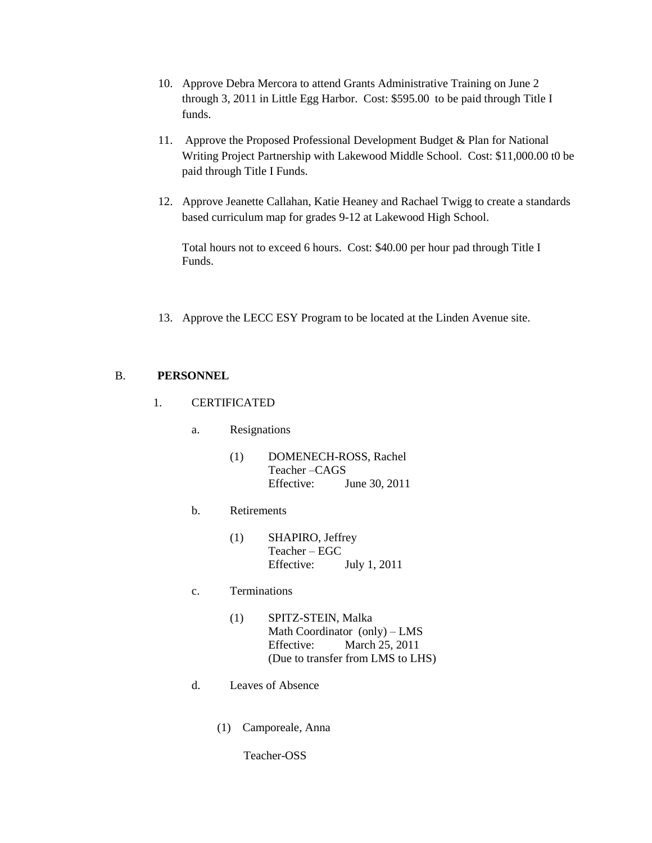- 10. Approve Debra Mercora to attend Grants Administrative Training on June 2 through 3, 2011 in Little Egg Harbor. Cost: \$595.00 to be paid through Title I funds.
- 11. Approve the Proposed Professional Development Budget & Plan for National Writing Project Partnership with Lakewood Middle School. Cost: \$11,000.00 t0 be paid through Title I Funds.
- 12. Approve Jeanette Callahan, Katie Heaney and Rachael Twigg to create a standards based curriculum map for grades 9-12 at Lakewood High School.

Total hours not to exceed 6 hours. Cost: \$40.00 per hour pad through Title I Funds.

13. Approve the LECC ESY Program to be located at the Linden Avenue site.

# B. **PERSONNEL**

- 1. CERTIFICATED
	- a. Resignations
		- (1) DOMENECH-ROSS, Rachel Teacher –CAGS Effective: June 30, 2011
	- b. Retirements
		- (1) SHAPIRO, Jeffrey Teacher – EGC Effective: July 1, 2011
	- c. Terminations
		- (1) SPITZ-STEIN, Malka Math Coordinator (only) – LMS Effective: March 25, 2011 (Due to transfer from LMS to LHS)
	- d. Leaves of Absence
		- (1) Camporeale, Anna

Teacher-OSS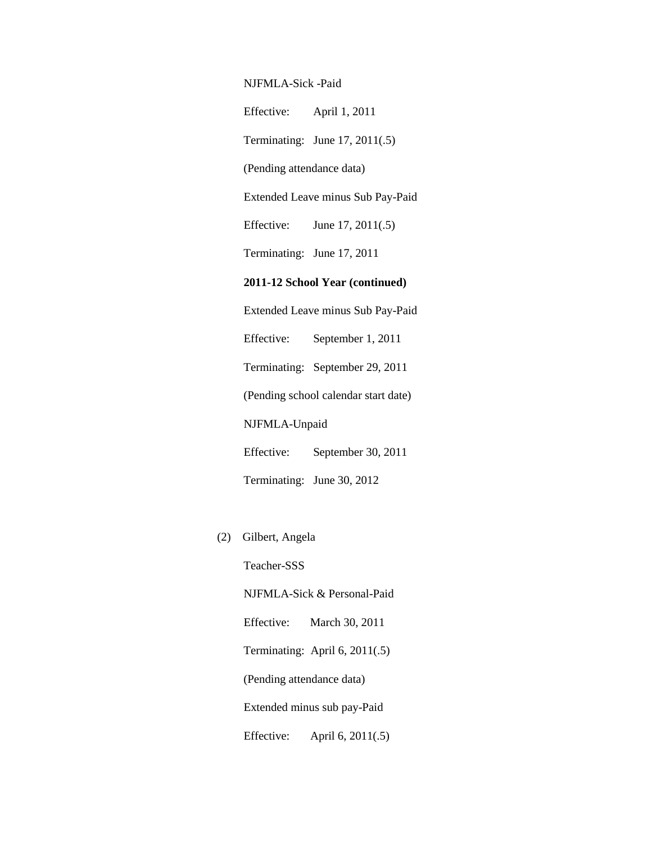NJFMLA-Sick -Paid

Effective: April 1, 2011

Terminating: June 17, 2011(.5)

(Pending attendance data)

Extended Leave minus Sub Pay-Paid

Effective: June 17, 2011(.5)

Terminating: June 17, 2011

## **2011-12 School Year (continued)**

 Extended Leave minus Sub Pay-Paid Effective: September 1, 2011 Terminating: September 29, 2011 (Pending school calendar start date) NJFMLA-Unpaid Effective: September 30, 2011

Terminating: June 30, 2012

(2) Gilbert, Angela

 Teacher-SSS NJFMLA-Sick & Personal-Paid Effective: March 30, 2011

Terminating: April 6, 2011(.5)

(Pending attendance data)

Extended minus sub pay-Paid

Effective: April 6, 2011(.5)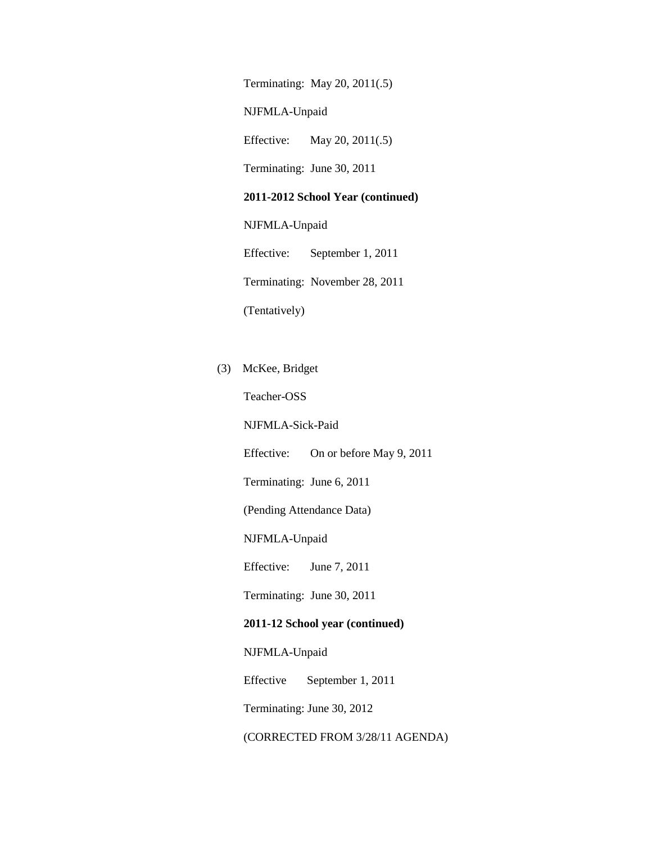Terminating: May 20, 2011(.5)

NJFMLA-Unpaid

Effective: May 20, 2011(.5)

Terminating: June 30, 2011

#### **2011-2012 School Year (continued)**

NJFMLA-Unpaid

 Effective: September 1, 2011 Terminating: November 28, 2011 (Tentatively)

(3) McKee, Bridget

Teacher-OSS

NJFMLA-Sick-Paid

Effective: On or before May 9, 2011

Terminating: June 6, 2011

(Pending Attendance Data)

NJFMLA-Unpaid

Effective: June 7, 2011

Terminating: June 30, 2011

### **2011-12 School year (continued)**

NJFMLA-Unpaid

Effective September 1, 2011

Terminating: June 30, 2012

(CORRECTED FROM 3/28/11 AGENDA)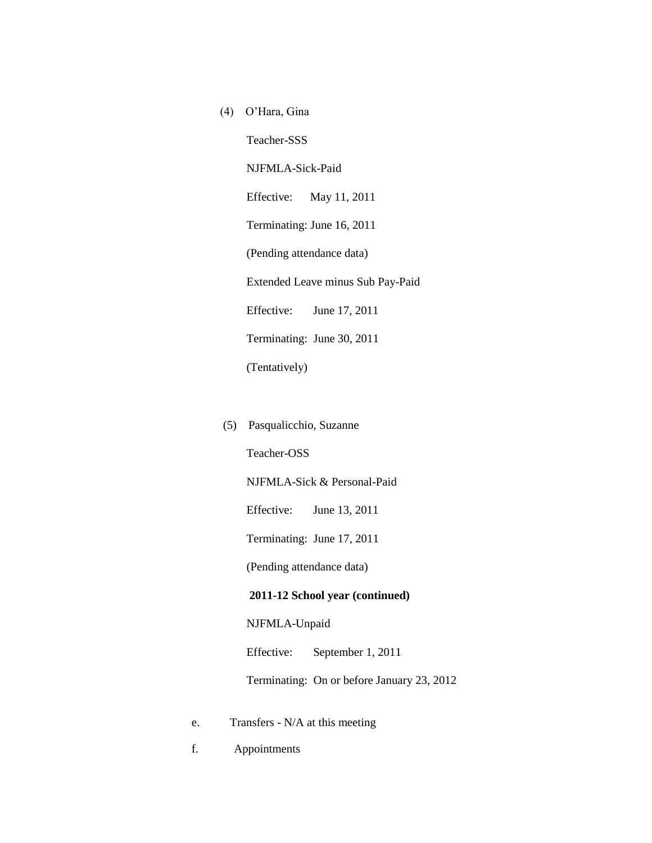- (4) O'Hara, Gina Teacher-SSS NJFMLA-Sick-Paid Effective: May 11, 2011 Terminating: June 16, 2011 (Pending attendance data) Extended Leave minus Sub Pay-Paid Effective: June 17, 2011 Terminating: June 30, 2011 (Tentatively)
- (5) Pasqualicchio, Suzanne

Teacher-OSS

NJFMLA-Sick & Personal-Paid

Effective: June 13, 2011

Terminating: June 17, 2011

(Pending attendance data)

#### **2011-12 School year (continued)**

NJFMLA-Unpaid

Effective: September 1, 2011

Terminating: On or before January 23, 2012

- e. Transfers N/A at this meeting
- f. Appointments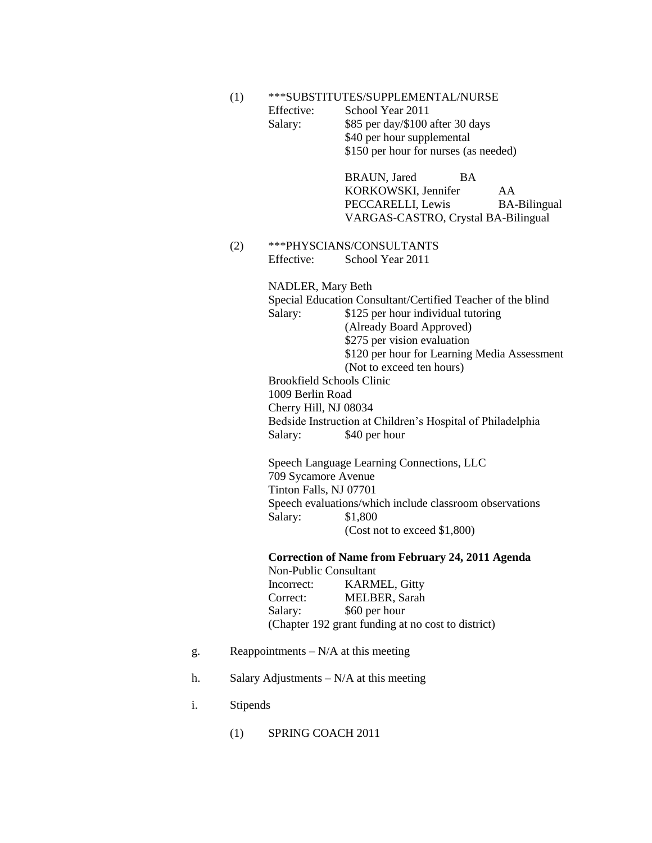- (1) \*\*\*SUBSTITUTES/SUPPLEMENTAL/NURSE
	- Effective: School Year 2011 Salary: \$85 per day/\$100 after 30 days \$40 per hour supplemental \$150 per hour for nurses (as needed)

BRAUN, Jared BA KORKOWSKI, Jennifer AA PECCARELLI, Lewis BA-Bilingual VARGAS-CASTRO, Crystal BA-Bilingual

(2) \*\*\*PHYSCIANS/CONSULTANTS Effective: School Year 2011

> NADLER, Mary Beth Special Education Consultant/Certified Teacher of the blind Salary: \$125 per hour individual tutoring (Already Board Approved) \$275 per vision evaluation \$120 per hour for Learning Media Assessment (Not to exceed ten hours)

Brookfield Schools Clinic 1009 Berlin Road Cherry Hill, NJ 08034 Bedside Instruction at Children's Hospital of Philadelphia Salary: \$40 per hour

Speech Language Learning Connections, LLC 709 Sycamore Avenue Tinton Falls, NJ 07701 Speech evaluations/which include classroom observations Salary: \$1,800 (Cost not to exceed \$1,800)

**Correction of Name from February 24, 2011 Agenda** Non-Public Consultant Incorrect: KARMEL, Gitty Correct: MELBER, Sarah Salary: \$60 per hour (Chapter 192 grant funding at no cost to district)

- g. Reappointments  $-N/A$  at this meeting
- h. Salary Adjustments N/A at this meeting
- i. Stipends
	- (1) SPRING COACH 2011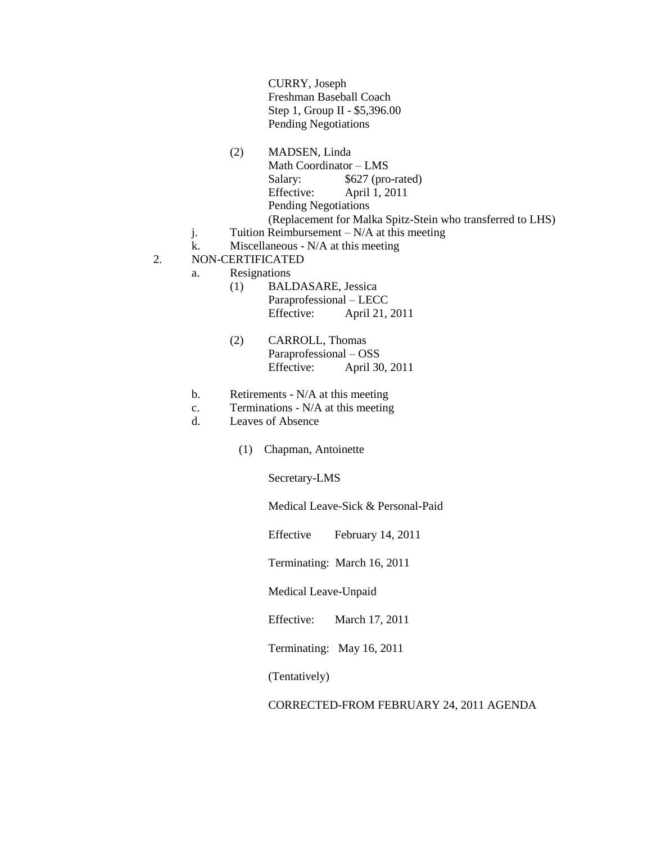CURRY, Joseph Freshman Baseball Coach Step 1, Group II - \$5,396.00 Pending Negotiations

- (2) MADSEN, Linda Math Coordinator – LMS Salary: \$627 (pro-rated) Effective: April 1, 2011 Pending Negotiations (Replacement for Malka Spitz-Stein who transferred to LHS)
- j. Tuition Reimbursement  $N/A$  at this meeting
- k. Miscellaneous N/A at this meeting
- 2. NON-CERTIFICATED
	- a. Resignations
		- (1) BALDASARE, Jessica Paraprofessional – LECC Effective: April 21, 2011
		- (2) CARROLL, Thomas Paraprofessional – OSS Effective: April 30, 2011
		- b. Retirements N/A at this meeting
		- c. Terminations N/A at this meeting
		- d. Leaves of Absence
			- (1) Chapman, Antoinette

Secretary-LMS

Medical Leave-Sick & Personal-Paid

Effective February 14, 2011

Terminating: March 16, 2011

Medical Leave-Unpaid

Effective: March 17, 2011

Terminating: May 16, 2011

(Tentatively)

CORRECTED-FROM FEBRUARY 24, 2011 AGENDA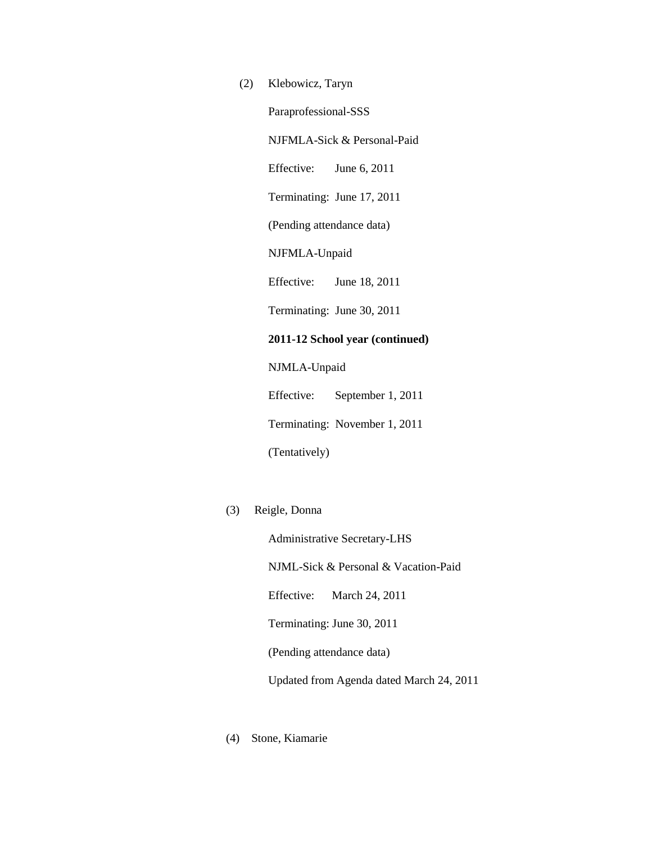(2) Klebowicz, Taryn Paraprofessional-SSS NJFMLA-Sick & Personal-Paid Effective: June 6, 2011 Terminating: June 17, 2011 (Pending attendance data) NJFMLA-Unpaid Effective: June 18, 2011 Terminating: June 30, 2011 **2011-12 School year (continued)** NJMLA-Unpaid Effective: September 1, 2011

Terminating: November 1, 2011 (Tentatively)

(3) Reigle, Donna

Administrative Secretary-LHS NJML-Sick & Personal & Vacation-Paid Effective: March 24, 2011 Terminating: June 30, 2011 (Pending attendance data) Updated from Agenda dated March 24, 2011

(4) Stone, Kiamarie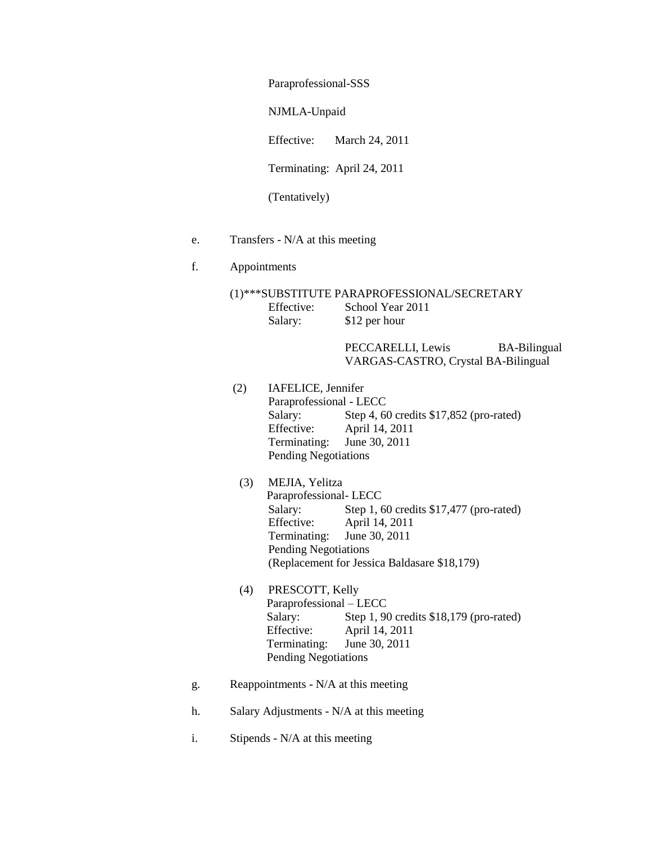Paraprofessional-SSS

NJMLA-Unpaid

Effective: March 24, 2011

Terminating: April 24, 2011

(Tentatively)

- e. Transfers N/A at this meeting
- f. Appointments
	- (1)\*\*\*SUBSTITUTE PARAPROFESSIONAL/SECRETARY Effective: School Year 2011 Salary: \$12 per hour

PECCARELLI, Lewis BA-Bilingual VARGAS-CASTRO, Crystal BA-Bilingual

- (2) IAFELICE, Jennifer Paraprofessional - LECC Salary: Step 4, 60 credits \$17,852 (pro-rated) Effective: April 14, 2011 Terminating: June 30, 2011 Pending Negotiations
	- (3) MEJIA, Yelitza Paraprofessional- LECC Salary: Step 1, 60 credits \$17,477 (pro-rated) Effective: April 14, 2011 Terminating: June 30, 2011 Pending Negotiations (Replacement for Jessica Baldasare \$18,179)
	- (4) PRESCOTT, Kelly Paraprofessional – LECC Salary: Step 1, 90 credits \$18,179 (pro-rated) Effective: April 14, 2011 Terminating: June 30, 2011 Pending Negotiations
- g. Reappointments N/A at this meeting
- h. Salary Adjustments N/A at this meeting
- i. Stipends N/A at this meeting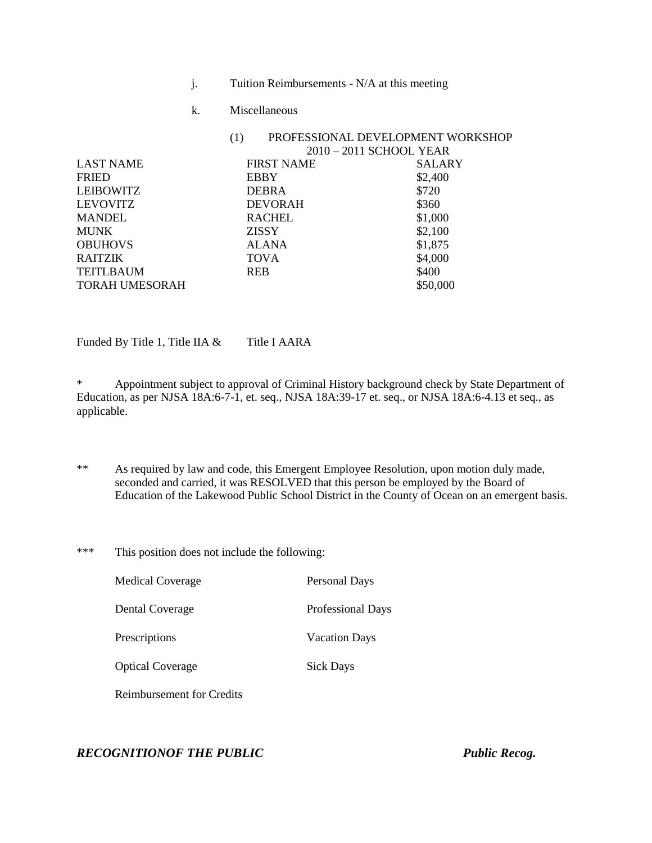- j. Tuition Reimbursements N/A at this meeting
- k. Miscellaneous

| PROFESSIONAL DEVELOPMENT WORKSHOP<br>(1) |               |  |
|------------------------------------------|---------------|--|
| 2010 – 2011 SCHOOL YEAR                  |               |  |
| <b>FIRST NAME</b>                        | <b>SALARY</b> |  |
| <b>EBBY</b>                              | \$2,400       |  |
| <b>DEBRA</b>                             | \$720         |  |
| <b>DEVORAH</b>                           | \$360         |  |
| <b>RACHEL</b>                            | \$1,000       |  |
| <b>ZISSY</b>                             | \$2,100       |  |
| <b>ALANA</b>                             | \$1,875       |  |
| <b>TOVA</b>                              | \$4,000       |  |
| <b>REB</b>                               | \$400         |  |
|                                          | \$50,000      |  |
|                                          |               |  |

Funded By Title 1, Title IIA  $&$  Title I AARA

\* Appointment subject to approval of Criminal History background check by State Department of Education, as per NJSA 18A:6-7-1, et. seq., NJSA 18A:39-17 et. seq., or NJSA 18A:6-4.13 et seq., as applicable.

- \*\* As required by law and code, this Emergent Employee Resolution, upon motion duly made, seconded and carried, it was RESOLVED that this person be employed by the Board of Education of the Lakewood Public School District in the County of Ocean on an emergent basis.
- \*\*\* This position does not include the following:

| <b>Medical Coverage</b>   | Personal Days            |
|---------------------------|--------------------------|
| Dental Coverage           | <b>Professional Days</b> |
| Prescriptions             | <b>Vacation Days</b>     |
| <b>Optical Coverage</b>   | <b>Sick Days</b>         |
| Reimbursement for Credits |                          |

*RECOGNITIONOF THE PUBLIC Public Recog.*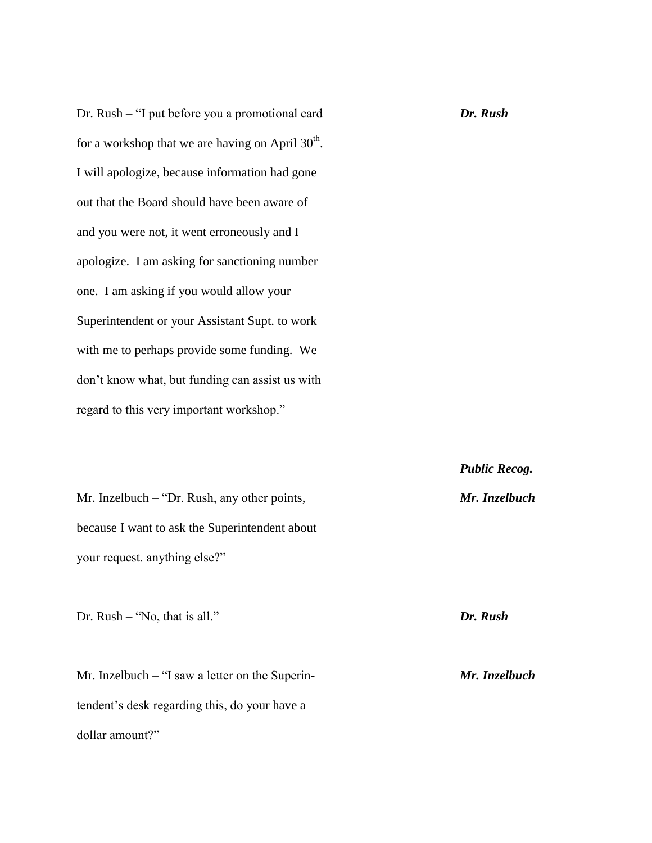Dr. Rush – "I put before you a promotional card *Dr. Rush* for a workshop that we are having on April  $30^{\text{th}}$ . I will apologize, because information had gone out that the Board should have been aware of and you were not, it went erroneously and I apologize. I am asking for sanctioning number one. I am asking if you would allow your Superintendent or your Assistant Supt. to work with me to perhaps provide some funding. We don't know what, but funding can assist us with regard to this very important workshop."

Mr. Inzelbuch – "Dr. Rush, any other points, *Mr. Inzelbuch* because I want to ask the Superintendent about your request. anything else?"

Dr. Rush – "No, that is all." *Dr. Rush*

Mr. Inzelbuch – "I saw a letter on the Superin- *Mr. Inzelbuch* tendent's desk regarding this, do your have a dollar amount?"

*Public Recog.*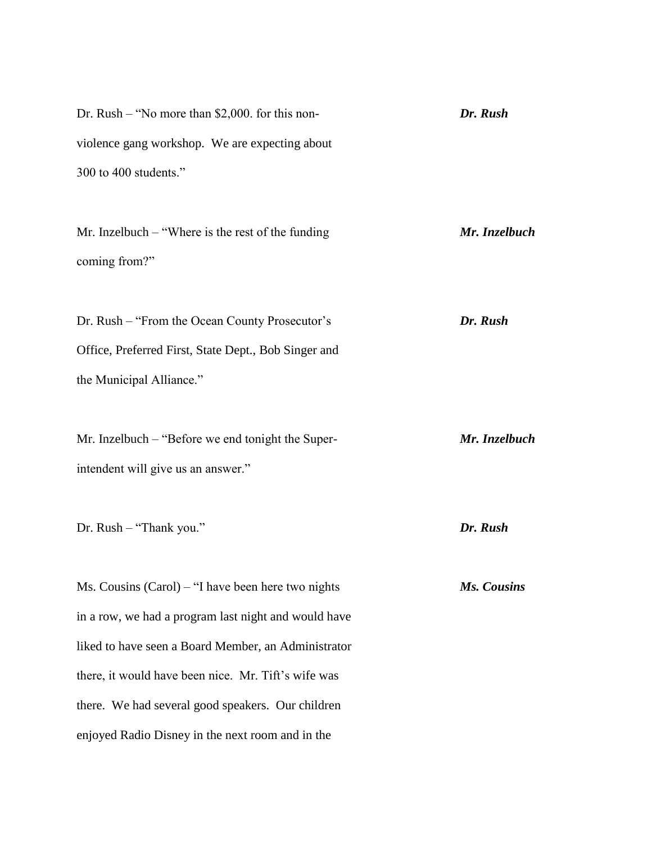| Dr. Rush – "No more than \$2,000, for this non- | Dr. Rush |
|-------------------------------------------------|----------|
| violence gang workshop. We are expecting about  |          |
| 300 to 400 students."                           |          |
|                                                 |          |

Mr. Inzelbuch – "Where is the rest of the funding *Mr. Inzelbuch* coming from?"

Dr. Rush – "From the Ocean County Prosecutor's *Dr. Rush* Office, Preferred First, State Dept., Bob Singer and the Municipal Alliance."

Mr. Inzelbuch – "Before we end tonight the Super- *Mr. Inzelbuch* intendent will give us an answer."

Dr. Rush – "Thank you." *Dr. Rush*

Ms. Cousins (Carol) – "I have been here two nights *Ms. Cousins* in a row, we had a program last night and would have liked to have seen a Board Member, an Administrator there, it would have been nice. Mr. Tift's wife was there. We had several good speakers. Our children enjoyed Radio Disney in the next room and in the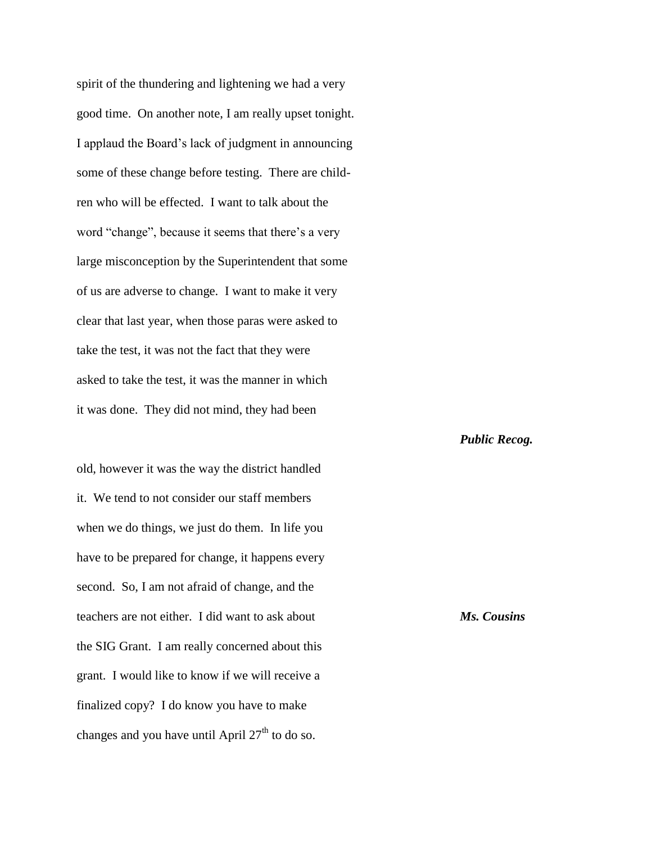spirit of the thundering and lightening we had a very good time. On another note, I am really upset tonight. I applaud the Board's lack of judgment in announcing some of these change before testing. There are children who will be effected. I want to talk about the word "change", because it seems that there's a very large misconception by the Superintendent that some of us are adverse to change. I want to make it very clear that last year, when those paras were asked to take the test, it was not the fact that they were asked to take the test, it was the manner in which it was done. They did not mind, they had been

old, however it was the way the district handled it. We tend to not consider our staff members when we do things, we just do them. In life you have to be prepared for change, it happens every second. So, I am not afraid of change, and the teachers are not either. I did want to ask about *Ms. Cousins* the SIG Grant. I am really concerned about this grant. I would like to know if we will receive a finalized copy? I do know you have to make changes and you have until April  $27<sup>th</sup>$  to do so.

*Public Recog.*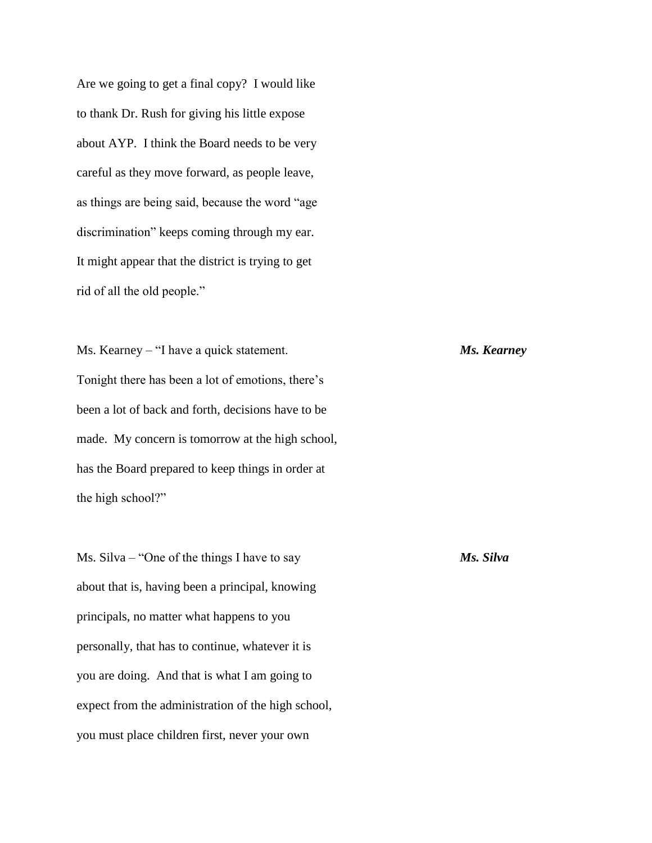Are we going to get a final copy? I would like to thank Dr. Rush for giving his little expose about AYP. I think the Board needs to be very careful as they move forward, as people leave, as things are being said, because the word "age discrimination" keeps coming through my ear. It might appear that the district is trying to get rid of all the old people."

Ms. Kearney – "I have a quick statement. *Ms. Kearney* Tonight there has been a lot of emotions, there's been a lot of back and forth, decisions have to be made. My concern is tomorrow at the high school, has the Board prepared to keep things in order at the high school?"

Ms. Silva – "One of the things I have to say *Ms. Silva* about that is, having been a principal, knowing principals, no matter what happens to you personally, that has to continue, whatever it is you are doing. And that is what I am going to expect from the administration of the high school, you must place children first, never your own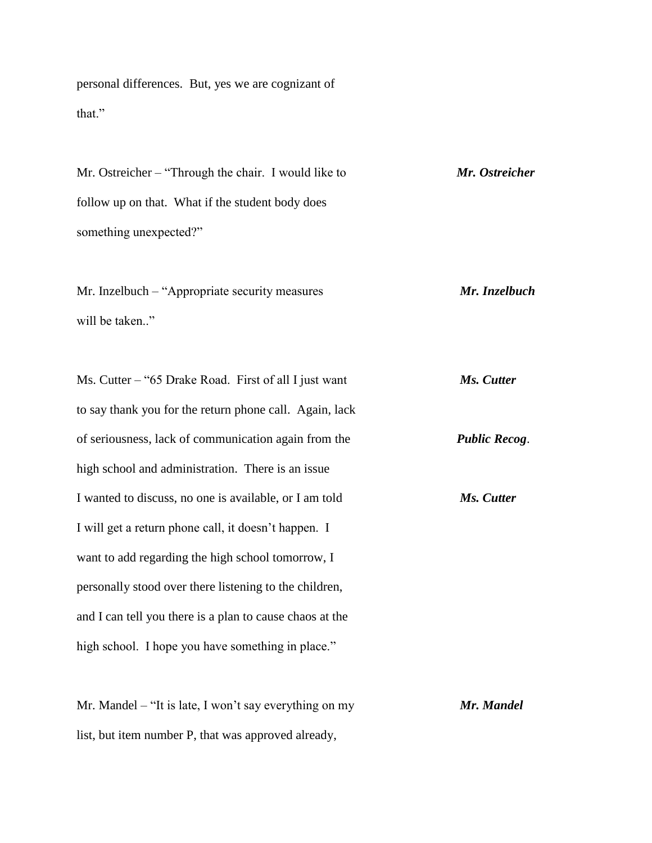personal differences. But, yes we are cognizant of that."

Mr. Ostreicher – "Through the chair. I would like to *Mr. Ostreicher* follow up on that. What if the student body does something unexpected?"

Mr. Inzelbuch – "Appropriate security measures *Mr. Inzelbuch* will be taken.."

Ms. Cutter – "65 Drake Road. First of all I just want *Ms. Cutter* to say thank you for the return phone call. Again, lack of seriousness, lack of communication again from the *Public Recog*. high school and administration. There is an issue I wanted to discuss, no one is available, or I am told *Ms. Cutter* I will get a return phone call, it doesn't happen. I want to add regarding the high school tomorrow, I personally stood over there listening to the children, and I can tell you there is a plan to cause chaos at the high school. I hope you have something in place."

Mr. Mandel – "It is late, I won't say everything on my *Mr. Mandel* list, but item number P, that was approved already,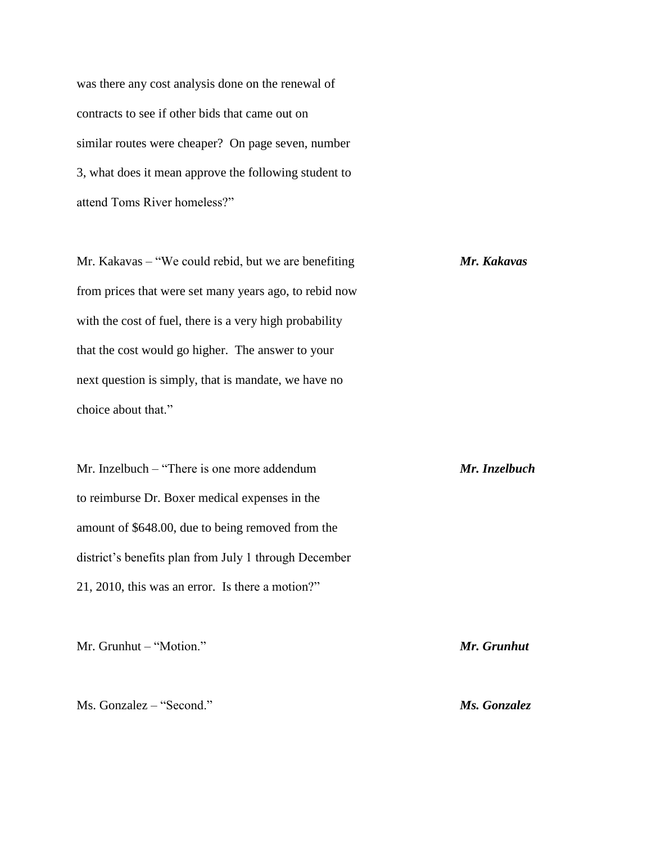was there any cost analysis done on the renewal of contracts to see if other bids that came out on similar routes were cheaper? On page seven, number 3, what does it mean approve the following student to attend Toms River homeless?"

Mr. Kakavas – "We could rebid, but we are benefiting *Mr. Kakavas* from prices that were set many years ago, to rebid now with the cost of fuel, there is a very high probability that the cost would go higher. The answer to your next question is simply, that is mandate, we have no choice about that."

Mr. Inzelbuch – "There is one more addendum *Mr. Inzelbuch* to reimburse Dr. Boxer medical expenses in the amount of \$648.00, due to being removed from the district's benefits plan from July 1 through December 21, 2010, this was an error. Is there a motion?"

Mr. Grunhut – "Motion." *Mr. Grunhut*

Ms. Gonzalez – "Second." *Ms. Gonzalez*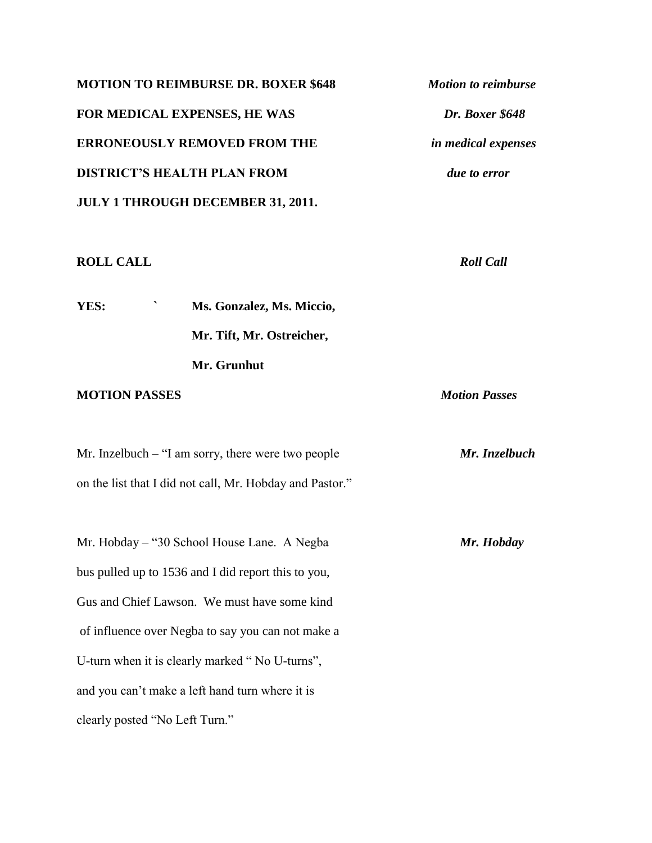| <b>MOTION TO REIMBURSE DR. BOXER \$648</b> | <b>Motion to reimburse</b> |
|--------------------------------------------|----------------------------|
| <b>FOR MEDICAL EXPENSES, HE WAS</b>        | Dr. Boxer \$648            |
| <b>ERRONEOUSLY REMOVED FROM THE</b>        | <i>in medical expenses</i> |
| <b>DISTRICT'S HEALTH PLAN FROM</b>         | <i>due to error</i>        |
| <b>JULY 1 THROUGH DECEMBER 31, 2011.</b>   |                            |
|                                            |                            |

### **ROLL CALL** *Roll Call*

**YES: ` Ms. Gonzalez, Ms. Miccio, Mr. Tift, Mr. Ostreicher, Mr. Grunhut**

## **MOTION PASSES** *Motion Passes*

Mr. Inzelbuch – "I am sorry, there were two people *Mr. Inzelbuch* on the list that I did not call, Mr. Hobday and Pastor."

Mr. Hobday – "30 School House Lane. A Negba *Mr. Hobday* bus pulled up to 1536 and I did report this to you, Gus and Chief Lawson. We must have some kind of influence over Negba to say you can not make a U-turn when it is clearly marked " No U-turns", and you can't make a left hand turn where it is clearly posted "No Left Turn."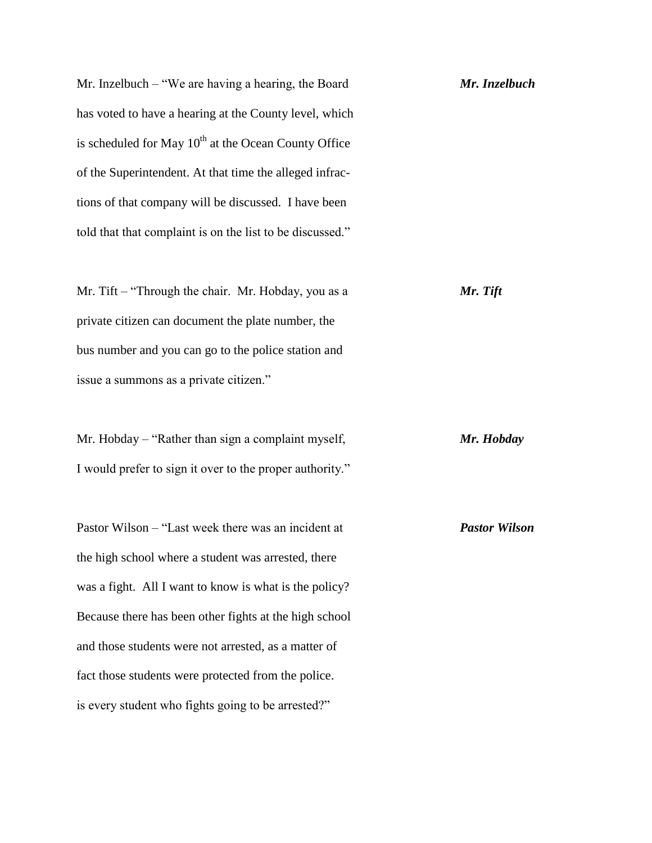Mr. Inzelbuch – "We are having a hearing, the Board *Mr. Inzelbuch* has voted to have a hearing at the County level, which is scheduled for May  $10^{th}$  at the Ocean County Office of the Superintendent. At that time the alleged infractions of that company will be discussed. I have been told that that complaint is on the list to be discussed."

Mr. Tift – "Through the chair. Mr. Hobday, you as a *Mr. Tift* private citizen can document the plate number, the bus number and you can go to the police station and issue a summons as a private citizen."

Mr. Hobday – "Rather than sign a complaint myself, *Mr. Hobday* I would prefer to sign it over to the proper authority."

Pastor Wilson – "Last week there was an incident at *Pastor Wilson* the high school where a student was arrested, there was a fight. All I want to know is what is the policy? Because there has been other fights at the high school and those students were not arrested, as a matter of fact those students were protected from the police. is every student who fights going to be arrested?"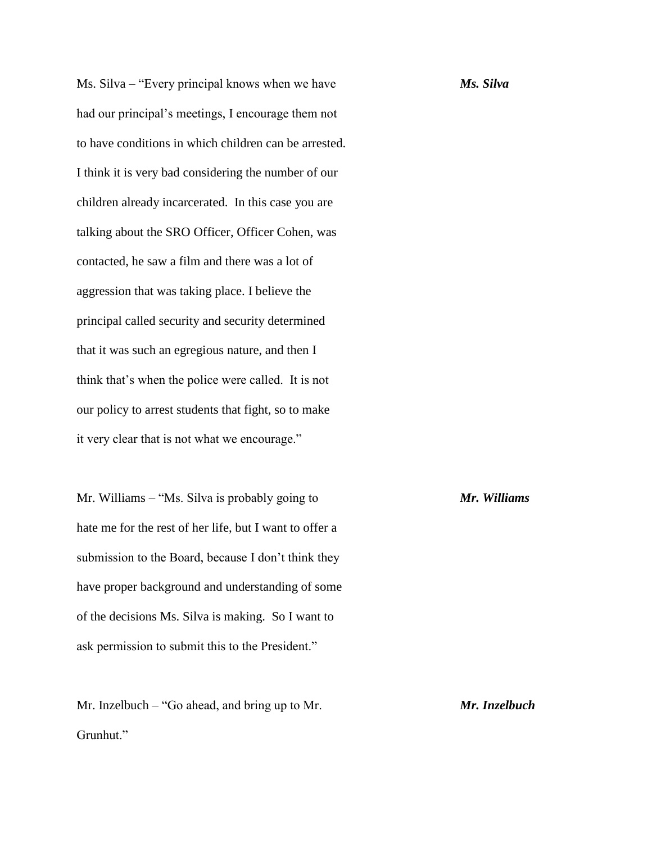Ms. Silva – "Every principal knows when we have *Ms. Silva* had our principal's meetings, I encourage them not to have conditions in which children can be arrested. I think it is very bad considering the number of our children already incarcerated. In this case you are talking about the SRO Officer, Officer Cohen, was contacted, he saw a film and there was a lot of aggression that was taking place. I believe the principal called security and security determined that it was such an egregious nature, and then I think that's when the police were called. It is not our policy to arrest students that fight, so to make it very clear that is not what we encourage."

Mr. Williams – "Ms. Silva is probably going to *Mr. Williams* hate me for the rest of her life, but I want to offer a submission to the Board, because I don't think they have proper background and understanding of some of the decisions Ms. Silva is making. So I want to ask permission to submit this to the President."

Mr. Inzelbuch – "Go ahead, and bring up to Mr. *Mr. Inzelbuch* Grunhut."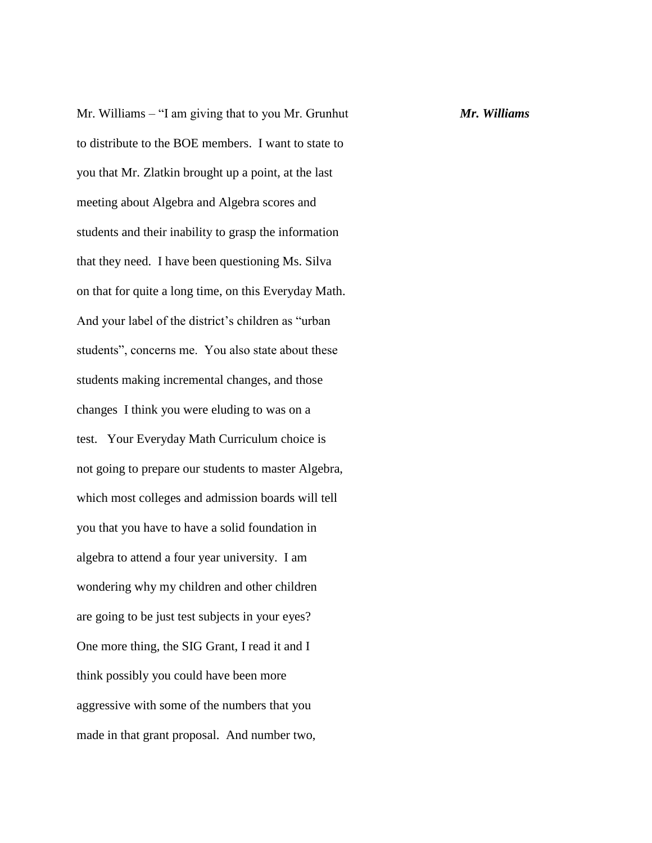Mr. Williams – "I am giving that to you Mr. Grunhut *Mr. Williams* to distribute to the BOE members. I want to state to you that Mr. Zlatkin brought up a point, at the last meeting about Algebra and Algebra scores and students and their inability to grasp the information that they need. I have been questioning Ms. Silva on that for quite a long time, on this Everyday Math. And your label of the district's children as "urban students", concerns me. You also state about these students making incremental changes, and those changes I think you were eluding to was on a test. Your Everyday Math Curriculum choice is not going to prepare our students to master Algebra, which most colleges and admission boards will tell you that you have to have a solid foundation in algebra to attend a four year university. I am wondering why my children and other children are going to be just test subjects in your eyes? One more thing, the SIG Grant, I read it and I think possibly you could have been more aggressive with some of the numbers that you made in that grant proposal. And number two,